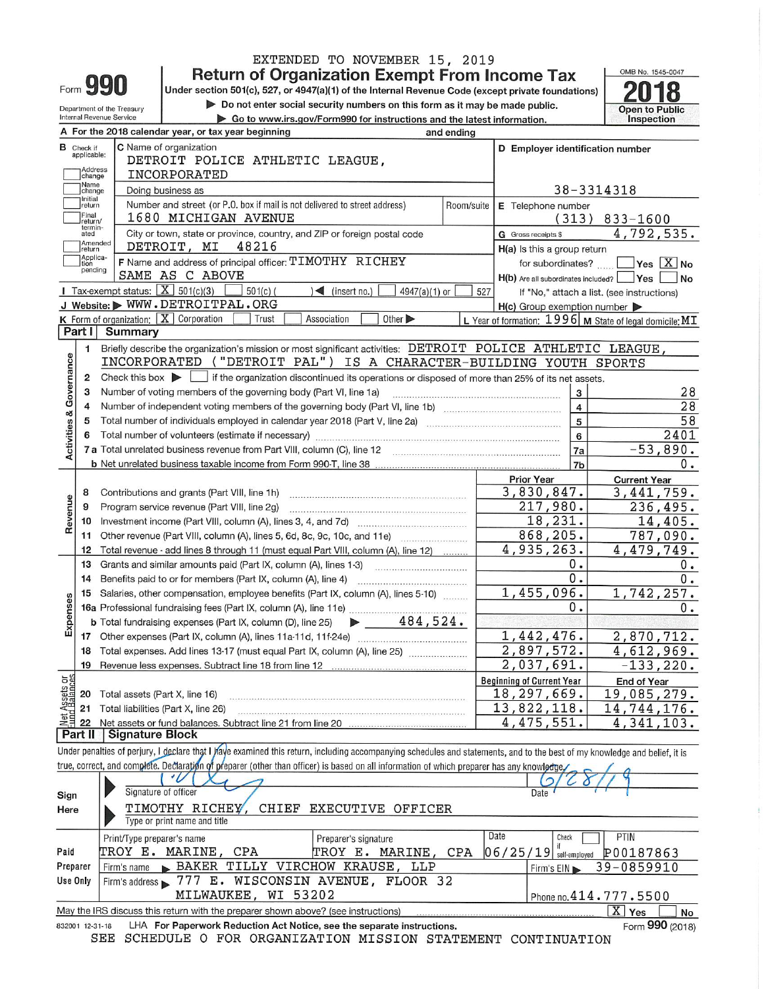| ⊢orm | I T |
|------|-----|
|------|-----|

EXTENDED TO NOVEMBER 15, 2019<br>Return of Organization Exempt From Income Tax<br>Under section 501(c), 527, or 4947(a)(1) of the Internal Revenue Code (except private foundations)

Do not enter social security numbers on this form as it may be made public.



|                                             | $\blacktriangleright$ Do not enter social security numbers on this form as it may be made public.<br>Department of the Treasury |                                                   |                                                                                                                                                                            |                                                                        | <b>Open to Public</b> |                                                     |                                                           |
|---------------------------------------------|---------------------------------------------------------------------------------------------------------------------------------|---------------------------------------------------|----------------------------------------------------------------------------------------------------------------------------------------------------------------------------|------------------------------------------------------------------------|-----------------------|-----------------------------------------------------|-----------------------------------------------------------|
|                                             |                                                                                                                                 | <b>Internal Revenue Service</b>                   |                                                                                                                                                                            | Go to www.irs.gov/Form990 for instructions and the latest information. |                       |                                                     | Inspection                                                |
|                                             |                                                                                                                                 |                                                   | A For the 2018 calendar year, or tax year beginning                                                                                                                        |                                                                        | and ending            |                                                     |                                                           |
| C Name of organization<br><b>B</b> Check if |                                                                                                                                 |                                                   |                                                                                                                                                                            |                                                                        |                       | D Employer identification number                    |                                                           |
|                                             | applicable:                                                                                                                     |                                                   | DETROIT POLICE ATHLETIC LEAGUE,                                                                                                                                            |                                                                        |                       |                                                     |                                                           |
| Address<br>change                           |                                                                                                                                 |                                                   | INCORPORATED                                                                                                                                                               |                                                                        |                       |                                                     |                                                           |
|                                             | Name                                                                                                                            |                                                   | Doing business as                                                                                                                                                          |                                                                        |                       |                                                     | 38-3314318                                                |
|                                             | change<br>Initial                                                                                                               |                                                   |                                                                                                                                                                            |                                                                        |                       |                                                     |                                                           |
|                                             | return<br>Final                                                                                                                 |                                                   | Number and street (or P.O. box if mail is not delivered to street address)                                                                                                 |                                                                        |                       | Room/suite E Telephone number                       |                                                           |
|                                             | return/<br>termin-                                                                                                              |                                                   | 1680 MICHIGAN AVENUE                                                                                                                                                       |                                                                        |                       |                                                     | $(313)$ 833-1600                                          |
|                                             | ated<br>Amended                                                                                                                 |                                                   | City or town, state or province, country, and ZIP or foreign postal code                                                                                                   |                                                                        |                       | <b>G</b> Gross receipts \$                          | 4,792,535.                                                |
|                                             | return                                                                                                                          |                                                   | DETROIT, MI<br>48216                                                                                                                                                       |                                                                        |                       | H(a) Is this a group return                         |                                                           |
|                                             | Applica-<br>tion                                                                                                                |                                                   | F Name and address of principal officer: TIMOTHY RICHEY                                                                                                                    |                                                                        |                       |                                                     | for subordinates? $\Box$ Yes $[X]$ No                     |
|                                             | pending                                                                                                                         |                                                   | SAME AS C ABOVE                                                                                                                                                            |                                                                        |                       | H(b) Are all subordinates included? Yes             | N <sub>o</sub>                                            |
|                                             |                                                                                                                                 | Tax-exempt status: $\boxed{\textbf{X}}$ 501(c)(3) | $501(c)$ (                                                                                                                                                                 | $\leq$ (insert no.)<br>$4947(a)(1)$ or                                 | 527                   |                                                     | If "No," attach a list. (see instructions)                |
|                                             |                                                                                                                                 |                                                   | J Website: WWW.DETROITPAL.ORG                                                                                                                                              |                                                                        |                       | $H(c)$ Group exemption number $\blacktriangleright$ |                                                           |
|                                             |                                                                                                                                 |                                                   | <b>K</b> Form of organization: $\boxed{\mathbf{X}}$ Corporation<br>Trust                                                                                                   | Association<br>Other $\blacktriangleright$                             |                       |                                                     | L Year of formation: $1996$ M State of legal domicile: MT |
|                                             | Part I                                                                                                                          | <b>Summary</b>                                    |                                                                                                                                                                            |                                                                        |                       |                                                     |                                                           |
|                                             | 1                                                                                                                               |                                                   | Briefly describe the organization's mission or most significant activities: DETROIT POLICE ATHLETIC LEAGUE,                                                                |                                                                        |                       |                                                     |                                                           |
|                                             |                                                                                                                                 |                                                   | INCORPORATED ("DETROIT PAL") IS A CHARACTER-BUILDING YOUTH SPORTS                                                                                                          |                                                                        |                       |                                                     |                                                           |
| Governance                                  | 2                                                                                                                               |                                                   | Check this box $\blacktriangleright$ if the organization discontinued its operations or disposed of more than 25% of its net assets.                                       |                                                                        |                       |                                                     |                                                           |
|                                             | 3                                                                                                                               |                                                   | Number of voting members of the governing body (Part VI, line 1a)                                                                                                          |                                                                        |                       | 3                                                   |                                                           |
|                                             | $\overline{4}$                                                                                                                  |                                                   |                                                                                                                                                                            |                                                                        |                       | $\overline{\mathbf{4}}$                             | 28<br>$\overline{28}$                                     |
|                                             |                                                                                                                                 |                                                   |                                                                                                                                                                            |                                                                        |                       |                                                     |                                                           |
|                                             | 5                                                                                                                               |                                                   |                                                                                                                                                                            |                                                                        |                       | 5                                                   | 58                                                        |
|                                             | 6                                                                                                                               |                                                   | Total number of volunteers (estimate if necessary)                                                                                                                         |                                                                        |                       | 6                                                   | 2401                                                      |
| <b>Activities &amp;</b>                     |                                                                                                                                 |                                                   |                                                                                                                                                                            |                                                                        |                       | <b>7a</b>                                           | $-53,890.$                                                |
|                                             |                                                                                                                                 |                                                   |                                                                                                                                                                            |                                                                        |                       | 7b                                                  | 0.                                                        |
|                                             |                                                                                                                                 |                                                   |                                                                                                                                                                            |                                                                        |                       | <b>Prior Year</b>                                   | <b>Current Year</b>                                       |
|                                             | 8                                                                                                                               |                                                   | Contributions and grants (Part VIII, line 1h)                                                                                                                              |                                                                        |                       | 3,830,847.                                          | 3,441,759.                                                |
|                                             | 9                                                                                                                               |                                                   | Program service revenue (Part VIII, line 2g)                                                                                                                               |                                                                        |                       | 217,980.                                            | 236,495.                                                  |
| Revenue                                     | 10                                                                                                                              |                                                   |                                                                                                                                                                            |                                                                        |                       | 18, 231.                                            | 14,405.                                                   |
|                                             | 11                                                                                                                              |                                                   |                                                                                                                                                                            |                                                                        |                       | 868,205.                                            | 787,090.                                                  |
|                                             | 12                                                                                                                              |                                                   | Total revenue - add lines 8 through 11 (must equal Part VIII, column (A), line 12)                                                                                         |                                                                        |                       | 4,935,263.                                          | 4,479,749.                                                |
|                                             | 13                                                                                                                              |                                                   | Grants and similar amounts paid (Part IX, column (A), lines 1-3)                                                                                                           |                                                                        |                       | 0.                                                  | Ο.                                                        |
|                                             | 14                                                                                                                              |                                                   | Benefits paid to or for members (Part IX, column (A), line 4)                                                                                                              |                                                                        |                       | 0.                                                  | 0.                                                        |
|                                             | 15                                                                                                                              |                                                   | Salaries, other compensation, employee benefits (Part IX, column (A), lines 5-10)                                                                                          |                                                                        |                       | 1,455,096.                                          | 1,742,257.                                                |
| Expenses                                    |                                                                                                                                 |                                                   |                                                                                                                                                                            |                                                                        |                       | Ο.                                                  | 0.                                                        |
|                                             |                                                                                                                                 |                                                   | <b>b</b> Total fundraising expenses (Part IX, column (D), line 25)                                                                                                         | $\blacktriangleright$ 484,524.                                         |                       |                                                     |                                                           |
|                                             | 17                                                                                                                              |                                                   |                                                                                                                                                                            |                                                                        |                       | 1,442,476.                                          | 2,870,712.                                                |
|                                             |                                                                                                                                 |                                                   | 18 Total expenses. Add lines 13-17 (must equal Part IX, column (A), line 25) [110]                                                                                         |                                                                        |                       | 2,897,572.                                          | 4,612,969.                                                |
|                                             |                                                                                                                                 |                                                   | 19 Revenue less expenses. Subtract line 18 from line 12                                                                                                                    |                                                                        |                       | 2,037,691.                                          | $-133, 220.$                                              |
|                                             |                                                                                                                                 |                                                   |                                                                                                                                                                            |                                                                        |                       |                                                     |                                                           |
|                                             |                                                                                                                                 |                                                   |                                                                                                                                                                            |                                                                        |                       | <b>Beginning of Current Year</b><br>18, 297, 669.   | <b>End of Year</b>                                        |
| Net Assets or                               | 20                                                                                                                              | Total assets (Part X, line 16)                    |                                                                                                                                                                            |                                                                        |                       |                                                     | 19,085,279.                                               |
|                                             | 21                                                                                                                              |                                                   | Total liabilities (Part X, line 26)                                                                                                                                        |                                                                        |                       | 13,822,118.                                         | 14,744,176.                                               |
|                                             | 22                                                                                                                              | <b>Signature Block</b>                            | Net assets or fund balances. Subtract line 21 from line 20                                                                                                                 |                                                                        |                       | 4,475,551.                                          | 4,341,103.                                                |
|                                             | Part II                                                                                                                         |                                                   |                                                                                                                                                                            |                                                                        |                       |                                                     |                                                           |
|                                             |                                                                                                                                 |                                                   | Under penalties of perjury, I declare that I have examined this return, including accompanying schedules and statements, and to the best of my knowledge and belief, it is |                                                                        |                       |                                                     |                                                           |
|                                             |                                                                                                                                 |                                                   | true, correct, and complete. Declaration of preparer (other than officer) is based on all information of which preparer has any knowlectue                                 |                                                                        |                       |                                                     |                                                           |
|                                             |                                                                                                                                 |                                                   |                                                                                                                                                                            |                                                                        |                       |                                                     |                                                           |
| Sign                                        |                                                                                                                                 |                                                   | Signature of officer                                                                                                                                                       |                                                                        |                       | Date                                                |                                                           |
| Here                                        |                                                                                                                                 |                                                   | TIMOTHY RICHEY,<br>CHIEF                                                                                                                                                   | EXECUTIVE OFFICER                                                      |                       |                                                     |                                                           |
|                                             |                                                                                                                                 |                                                   | Type or print name and title                                                                                                                                               |                                                                        |                       |                                                     |                                                           |
|                                             |                                                                                                                                 | Print/Type preparer's name                        |                                                                                                                                                                            | Preparer's signature                                                   |                       | Date<br>Check                                       | PTIN                                                      |
|                                             |                                                                                                                                 |                                                   |                                                                                                                                                                            |                                                                        |                       |                                                     |                                                           |

| Paid                                                                                                        | TROY E. MARINE, CPA                         |                                                                        | TROY E. MARINE, CPA $ 06/25/19 $ self-employed $ 00187863\rangle$ |  |  |
|-------------------------------------------------------------------------------------------------------------|---------------------------------------------|------------------------------------------------------------------------|-------------------------------------------------------------------|--|--|
| Preparer                                                                                                    | Firm's name BAKER TILLY VIRCHOW KRAUSE, LLP |                                                                        | $\sqrt{\frac{39-0859910}{}}$                                      |  |  |
| Use Only                                                                                                    |                                             | Firm's address 3777 E. WISCONSIN AVENUE, FLOOR 32                      |                                                                   |  |  |
|                                                                                                             | MILWAUKEE, WI 53202                         |                                                                        | Phone no. 414.777.5500                                            |  |  |
| ΧI<br>May the IRS discuss this return with the preparer shown above? (see instructions)<br>Yes<br><b>No</b> |                                             |                                                                        |                                                                   |  |  |
| 832001 12-31-18                                                                                             |                                             | LHA For Paperwork Reduction Act Notice, see the separate instructions. | Form 990 (2018)                                                   |  |  |

832001 12-31-18 LHA For Paperwork Reduction Act Notice, see the separate instructions. SEE SCHEDULE O FOR ORGANIZATION MISSION STATEMENT CONTINUATION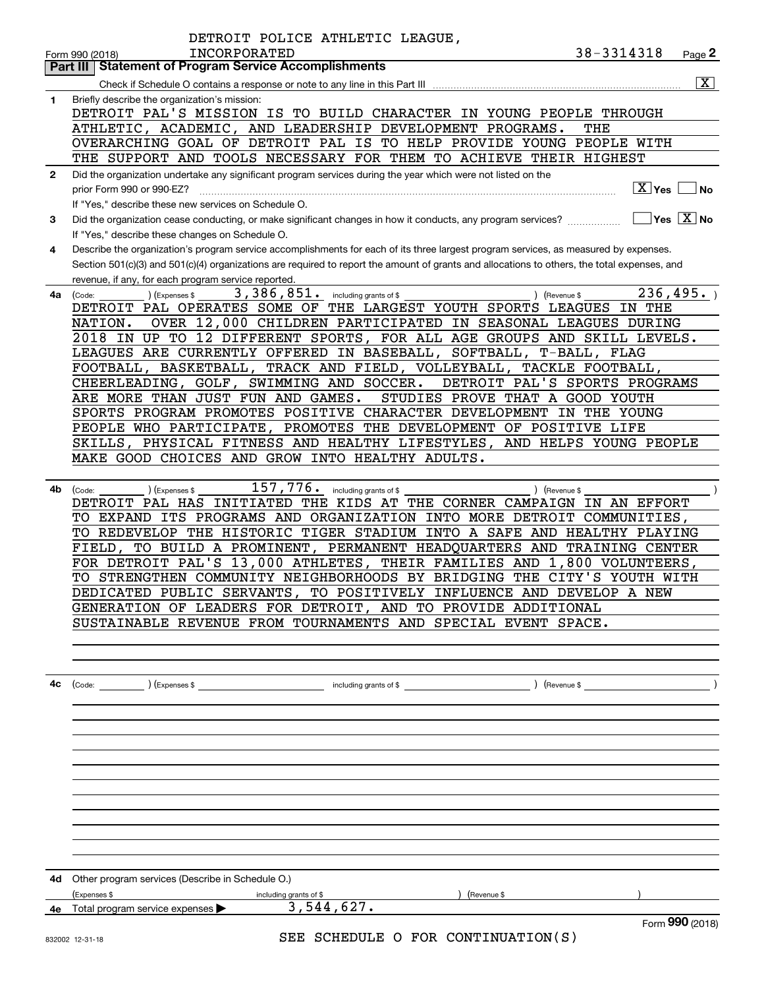|              | DETROIT POLICE ATHLETIC LEAGUE,                                                                                                                                                                |                         |
|--------------|------------------------------------------------------------------------------------------------------------------------------------------------------------------------------------------------|-------------------------|
|              | 38-3314318<br><b>INCORPORATED</b><br>Form 990 (2018)                                                                                                                                           | Page 2                  |
|              | <b>Statement of Program Service Accomplishments</b><br>Part III                                                                                                                                | $\overline{\mathbf{x}}$ |
| 1            | Briefly describe the organization's mission:                                                                                                                                                   |                         |
|              | DETROIT PAL'S MISSION IS TO BUILD CHARACTER IN YOUNG PEOPLE THROUGH                                                                                                                            |                         |
|              | ATHLETIC, ACADEMIC, AND LEADERSHIP DEVELOPMENT PROGRAMS.<br>THE                                                                                                                                |                         |
|              | OVERARCHING GOAL OF DETROIT PAL IS<br>TO HELP PROVIDE YOUNG PEOPLE WITH                                                                                                                        |                         |
|              | THE SUPPORT AND TOOLS NECESSARY FOR THEM TO ACHIEVE THEIR HIGHEST                                                                                                                              |                         |
| $\mathbf{2}$ | Did the organization undertake any significant program services during the year which were not listed on the                                                                                   |                         |
|              | $\boxed{\text{X}}$ Yes $\boxed{\text{}}$<br>prior Form 990 or 990-EZ?                                                                                                                          | ∣No                     |
| 3            | If "Yes," describe these new services on Schedule O.<br>$\Box$ Yes $\Box X$ No<br>Did the organization cease conducting, or make significant changes in how it conducts, any program services? |                         |
|              | If "Yes," describe these changes on Schedule O.                                                                                                                                                |                         |
| 4            | Describe the organization's program service accomplishments for each of its three largest program services, as measured by expenses.                                                           |                         |
|              | Section 501(c)(3) and 501(c)(4) organizations are required to report the amount of grants and allocations to others, the total expenses, and                                                   |                         |
|              | revenue, if any, for each program service reported.                                                                                                                                            |                         |
| 4a           | 236, 495.<br>3,386,851.<br>including grants of \$<br>) (Revenue \$<br>(Code:<br>) (Expenses \$                                                                                                 |                         |
|              | DETROIT PAL OPERATES SOME OF THE LARGEST YOUTH SPORTS LEAGUES<br>IN THE<br>OVER 12,000 CHILDREN PARTICIPATED IN SEASONAL LEAGUES DURING<br>NATION.                                             |                         |
|              | 2018<br>IN UP TO 12 DIFFERENT SPORTS, FOR ALL AGE GROUPS AND SKILL LEVELS.                                                                                                                     |                         |
|              | LEAGUES ARE CURRENTLY OFFERED IN BASEBALL, SOFTBALL,<br>T-BALL, FLAG                                                                                                                           |                         |
|              | BASKETBALL, TRACK AND FIELD, VOLLEYBALL,<br>TACKLE FOOTBALL,<br>FOOTBALL,                                                                                                                      |                         |
|              | CHEERLEADING, GOLF, SWIMMING AND SOCCER.<br>DETROIT PAL'S SPORTS PROGRAMS                                                                                                                      |                         |
|              | ARE MORE THAN JUST FUN AND GAMES.<br>STUDIES PROVE THAT A GOOD YOUTH                                                                                                                           |                         |
|              | SPORTS PROGRAM PROMOTES POSITIVE CHARACTER DEVELOPMENT<br>IN THE YOUNG<br>PEOPLE WHO PARTICIPATE,<br>PROMOTES THE DEVELOPMENT OF POSITIVE LIFE                                                 |                         |
|              | SKILLS, PHYSICAL FITNESS AND HEALTHY LIFESTYLES, AND HELPS YOUNG PEOPLE                                                                                                                        |                         |
|              | MAKE GOOD CHOICES AND GROW INTO HEALTHY ADULTS.                                                                                                                                                |                         |
|              |                                                                                                                                                                                                |                         |
| 4b           | 157,776.<br>including grants of \$<br>) (Revenue \$<br>(Code:<br>) (Expenses \$                                                                                                                |                         |
|              | DETROIT PAL HAS INITIATED THE KIDS AT THE CORNER CAMPAIGN IN AN EFFORT                                                                                                                         |                         |
|              | EXPAND ITS PROGRAMS AND ORGANIZATION INTO MORE DETROIT COMMUNITIES,<br>TO.                                                                                                                     |                         |
|              | TO REDEVELOP THE HISTORIC TIGER STADIUM INTO A SAFE AND HEALTHY PLAYING<br>TO BUILD A PROMINENT, PERMANENT HEADQUARTERS AND<br><b>TRAINING CENTER</b><br>FIELD.                                |                         |
|              | FOR DETROIT PAL'S 13,000 ATHLETES, THEIR FAMILIES AND 1,800 VOLUNTEERS,                                                                                                                        |                         |
|              | TO STRENGTHEN COMMUNITY NEIGHBORHOODS BY BRIDGING THE CITY'S YOUTH WITH                                                                                                                        |                         |
|              | DEDICATED PUBLIC SERVANTS, TO POSITIVELY INFLUENCE AND DEVELOP A NEW                                                                                                                           |                         |
|              | GENERATION OF LEADERS FOR DETROIT, AND TO PROVIDE ADDITIONAL                                                                                                                                   |                         |
|              | SUSTAINABLE REVENUE FROM TOURNAMENTS AND SPECIAL EVENT SPACE.                                                                                                                                  |                         |
|              |                                                                                                                                                                                                |                         |
|              |                                                                                                                                                                                                |                         |
| 4с           |                                                                                                                                                                                                |                         |
|              |                                                                                                                                                                                                |                         |
|              |                                                                                                                                                                                                |                         |
|              |                                                                                                                                                                                                |                         |
|              |                                                                                                                                                                                                |                         |
|              |                                                                                                                                                                                                |                         |
|              |                                                                                                                                                                                                |                         |
|              |                                                                                                                                                                                                |                         |
|              |                                                                                                                                                                                                |                         |
|              |                                                                                                                                                                                                |                         |
|              |                                                                                                                                                                                                |                         |
| 4d           | Other program services (Describe in Schedule O.)                                                                                                                                               |                         |
|              | (Expenses \$<br>including grants of \$<br>) (Revenue \$                                                                                                                                        |                         |
|              | 3,544,627.<br>4e Total program service expenses >                                                                                                                                              |                         |
|              | Form 990 (2018)<br>SEE SCHEDIILE O FOR CONTINUATION(S)                                                                                                                                         |                         |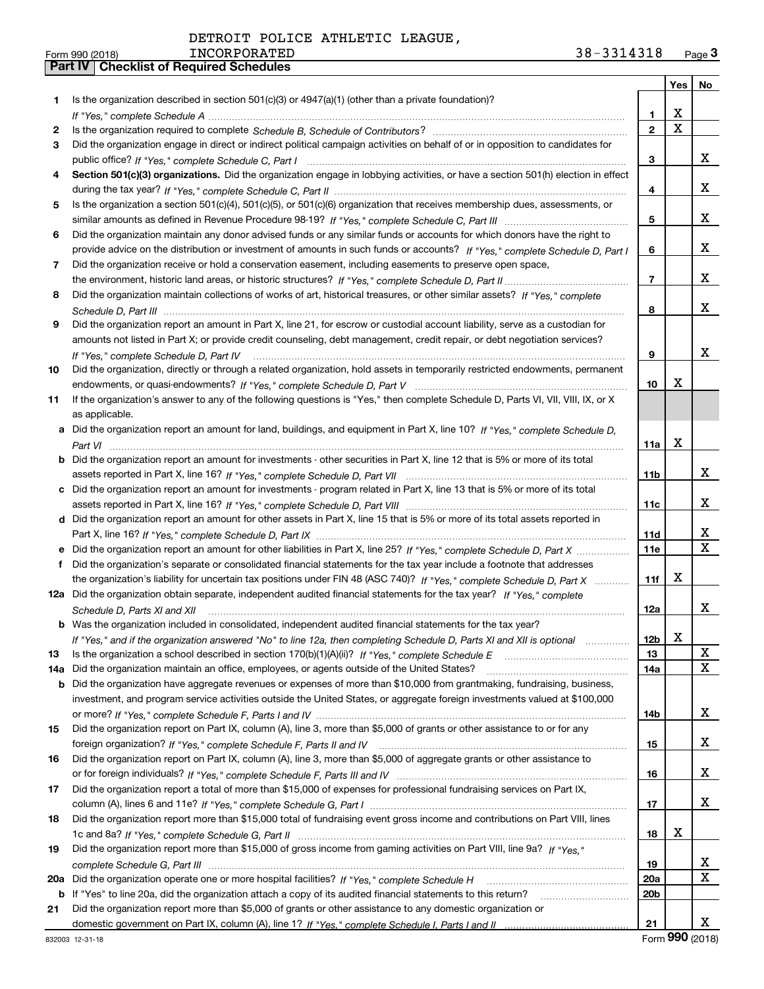|     |                                                                                                                                      |                 | Yes $ $     | No          |
|-----|--------------------------------------------------------------------------------------------------------------------------------------|-----------------|-------------|-------------|
| 1   | Is the organization described in section $501(c)(3)$ or $4947(a)(1)$ (other than a private foundation)?                              |                 |             |             |
|     |                                                                                                                                      | 1.              | х           |             |
| 2   |                                                                                                                                      | $\mathbf{2}$    | $\mathbf X$ |             |
| 3   | Did the organization engage in direct or indirect political campaign activities on behalf of or in opposition to candidates for      |                 |             |             |
|     |                                                                                                                                      | 3               |             | x           |
| 4   | Section 501(c)(3) organizations. Did the organization engage in lobbying activities, or have a section 501(h) election in effect     |                 |             |             |
|     |                                                                                                                                      | 4               |             | x           |
| 5   | Is the organization a section 501(c)(4), 501(c)(5), or 501(c)(6) organization that receives membership dues, assessments, or         |                 |             |             |
|     |                                                                                                                                      | 5               |             | x           |
| 6   | Did the organization maintain any donor advised funds or any similar funds or accounts for which donors have the right to            |                 |             |             |
|     | provide advice on the distribution or investment of amounts in such funds or accounts? If "Yes," complete Schedule D, Part I         | 6               |             | x           |
| 7   | Did the organization receive or hold a conservation easement, including easements to preserve open space,                            |                 |             |             |
|     |                                                                                                                                      | $\overline{7}$  |             | x           |
| 8   | Did the organization maintain collections of works of art, historical treasures, or other similar assets? If "Yes," complete         |                 |             |             |
|     |                                                                                                                                      | 8               |             | x           |
| 9   | Did the organization report an amount in Part X, line 21, for escrow or custodial account liability, serve as a custodian for        |                 |             |             |
|     | amounts not listed in Part X; or provide credit counseling, debt management, credit repair, or debt negotiation services?            |                 |             |             |
|     | If "Yes." complete Schedule D. Part IV                                                                                               | 9               |             | x           |
| 10  | Did the organization, directly or through a related organization, hold assets in temporarily restricted endowments, permanent        |                 |             |             |
|     |                                                                                                                                      | 10              | х           |             |
| 11  | If the organization's answer to any of the following questions is "Yes," then complete Schedule D, Parts VI, VII, VIII, IX, or X     |                 |             |             |
|     | as applicable.                                                                                                                       |                 |             |             |
|     | a Did the organization report an amount for land, buildings, and equipment in Part X, line 10? If "Yes." complete Schedule D.        |                 | X           |             |
|     | <b>b</b> Did the organization report an amount for investments - other securities in Part X, line 12 that is 5% or more of its total | 11a             |             |             |
|     |                                                                                                                                      | 11 <sub>b</sub> |             | x           |
|     | c Did the organization report an amount for investments - program related in Part X, line 13 that is 5% or more of its total         |                 |             |             |
|     |                                                                                                                                      | 11c             |             | x           |
|     | d Did the organization report an amount for other assets in Part X, line 15 that is 5% or more of its total assets reported in       |                 |             |             |
|     |                                                                                                                                      | 11d             |             | x           |
|     | e Did the organization report an amount for other liabilities in Part X, line 25? If "Yes," complete Schedule D, Part X              | <b>11e</b>      |             | $\mathbf X$ |
| f   | Did the organization's separate or consolidated financial statements for the tax year include a footnote that addresses              |                 |             |             |
|     | the organization's liability for uncertain tax positions under FIN 48 (ASC 740)? If "Yes," complete Schedule D, Part X               | 11f             | X           |             |
|     | 12a Did the organization obtain separate, independent audited financial statements for the tax year? If "Yes," complete              |                 |             |             |
|     | Schedule D, Parts XI and XII                                                                                                         | 12a             |             | x           |
|     | <b>b</b> Was the organization included in consolidated, independent audited financial statements for the tax year?                   |                 |             |             |
|     | If "Yes," and if the organization answered "No" to line 12a, then completing Schedule D, Parts XI and XII is optional                | 12 <sub>b</sub> | X           |             |
| 13  |                                                                                                                                      | 13              |             | X           |
| 14a | Did the organization maintain an office, employees, or agents outside of the United States?                                          | 14a             |             | X           |
| b   | Did the organization have aggregate revenues or expenses of more than \$10,000 from grantmaking, fundraising, business,              |                 |             |             |
|     | investment, and program service activities outside the United States, or aggregate foreign investments valued at \$100,000           |                 |             |             |
|     |                                                                                                                                      | 14b             |             | x           |
| 15  | Did the organization report on Part IX, column (A), line 3, more than \$5,000 of grants or other assistance to or for any            |                 |             |             |
|     |                                                                                                                                      | 15              |             | x           |
| 16  | Did the organization report on Part IX, column (A), line 3, more than \$5,000 of aggregate grants or other assistance to             |                 |             |             |
|     |                                                                                                                                      | 16              |             | x           |
| 17  | Did the organization report a total of more than \$15,000 of expenses for professional fundraising services on Part IX,              |                 |             |             |
|     |                                                                                                                                      | 17              |             | x           |
| 18  | Did the organization report more than \$15,000 total of fundraising event gross income and contributions on Part VIII, lines         |                 |             |             |
|     |                                                                                                                                      | 18              | x           |             |
| 19  | Did the organization report more than \$15,000 of gross income from gaming activities on Part VIII, line 9a? If "Yes."               |                 |             | X           |
|     |                                                                                                                                      | 19<br>20a       |             | X           |
|     | b If "Yes" to line 20a, did the organization attach a copy of its audited financial statements to this return?                       | 20 <sub>b</sub> |             |             |
| 21  | Did the organization report more than \$5,000 of grants or other assistance to any domestic organization or                          |                 |             |             |
|     |                                                                                                                                      | 21              |             | x           |
|     |                                                                                                                                      |                 |             |             |

Form (2018) **990**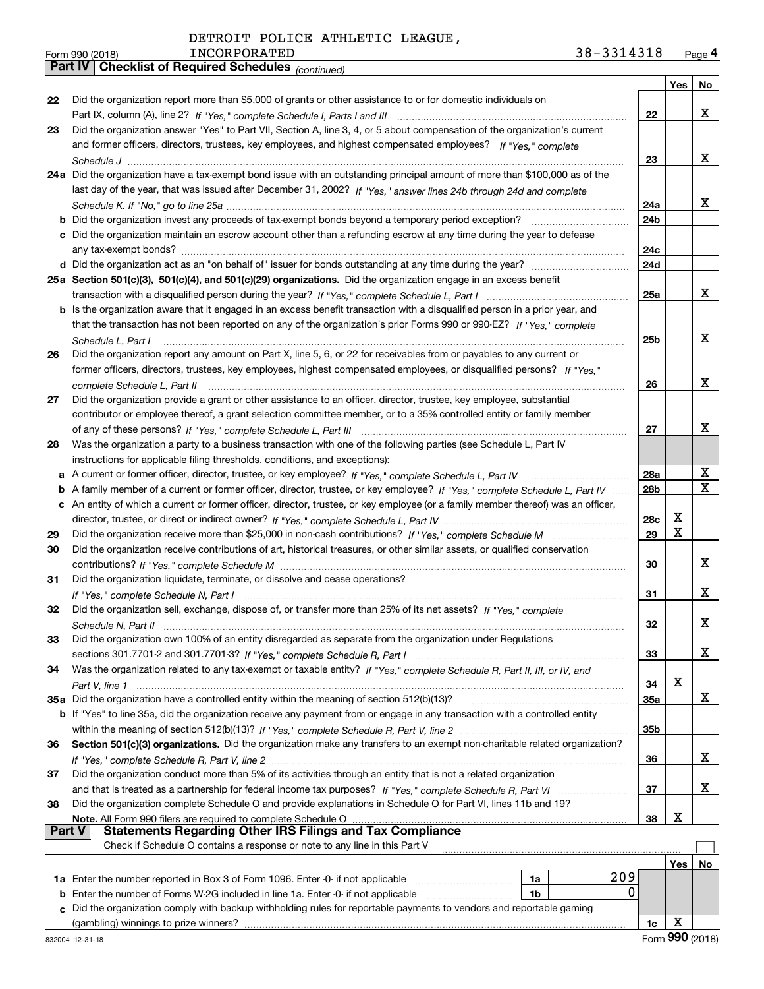|  |  | DETROIT POLICE ATHLETIC LEAGUE, |  |
|--|--|---------------------------------|--|
|--|--|---------------------------------|--|

*(continued)*

|    |                                                                                                                                   |                 | Yes | No |
|----|-----------------------------------------------------------------------------------------------------------------------------------|-----------------|-----|----|
| 22 | Did the organization report more than \$5,000 of grants or other assistance to or for domestic individuals on                     |                 |     |    |
|    |                                                                                                                                   | 22              |     | x  |
| 23 | Did the organization answer "Yes" to Part VII, Section A, line 3, 4, or 5 about compensation of the organization's current        |                 |     |    |
|    | and former officers, directors, trustees, key employees, and highest compensated employees? If "Yes," complete                    |                 |     |    |
|    |                                                                                                                                   | 23              |     | x  |
|    | 24a Did the organization have a tax-exempt bond issue with an outstanding principal amount of more than \$100,000 as of the       |                 |     |    |
|    | last day of the year, that was issued after December 31, 2002? If "Yes," answer lines 24b through 24d and complete                |                 |     |    |
|    |                                                                                                                                   | 24a             |     | x  |
|    |                                                                                                                                   | 24 <sub>b</sub> |     |    |
|    | c Did the organization maintain an escrow account other than a refunding escrow at any time during the year to defease            |                 |     |    |
|    |                                                                                                                                   | 24c             |     |    |
|    |                                                                                                                                   | 24d             |     |    |
|    | 25a Section 501(c)(3), 501(c)(4), and 501(c)(29) organizations. Did the organization engage in an excess benefit                  |                 |     |    |
|    |                                                                                                                                   | 25a             |     | x  |
|    | b Is the organization aware that it engaged in an excess benefit transaction with a disqualified person in a prior year, and      |                 |     |    |
|    | that the transaction has not been reported on any of the organization's prior Forms 990 or 990-EZ? If "Yes." complete             |                 |     |    |
|    | Schedule L, Part I                                                                                                                | 25 <sub>b</sub> |     | x  |
| 26 | Did the organization report any amount on Part X, line 5, 6, or 22 for receivables from or payables to any current or             |                 |     |    |
|    | former officers, directors, trustees, key employees, highest compensated employees, or disqualified persons? If "Yes."            |                 |     |    |
|    |                                                                                                                                   | 26              |     | x  |
| 27 | Did the organization provide a grant or other assistance to an officer, director, trustee, key employee, substantial              |                 |     |    |
|    | contributor or employee thereof, a grant selection committee member, or to a 35% controlled entity or family member               |                 |     |    |
|    |                                                                                                                                   | 27              |     | x  |
| 28 | Was the organization a party to a business transaction with one of the following parties (see Schedule L, Part IV                 |                 |     |    |
|    | instructions for applicable filing thresholds, conditions, and exceptions):                                                       |                 |     |    |
| а  |                                                                                                                                   | 28a             |     | х  |
| b  | A family member of a current or former officer, director, trustee, or key employee? If "Yes," complete Schedule L, Part IV        | 28 <sub>b</sub> |     | х  |
|    | c An entity of which a current or former officer, director, trustee, or key employee (or a family member thereof) was an officer, |                 |     |    |
|    |                                                                                                                                   | 28c             | X   |    |
| 29 |                                                                                                                                   | 29              | x   |    |
| 30 | Did the organization receive contributions of art, historical treasures, or other similar assets, or qualified conservation       |                 |     |    |
|    |                                                                                                                                   | 30              |     | x  |
| 31 | Did the organization liquidate, terminate, or dissolve and cease operations?                                                      |                 |     |    |
|    |                                                                                                                                   | 31              |     | x. |
| 32 | Did the organization sell, exchange, dispose of, or transfer more than 25% of its net assets? If "Yes," complete                  |                 |     |    |
|    |                                                                                                                                   | 32              |     | х  |
| 33 | Did the organization own 100% of an entity disregarded as separate from the organization under Regulations                        |                 |     |    |
|    |                                                                                                                                   | 33              |     | x. |
| 34 | Was the organization related to any tax-exempt or taxable entity? If "Yes," complete Schedule R, Part II, III, or IV, and         |                 |     |    |
|    |                                                                                                                                   | 34              | х   |    |
|    | 35a Did the organization have a controlled entity within the meaning of section 512(b)(13)?                                       | 35a             |     | x  |
|    | b If "Yes" to line 35a, did the organization receive any payment from or engage in any transaction with a controlled entity       |                 |     |    |
|    |                                                                                                                                   | 35b             |     |    |
| 36 | Section 501(c)(3) organizations. Did the organization make any transfers to an exempt non-charitable related organization?        |                 |     |    |
|    |                                                                                                                                   | 36              |     | x. |
| 37 | Did the organization conduct more than 5% of its activities through an entity that is not a related organization                  |                 |     |    |
|    |                                                                                                                                   | 37              |     | x. |
| 38 | Did the organization complete Schedule O and provide explanations in Schedule O for Part VI, lines 11b and 19?                    |                 |     |    |
|    | Note. All Form 990 filers are required to complete Schedule O                                                                     | 38              | х   |    |
|    | <b>Statements Regarding Other IRS Filings and Tax Compliance</b><br>Part V                                                        |                 |     |    |
|    | Check if Schedule O contains a response or note to any line in this Part V                                                        |                 |     |    |
|    |                                                                                                                                   |                 | Yes | No |
|    | 209<br>1a Enter the number reported in Box 3 of Form 1096. Enter -0- if not applicable<br>1a                                      |                 |     |    |
| b  | 0<br>Enter the number of Forms W-2G included in line 1a. Enter -0- if not applicable<br>1b                                        |                 |     |    |
| c  | Did the organization comply with backup withholding rules for reportable payments to vendors and reportable gaming                |                 | X   |    |
|    | (gambling) winnings to prize winners?                                                                                             | 1c              |     |    |

(gambling) winnings to prize winners?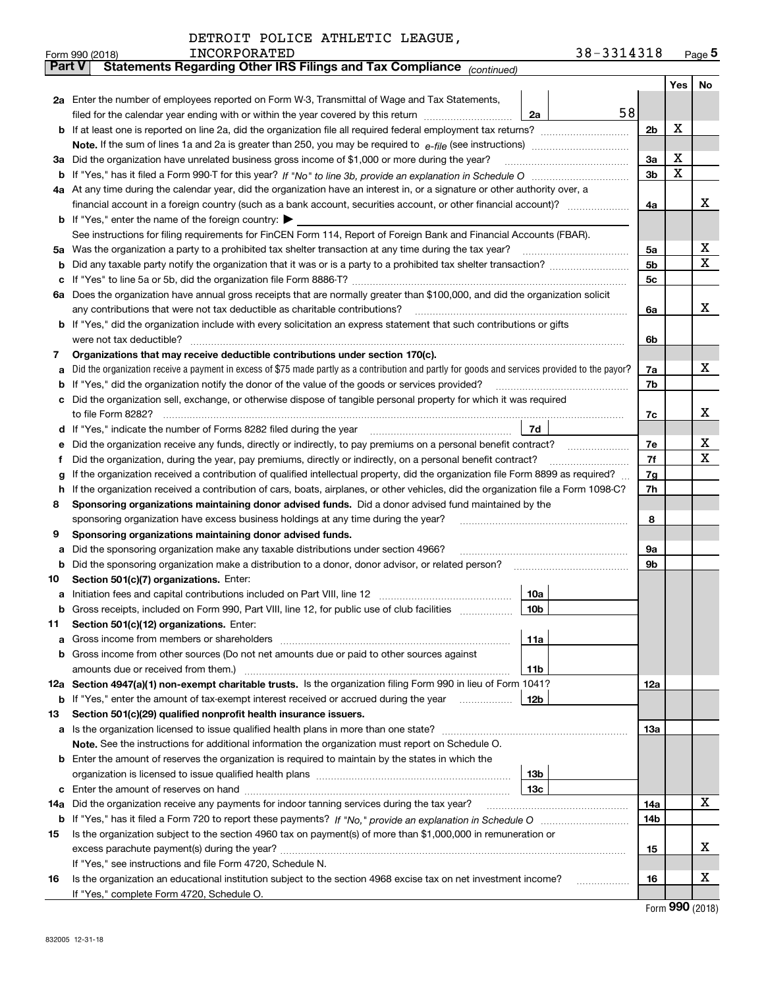|          | INCORPORATED<br>Form 990 (2018)                                                                                                                 | 38-3314318     |     | Page $5$ |
|----------|-------------------------------------------------------------------------------------------------------------------------------------------------|----------------|-----|----------|
|          | Statements Regarding Other IRS Filings and Tax Compliance (continued)<br>Part V                                                                 |                |     |          |
|          |                                                                                                                                                 |                | Yes | No       |
|          | 2a Enter the number of employees reported on Form W-3, Transmittal of Wage and Tax Statements,                                                  |                |     |          |
|          | filed for the calendar year ending with or within the year covered by this return<br>2a                                                         | 58             |     |          |
|          |                                                                                                                                                 | 2b             | х   |          |
|          |                                                                                                                                                 |                |     |          |
| За       | Did the organization have unrelated business gross income of \$1,000 or more during the year?                                                   | 3a             | X   |          |
| b        |                                                                                                                                                 | 3 <sub>b</sub> | X   |          |
|          | 4a At any time during the calendar year, did the organization have an interest in, or a signature or other authority over, a                    |                |     |          |
|          |                                                                                                                                                 | 4a             |     | х        |
|          | <b>b</b> If "Yes," enter the name of the foreign country: $\blacktriangleright$                                                                 |                |     |          |
|          | See instructions for filing requirements for FinCEN Form 114, Report of Foreign Bank and Financial Accounts (FBAR).                             |                |     |          |
| 5a       | Was the organization a party to a prohibited tax shelter transaction at any time during the tax year?                                           | 5a             |     | х        |
| b        |                                                                                                                                                 | 5b             |     | X        |
| с        |                                                                                                                                                 | 5c             |     |          |
|          | 6a Does the organization have annual gross receipts that are normally greater than \$100,000, and did the organization solicit                  |                |     |          |
|          | any contributions that were not tax deductible as charitable contributions?                                                                     | 6a             |     | x        |
|          | <b>b</b> If "Yes," did the organization include with every solicitation an express statement that such contributions or gifts                   |                |     |          |
|          | were not tax deductible?                                                                                                                        | 6b             |     |          |
| 7        | Organizations that may receive deductible contributions under section 170(c).                                                                   |                |     |          |
| а        | Did the organization receive a payment in excess of \$75 made partly as a contribution and partly for goods and services provided to the payor? | 7a             |     | x        |
| b        | If "Yes," did the organization notify the donor of the value of the goods or services provided?                                                 | 7b             |     |          |
|          | Did the organization sell, exchange, or otherwise dispose of tangible personal property for which it was required                               |                |     |          |
|          |                                                                                                                                                 | 7c             |     | x        |
| d        | 7d                                                                                                                                              |                |     |          |
| е        |                                                                                                                                                 | 7e             |     | х        |
| f        | Did the organization, during the year, pay premiums, directly or indirectly, on a personal benefit contract?                                    | 7f             |     | X        |
| g        | If the organization received a contribution of qualified intellectual property, did the organization file Form 8899 as required?                | 7g             |     |          |
| h        | If the organization received a contribution of cars, boats, airplanes, or other vehicles, did the organization file a Form 1098-C?              | 7h             |     |          |
| 8        | Sponsoring organizations maintaining donor advised funds. Did a donor advised fund maintained by the                                            |                |     |          |
|          | sponsoring organization have excess business holdings at any time during the year?                                                              | 8              |     |          |
| 9        | Sponsoring organizations maintaining donor advised funds.                                                                                       |                |     |          |
| а        | Did the sponsoring organization make any taxable distributions under section 4966?                                                              | 9а             |     |          |
| b        | Did the sponsoring organization make a distribution to a donor, donor advisor, or related person?                                               | 9b             |     |          |
| 10       | Section 501(c)(7) organizations. Enter:                                                                                                         |                |     |          |
| а        | 10a<br>Initiation fees and capital contributions included on Part VIII, line 12 [111] [11] [12] [11] [12] [11] [12] [                           |                |     |          |
|          | 10b <br>Gross receipts, included on Form 990, Part VIII, line 12, for public use of club facilities                                             |                |     |          |
| 11       | Section 501(c)(12) organizations. Enter:                                                                                                        |                |     |          |
| а        | Gross income from members or shareholders<br>11a                                                                                                |                |     |          |
| b        | Gross income from other sources (Do not net amounts due or paid to other sources against                                                        |                |     |          |
|          | 11 <sub>b</sub><br>amounts due or received from them.)                                                                                          |                |     |          |
|          | 12a Section 4947(a)(1) non-exempt charitable trusts. Is the organization filing Form 990 in lieu of Form 1041?                                  | <b>12a</b>     |     |          |
|          | 12b<br><b>b</b> If "Yes," enter the amount of tax-exempt interest received or accrued during the year <i>manument</i>                           |                |     |          |
| 13       | Section 501(c)(29) qualified nonprofit health insurance issuers.                                                                                |                |     |          |
| a        | Is the organization licensed to issue qualified health plans in more than one state?                                                            | 13a            |     |          |
|          | Note. See the instructions for additional information the organization must report on Schedule O.                                               |                |     |          |
| b        | Enter the amount of reserves the organization is required to maintain by the states in which the<br>13 <sub>b</sub>                             |                |     |          |
|          | 13 <sub>c</sub>                                                                                                                                 |                |     |          |
| с<br>14a | Did the organization receive any payments for indoor tanning services during the tax year?                                                      | 14a            |     | x        |
|          |                                                                                                                                                 | 14b            |     |          |
| 15       | Is the organization subject to the section 4960 tax on payment(s) of more than \$1,000,000 in remuneration or                                   |                |     |          |
|          |                                                                                                                                                 | 15             |     | х        |
|          | If "Yes," see instructions and file Form 4720, Schedule N.                                                                                      |                |     |          |
| 16       | Is the organization an educational institution subject to the section 4968 excise tax on net investment income?                                 | 16             |     | х        |
|          | If "Yes," complete Form 4720, Schedule O.                                                                                                       |                |     |          |

Form (2018) **990**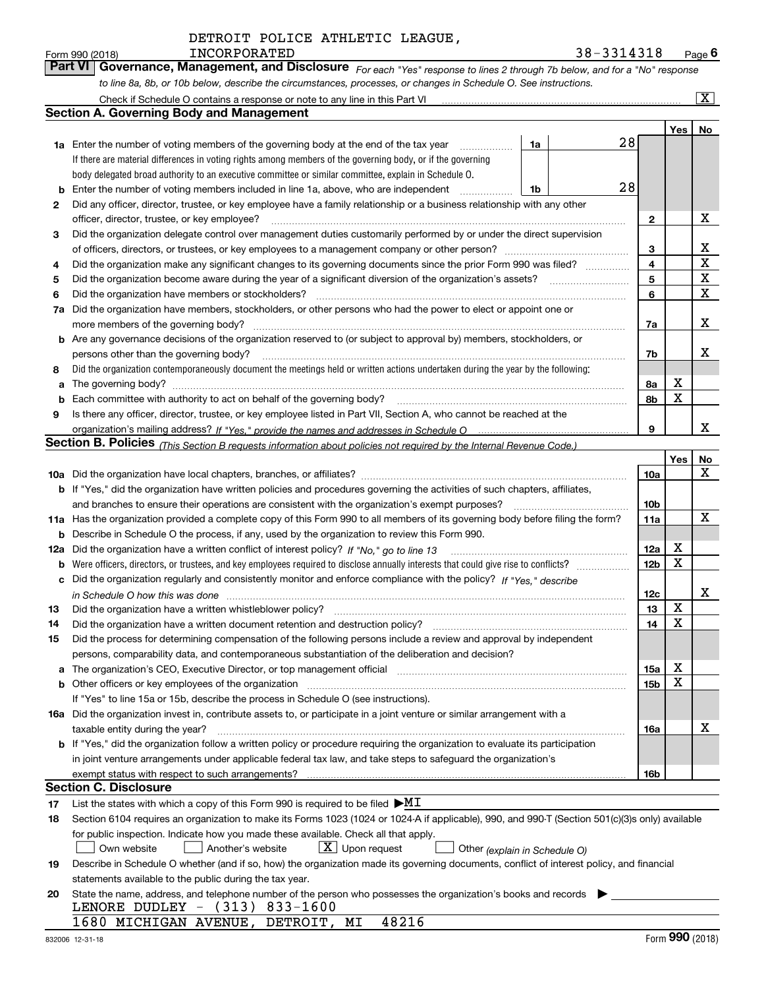| Form 990 (2018) | INCORPORATED                                                                                                     | 38-3314318                                                                                                                  | $P_{\text{aqe}}$ 6 |
|-----------------|------------------------------------------------------------------------------------------------------------------|-----------------------------------------------------------------------------------------------------------------------------|--------------------|
|                 |                                                                                                                  | Part VI Governance, Management, and Disclosure For each "Yes" response to lines 2 through 7b below, and for a "No" response |                    |
|                 | to line 8a, 8b, or 10b below, describe the circumstances, processes, or changes in Schedule O. See instructions. |                                                                                                                             |                    |

|     | Check if Schedule O contains a response or note to any line in this Part VI                                                                                           |    |    |                 |     | $\mathbf{x}$ |
|-----|-----------------------------------------------------------------------------------------------------------------------------------------------------------------------|----|----|-----------------|-----|--------------|
|     | <b>Section A. Governing Body and Management</b>                                                                                                                       |    |    |                 |     |              |
|     |                                                                                                                                                                       |    |    |                 | Yes | No           |
|     | <b>1a</b> Enter the number of voting members of the governing body at the end of the tax year                                                                         | 1a | 28 |                 |     |              |
|     | If there are material differences in voting rights among members of the governing body, or if the governing                                                           |    |    |                 |     |              |
|     | body delegated broad authority to an executive committee or similar committee, explain in Schedule O.                                                                 |    |    |                 |     |              |
| b   | Enter the number of voting members included in line 1a, above, who are independent                                                                                    | 1b | 28 |                 |     |              |
| 2   | Did any officer, director, trustee, or key employee have a family relationship or a business relationship with any other                                              |    |    |                 |     |              |
|     | officer, director, trustee, or key employee?                                                                                                                          |    |    | 2               |     | X            |
| 3   | Did the organization delegate control over management duties customarily performed by or under the direct supervision                                                 |    |    |                 |     |              |
|     |                                                                                                                                                                       |    |    | 3               |     | x            |
| 4   | Did the organization make any significant changes to its governing documents since the prior Form 990 was filed?                                                      |    |    | $\overline{4}$  |     | $\mathbf X$  |
| 5   |                                                                                                                                                                       |    |    | 5               |     | X            |
| 6   | Did the organization have members or stockholders?                                                                                                                    |    |    | 6               |     | X            |
| 7a  | Did the organization have members, stockholders, or other persons who had the power to elect or appoint one or                                                        |    |    |                 |     |              |
|     | more members of the governing body?                                                                                                                                   |    |    | 7a              |     | x            |
|     | <b>b</b> Are any governance decisions of the organization reserved to (or subject to approval by) members, stockholders, or                                           |    |    |                 |     |              |
|     | persons other than the governing body?                                                                                                                                |    |    | 7b              |     | х            |
| 8   | Did the organization contemporaneously document the meetings held or written actions undertaken during the year by the following:                                     |    |    |                 |     |              |
| a   | The governing body?                                                                                                                                                   |    |    | 8a              | х   |              |
| b   |                                                                                                                                                                       |    |    | 8b              | X   |              |
| 9   | Is there any officer, director, trustee, or key employee listed in Part VII, Section A, who cannot be reached at the                                                  |    |    |                 |     |              |
|     |                                                                                                                                                                       |    |    | 9               |     | x            |
|     | <b>Section B. Policies</b> (This Section B requests information about policies not required by the Internal Revenue Code.)                                            |    |    |                 |     |              |
|     |                                                                                                                                                                       |    |    |                 | Yes | No           |
|     |                                                                                                                                                                       |    |    | 10a             |     | x            |
|     | <b>b</b> If "Yes," did the organization have written policies and procedures governing the activities of such chapters, affiliates,                                   |    |    |                 |     |              |
|     | and branches to ensure their operations are consistent with the organization's exempt purposes?                                                                       |    |    | 10 <sub>b</sub> |     |              |
|     | 11a Has the organization provided a complete copy of this Form 990 to all members of its governing body before filing the form?                                       |    |    | 11a             |     | X            |
| b   | Describe in Schedule O the process, if any, used by the organization to review this Form 990.                                                                         |    |    |                 |     |              |
| 12a | Did the organization have a written conflict of interest policy? If "No," go to line 13                                                                               |    |    | 12a             | х   |              |
| b   |                                                                                                                                                                       |    |    | 12 <sub>b</sub> | X   |              |
| с   | Did the organization regularly and consistently monitor and enforce compliance with the policy? If "Yes." describe                                                    |    |    |                 |     |              |
|     | in Schedule O how this was done measured and contained a state of the state of the state of the state of the s                                                        |    |    | 12c             |     | х            |
| 13  | Did the organization have a written whistleblower policy?                                                                                                             |    |    | 13              | X   |              |
| 14  | Did the organization have a written document retention and destruction policy?                                                                                        |    |    | 14              | X   |              |
| 15  | Did the process for determining compensation of the following persons include a review and approval by independent                                                    |    |    |                 |     |              |
|     | persons, comparability data, and contemporaneous substantiation of the deliberation and decision?                                                                     |    |    |                 |     |              |
| a   | The organization's CEO, Executive Director, or top management official manufactured content of the organization's CEO, Executive Director, or top management official |    |    | 15a             | Χ   |              |
|     |                                                                                                                                                                       |    |    | 15b             | x   |              |
|     | If "Yes" to line 15a or 15b, describe the process in Schedule O (see instructions).                                                                                   |    |    |                 |     |              |
|     | 16a Did the organization invest in, contribute assets to, or participate in a joint venture or similar arrangement with a                                             |    |    |                 |     |              |
|     | taxable entity during the year?                                                                                                                                       |    |    | 16a             |     | X            |
|     | b If "Yes," did the organization follow a written policy or procedure requiring the organization to evaluate its participation                                        |    |    |                 |     |              |
|     | in joint venture arrangements under applicable federal tax law, and take steps to safeguard the organization's                                                        |    |    |                 |     |              |
|     | exempt status with respect to such arrangements?                                                                                                                      |    |    | 16b             |     |              |
|     | Section C. Disclosure                                                                                                                                                 |    |    |                 |     |              |
| 17  | List the states with which a copy of this Form 990 is required to be filed $\blacktriangleright\text{MI}$                                                             |    |    |                 |     |              |
| 18  | Section 6104 requires an organization to make its Forms 1023 (1024 or 1024 A if applicable), 990, and 990 T (Section 501(c)(3)s only) available                       |    |    |                 |     |              |
|     | for public inspection. Indicate how you made these available. Check all that apply.                                                                                   |    |    |                 |     |              |
|     | $X$ Upon request<br>Own website<br>Another's website<br>Other (explain in Schedule O)                                                                                 |    |    |                 |     |              |
| 19  | Describe in Schedule O whether (and if so, how) the organization made its governing documents, conflict of interest policy, and financial                             |    |    |                 |     |              |
|     | statements available to the public during the tax year.                                                                                                               |    |    |                 |     |              |
| 20  | State the name, address, and telephone number of the person who possesses the organization's books and records                                                        |    |    |                 |     |              |
|     | LENORE DUDLEY - (313) 833-1600                                                                                                                                        |    |    |                 |     |              |
|     | 48216<br>1680 MICHIGAN AVENUE, DETROIT, MI                                                                                                                            |    |    |                 |     |              |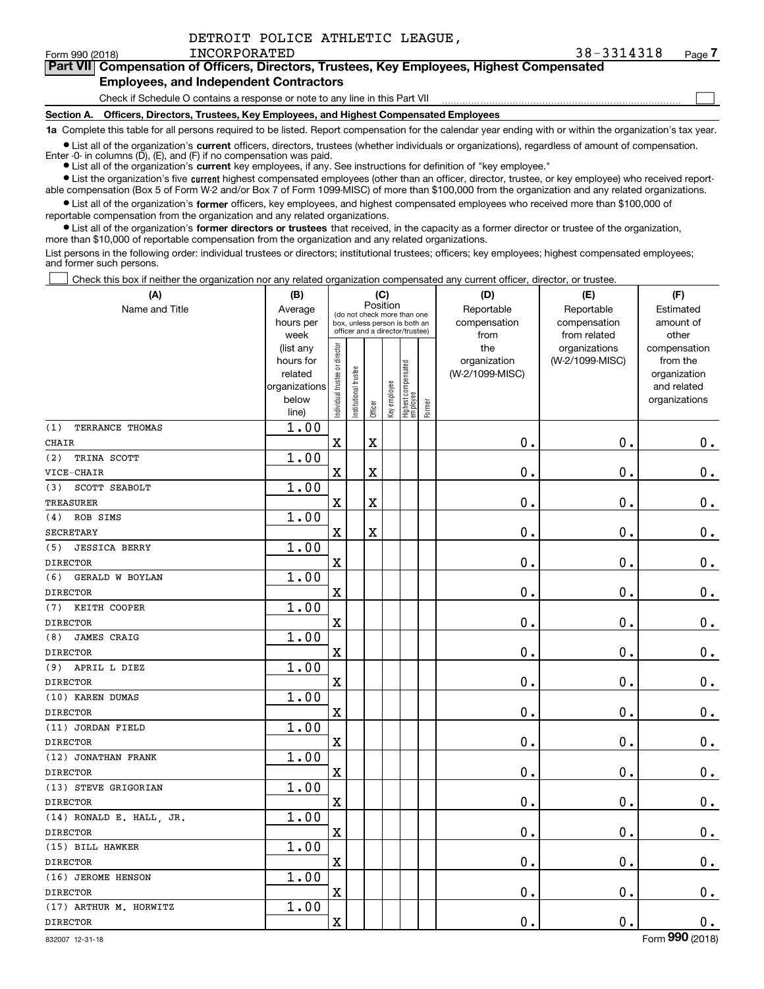|  |  | DETROIT POLICE ATHLETIC LEAGUE, |  |
|--|--|---------------------------------|--|
|--|--|---------------------------------|--|

 $\mathcal{L}^{\text{max}}$ 

## **7Part VII Compensation of Officers, Directors, Trustees, Key Employees, Highest Compensated**

### **Employees, and Independent Contractors**

Check if Schedule O contains a response or note to any line in this Part VII

**Section A. Officers, Directors, Trustees, Key Employees, and Highest Compensated Employees**

**1a**  Complete this table for all persons required to be listed. Report compensation for the calendar year ending with or within the organization's tax year.

**•** List all of the organization's current officers, directors, trustees (whether individuals or organizations), regardless of amount of compensation. Enter -0- in columns  $(D)$ ,  $(E)$ , and  $(F)$  if no compensation was paid.

● List all of the organization's **current** key employees, if any. See instructions for definition of "key employee."

**•** List the organization's five current highest compensated employees (other than an officer, director, trustee, or key employee) who received reportable compensation (Box 5 of Form W-2 and/or Box 7 of Form 1099-MISC) of more than \$100,000 from the organization and any related organizations.

 $\bullet$  List all of the organization's **former** officers, key employees, and highest compensated employees who received more than \$100,000 of reportable compensation from the organization and any related organizations.

**•** List all of the organization's former directors or trustees that received, in the capacity as a former director or trustee of the organization, more than \$10,000 of reportable compensation from the organization and any related organizations.

List persons in the following order: individual trustees or directors; institutional trustees; officers; key employees; highest compensated employees; and former such persons.

Check this box if neither the organization nor any related organization compensated any current officer, director, or trustee.  $\mathcal{L}^{\text{max}}$ 

| (A)                         | (B)                                                                  |                               |                                                                                                 | (C)                     |              |                                   |        | (D)                                    | (E)                                        | (F)                                                                      |
|-----------------------------|----------------------------------------------------------------------|-------------------------------|-------------------------------------------------------------------------------------------------|-------------------------|--------------|-----------------------------------|--------|----------------------------------------|--------------------------------------------|--------------------------------------------------------------------------|
| Name and Title              | Average<br>hours per<br>week                                         |                               | (do not check more than one<br>box, unless person is both an<br>officer and a director/trustee) | Position                |              |                                   |        | Reportable<br>compensation<br>from     | Reportable<br>compensation<br>from related | Estimated<br>amount of<br>other                                          |
|                             | (list any<br>hours for<br>related<br>organizations<br>below<br>line) | ndividual trustee or director | nstitutional trustee                                                                            | Officer                 | Key employee | Highest compensated<br>  employee | Former | the<br>organization<br>(W-2/1099-MISC) | organizations<br>(W-2/1099-MISC)           | compensation<br>from the<br>organization<br>and related<br>organizations |
| (1)<br>TERRANCE THOMAS      | 1.00                                                                 |                               |                                                                                                 |                         |              |                                   |        |                                        |                                            |                                                                          |
| <b>CHAIR</b>                |                                                                      | $\mathbf X$                   |                                                                                                 | X                       |              |                                   |        | 0.                                     | $\mathbf 0$ .                              | $\mathbf 0$ .                                                            |
| TRINA SCOTT<br>(2)          | 1.00                                                                 |                               |                                                                                                 |                         |              |                                   |        |                                        |                                            |                                                                          |
| VICE-CHAIR                  |                                                                      | $\overline{\mathbf{X}}$       |                                                                                                 | X                       |              |                                   |        | $\mathbf 0$ .                          | $\mathbf 0$ .                              | $0_{.}$                                                                  |
| SCOTT SEABOLT<br>(3)        | 1.00                                                                 |                               |                                                                                                 |                         |              |                                   |        |                                        |                                            |                                                                          |
| <b>TREASURER</b>            |                                                                      | $\mathbf X$                   |                                                                                                 | X                       |              |                                   |        | $\mathbf 0$ .                          | $\mathbf 0$ .                              | $\mathbf 0$ .                                                            |
| ROB SIMS<br>(4)             | 1.00                                                                 |                               |                                                                                                 |                         |              |                                   |        |                                        |                                            |                                                                          |
| <b>SECRETARY</b>            |                                                                      | $\overline{\mathbf{X}}$       |                                                                                                 | $\overline{\textbf{X}}$ |              |                                   |        | $\mathbf 0$ .                          | $\mathbf 0$ .                              | $\mathbf 0$ .                                                            |
| (5)<br><b>JESSICA BERRY</b> | 1.00                                                                 |                               |                                                                                                 |                         |              |                                   |        |                                        |                                            |                                                                          |
| <b>DIRECTOR</b>             |                                                                      | $\overline{\mathbf{X}}$       |                                                                                                 |                         |              |                                   |        | $\mathbf 0$ .                          | $\mathbf 0$ .                              | $\mathbf 0$ .                                                            |
| (6)<br>GERALD W BOYLAN      | 1.00                                                                 |                               |                                                                                                 |                         |              |                                   |        |                                        |                                            |                                                                          |
| <b>DIRECTOR</b>             |                                                                      | $\mathbf X$                   |                                                                                                 |                         |              |                                   |        | $\mathbf 0$ .                          | $\mathbf 0$ .                              | $\mathbf 0$ .                                                            |
| KEITH COOPER<br>(7)         | 1.00                                                                 |                               |                                                                                                 |                         |              |                                   |        |                                        |                                            |                                                                          |
| <b>DIRECTOR</b>             |                                                                      | $\mathbf X$                   |                                                                                                 |                         |              |                                   |        | $\mathbf 0$ .                          | $\mathbf 0$ .                              | $\mathbf 0$ .                                                            |
| <b>JAMES CRAIG</b><br>(8)   | 1.00                                                                 |                               |                                                                                                 |                         |              |                                   |        |                                        |                                            |                                                                          |
| <b>DIRECTOR</b>             |                                                                      | $\overline{\mathbf{X}}$       |                                                                                                 |                         |              |                                   |        | $\mathbf 0$ .                          | $\mathbf 0$ .                              | $\mathbf 0$ .                                                            |
| APRIL L DIEZ<br>(9)         | 1.00                                                                 |                               |                                                                                                 |                         |              |                                   |        |                                        |                                            |                                                                          |
| <b>DIRECTOR</b>             |                                                                      | $\mathbf X$                   |                                                                                                 |                         |              |                                   |        | $\mathbf 0$ .                          | $\mathbf 0$ .                              | $\mathbf 0$ .                                                            |
| (10) KAREN DUMAS            | 1.00                                                                 |                               |                                                                                                 |                         |              |                                   |        |                                        |                                            |                                                                          |
| <b>DIRECTOR</b>             |                                                                      | $\mathbf X$                   |                                                                                                 |                         |              |                                   |        | $\mathbf 0$ .                          | $\mathbf 0$ .                              | $\mathbf 0$ .                                                            |
| (11) JORDAN FIELD           | 1.00                                                                 |                               |                                                                                                 |                         |              |                                   |        |                                        |                                            |                                                                          |
| <b>DIRECTOR</b>             |                                                                      | $\mathbf X$                   |                                                                                                 |                         |              |                                   |        | $\mathbf 0$ .                          | $\mathbf 0$ .                              | $\mathbf 0$ .                                                            |
| (12) JONATHAN FRANK         | 1.00                                                                 |                               |                                                                                                 |                         |              |                                   |        |                                        |                                            |                                                                          |
| <b>DIRECTOR</b>             |                                                                      | $\overline{\mathbf{X}}$       |                                                                                                 |                         |              |                                   |        | $\mathbf 0$ .                          | $\mathbf 0$ .                              | $\mathbf 0$ .                                                            |
| (13) STEVE GRIGORIAN        | 1.00                                                                 |                               |                                                                                                 |                         |              |                                   |        |                                        |                                            |                                                                          |
| <b>DIRECTOR</b>             |                                                                      | $\mathbf X$                   |                                                                                                 |                         |              |                                   |        | $\mathbf 0$ .                          | $\mathbf 0$ .                              | $\mathbf 0$ .                                                            |
| (14) RONALD E. HALL, JR.    | 1.00                                                                 |                               |                                                                                                 |                         |              |                                   |        |                                        |                                            |                                                                          |
| <b>DIRECTOR</b>             |                                                                      | $\mathbf X$                   |                                                                                                 |                         |              |                                   |        | $\mathbf 0$ .                          | $\mathbf 0$ .                              | $\mathbf 0$ .                                                            |
| (15) BILL HAWKER            | 1.00                                                                 |                               |                                                                                                 |                         |              |                                   |        |                                        |                                            |                                                                          |
| <b>DIRECTOR</b>             |                                                                      | $\mathbf X$                   |                                                                                                 |                         |              |                                   |        | $\mathbf 0$ .                          | $\mathbf 0$ .                              | $\mathbf 0$ .                                                            |
| (16) JEROME HENSON          | 1.00                                                                 |                               |                                                                                                 |                         |              |                                   |        |                                        |                                            |                                                                          |
| <b>DIRECTOR</b>             |                                                                      | $\overline{\mathbf{X}}$       |                                                                                                 |                         |              |                                   |        | $\mathbf 0$ .                          | $\mathbf 0$ .                              | $0_{.}$                                                                  |
| (17) ARTHUR M. HORWITZ      | 1.00                                                                 |                               |                                                                                                 |                         |              |                                   |        |                                        |                                            |                                                                          |
| <b>DIRECTOR</b>             |                                                                      | $\mathbf x$                   |                                                                                                 |                         |              |                                   |        | $\mathbf 0$ .                          | $\mathbf 0$ .                              | $0_{.}$                                                                  |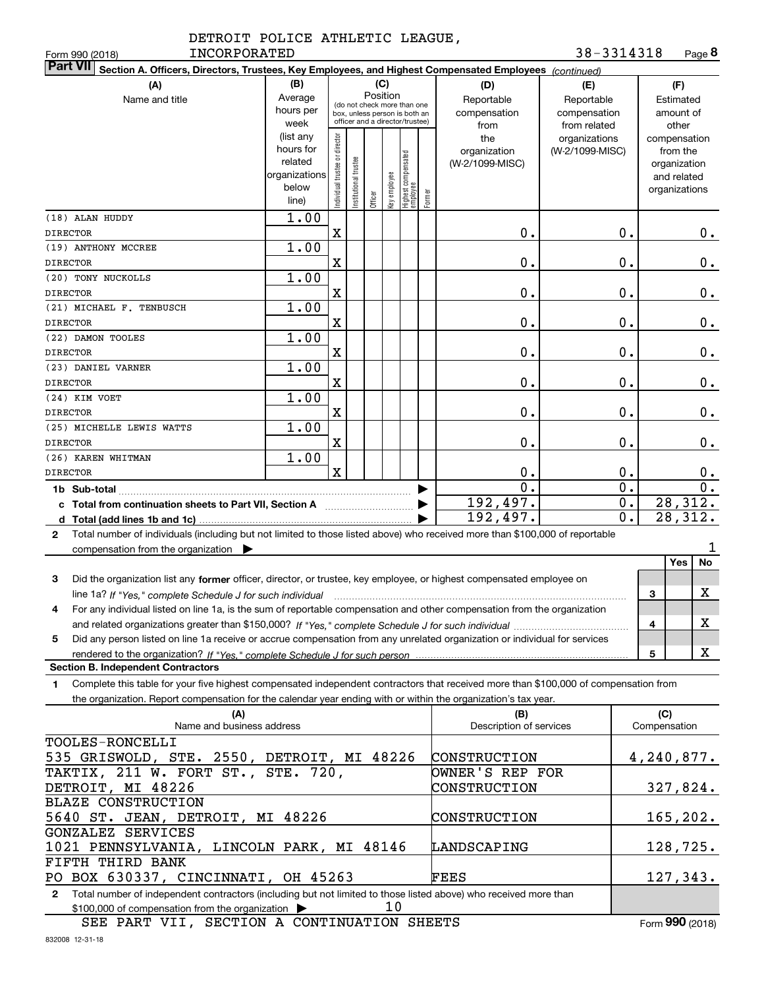|              | DETROIT POLICE ATHLETIC LEAGUE, |  |
|--------------|---------------------------------|--|
| INCORPORATED |                                 |  |

| INCORPORATED<br>Form 990 (2018)                                                                                                                   |               |                                |                       |         |              |                                                              |              |                         | 38-3314318       | Page 8           |
|---------------------------------------------------------------------------------------------------------------------------------------------------|---------------|--------------------------------|-----------------------|---------|--------------|--------------------------------------------------------------|--------------|-------------------------|------------------|------------------|
| <b>Part VII</b><br>Section A. Officers, Directors, Trustees, Key Employees, and Highest Compensated Employees (continued)                         |               |                                |                       |         |              |                                                              |              |                         |                  |                  |
| (A)                                                                                                                                               | (B)           |                                |                       |         | (C)          |                                                              |              | (D)                     | (E)              | (F)              |
| Name and title                                                                                                                                    | Average       |                                |                       |         | Position     |                                                              |              | Reportable              | Reportable       | Estimated        |
|                                                                                                                                                   | hours per     |                                |                       |         |              | (do not check more than one<br>box, unless person is both an |              | compensation            | compensation     | amount of        |
|                                                                                                                                                   | week          |                                |                       |         |              | officer and a director/trustee)                              |              | from                    | from related     | other            |
|                                                                                                                                                   | (list any     |                                |                       |         |              |                                                              |              | the                     | organizations    | compensation     |
|                                                                                                                                                   | hours for     |                                |                       |         |              |                                                              |              | organization            | (W-2/1099-MISC)  | from the         |
|                                                                                                                                                   | related       |                                |                       |         |              |                                                              |              | (W-2/1099-MISC)         |                  | organization     |
|                                                                                                                                                   | organizations |                                |                       |         |              |                                                              |              |                         |                  | and related      |
|                                                                                                                                                   | below         | Individual trustee or director | Institutional trustee |         | Key employee | Highest compensated<br>  employee                            |              |                         |                  | organizations    |
|                                                                                                                                                   | line)         |                                |                       | Officer |              |                                                              | Former       |                         |                  |                  |
| (18) ALAN HUDDY                                                                                                                                   | 1.00          |                                |                       |         |              |                                                              |              |                         |                  |                  |
| <b>DIRECTOR</b>                                                                                                                                   |               | $\mathbf X$                    |                       |         |              |                                                              |              | 0.                      | 0.               | $0$ .            |
| (19) ANTHONY MCCREE                                                                                                                               | 1.00          |                                |                       |         |              |                                                              |              |                         |                  |                  |
| <b>DIRECTOR</b>                                                                                                                                   |               | X                              |                       |         |              |                                                              |              | 0.                      | 0.               | 0.               |
| (20) TONY NUCKOLLS                                                                                                                                | 1.00          |                                |                       |         |              |                                                              |              |                         |                  |                  |
| <b>DIRECTOR</b>                                                                                                                                   |               | X                              |                       |         |              |                                                              |              | 0.                      | 0.               | 0.               |
| (21) MICHAEL F. TENBUSCH                                                                                                                          | 1.00          |                                |                       |         |              |                                                              |              |                         |                  |                  |
| <b>DIRECTOR</b>                                                                                                                                   |               | X                              |                       |         |              |                                                              |              | 0.                      | 0.               | 0.               |
| (22) DAMON TOOLES                                                                                                                                 | 1.00          |                                |                       |         |              |                                                              |              |                         |                  |                  |
| <b>DIRECTOR</b>                                                                                                                                   |               | X                              |                       |         |              |                                                              |              | 0.                      | 0.               | 0.               |
| (23) DANIEL VARNER<br><b>DIRECTOR</b>                                                                                                             | 1.00          | X                              |                       |         |              |                                                              |              | 0.                      | 0.               |                  |
| (24) KIM VOET                                                                                                                                     | 1.00          |                                |                       |         |              |                                                              |              |                         |                  | 0.               |
| <b>DIRECTOR</b>                                                                                                                                   |               | X                              |                       |         |              |                                                              |              | 0.                      | 0.               | 0.               |
| (25) MICHELLE LEWIS WATTS                                                                                                                         | 1.00          |                                |                       |         |              |                                                              |              |                         |                  |                  |
| <b>DIRECTOR</b>                                                                                                                                   |               | X                              |                       |         |              |                                                              |              | 0.                      | 0.               | 0.               |
| (26) KAREN WHITMAN                                                                                                                                | 1.00          |                                |                       |         |              |                                                              |              |                         |                  |                  |
| <b>DIRECTOR</b>                                                                                                                                   |               | $\mathbf x$                    |                       |         |              |                                                              |              | 0.                      | 0.               | 0.               |
|                                                                                                                                                   |               |                                |                       |         |              |                                                              |              | $\overline{0}$ .        | $\overline{0}$ . | $\overline{0}$ . |
| c Total from continuation sheets to Part VII, Section A                                                                                           |               |                                |                       |         |              |                                                              |              | 192,497.                | $\overline{0}$ . | 28,312.          |
|                                                                                                                                                   |               |                                |                       |         |              |                                                              |              | 192,497.                | $\overline{0}$ . | 28, 312.         |
| Total number of individuals (including but not limited to those listed above) who received more than \$100,000 of reportable<br>$\mathbf{2}$      |               |                                |                       |         |              |                                                              |              |                         |                  |                  |
| compensation from the organization $\blacktriangleright$                                                                                          |               |                                |                       |         |              |                                                              |              |                         |                  | 1                |
|                                                                                                                                                   |               |                                |                       |         |              |                                                              |              |                         |                  | Yes<br>No        |
| 3<br>Did the organization list any former officer, director, or trustee, key employee, or highest compensated employee on                         |               |                                |                       |         |              |                                                              |              |                         |                  |                  |
| line 1a? If "Yes," complete Schedule J for such individual material content content to the content of the complete Schedule J for such individual |               |                                |                       |         |              |                                                              |              |                         |                  | X<br>3           |
| For any individual listed on line 1a, is the sum of reportable compensation and other compensation from the organization                          |               |                                |                       |         |              |                                                              |              |                         |                  |                  |
|                                                                                                                                                   |               |                                |                       |         |              |                                                              |              |                         |                  | х<br>4           |
| Did any person listed on line 1a receive or accrue compensation from any unrelated organization or individual for services<br>5                   |               |                                |                       |         |              |                                                              |              |                         |                  |                  |
| rendered to the organization? If "Yes." complete Schedule J for such person                                                                       |               |                                |                       |         |              |                                                              |              |                         |                  | X<br>5           |
| <b>Section B. Independent Contractors</b>                                                                                                         |               |                                |                       |         |              |                                                              |              |                         |                  |                  |
| Complete this table for your five highest compensated independent contractors that received more than \$100,000 of compensation from<br>1         |               |                                |                       |         |              |                                                              |              |                         |                  |                  |
| the organization. Report compensation for the calendar year ending with or within the organization's tax year.                                    |               |                                |                       |         |              |                                                              |              |                         |                  |                  |
| (A)                                                                                                                                               |               |                                |                       |         |              |                                                              |              | (B)                     |                  | (C)              |
| Name and business address                                                                                                                         |               |                                |                       |         |              |                                                              |              | Description of services |                  | Compensation     |
| TOOLES-RONCELLI                                                                                                                                   |               |                                |                       |         |              |                                                              |              |                         |                  |                  |
| 535 GRISWOLD, STE. 2550, DETROIT, MI 48226<br>CONSTRUCTION                                                                                        |               |                                |                       |         |              |                                                              | 4, 240, 877. |                         |                  |                  |
| TAKTIX, 211 W. FORT ST., STE. 720,<br>OWNER'S REP FOR                                                                                             |               |                                |                       |         |              |                                                              |              |                         |                  |                  |
| DETROIT, MI 48226                                                                                                                                 |               |                                |                       |         |              |                                                              |              | CONSTRUCTION            |                  | 327,824.         |
| <b>BLAZE CONSTRUCTION</b>                                                                                                                         |               |                                |                       |         |              |                                                              |              |                         |                  |                  |
| 5640 ST. JEAN, DETROIT, MI 48226                                                                                                                  |               |                                |                       |         |              |                                                              |              | CONSTRUCTION            |                  | 165, 202.        |
| GONZALEZ SERVICES                                                                                                                                 |               |                                |                       |         |              |                                                              |              |                         |                  |                  |
| 1021 PENNSYLVANIA, LINCOLN PARK, MI 48146                                                                                                         |               |                                |                       |         |              |                                                              |              | LANDSCAPING             |                  | 128, 725.        |
| FIFTH THIRD BANK                                                                                                                                  |               |                                |                       |         |              |                                                              |              |                         |                  |                  |
| PO BOX 630337, CINCINNATI, OH 45263                                                                                                               |               |                                |                       |         |              |                                                              |              | FEES                    |                  | 127,343.         |
| Total number of independent contractors (including but not limited to those listed above) who received more than                                  |               |                                |                       |         |              |                                                              |              |                         |                  |                  |

**2**Total number of independent contractors (including but not limited to those listed above) who received more than \$100,000 of compensation from the organization 10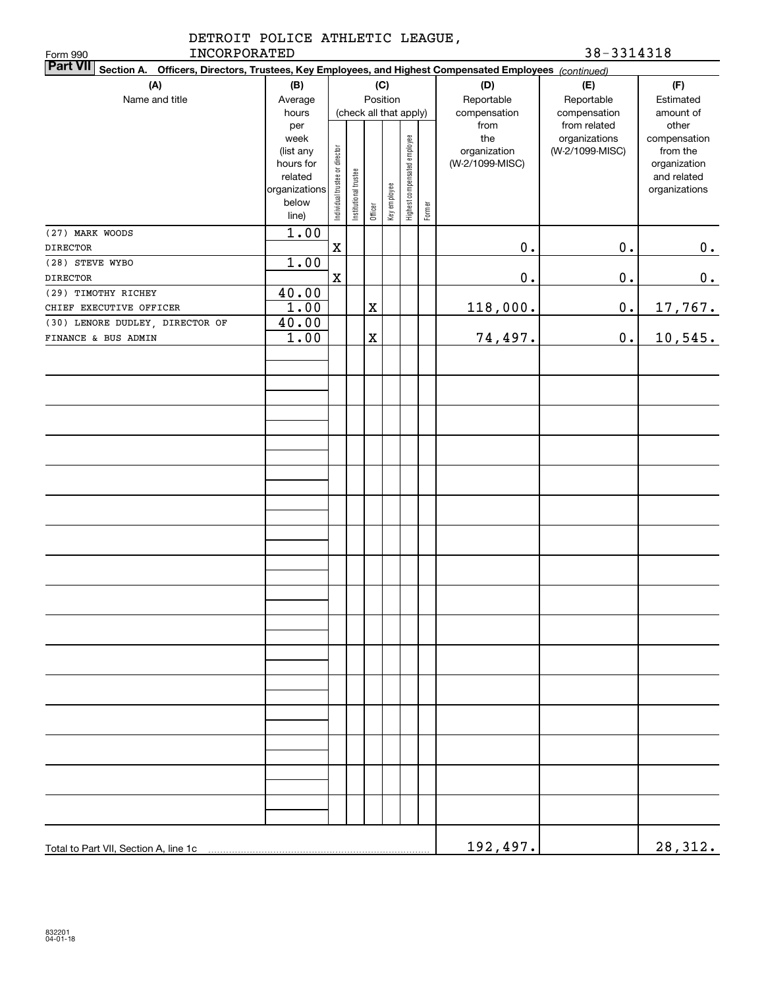| DETROIT POLICE ATHLETIC LEAGUE,<br>INCORPORATED<br>Form 990                                                               |                                                                              |                                |                       |             |                        |                              |        |                                        | 38-3314318                       |                                                                          |
|---------------------------------------------------------------------------------------------------------------------------|------------------------------------------------------------------------------|--------------------------------|-----------------------|-------------|------------------------|------------------------------|--------|----------------------------------------|----------------------------------|--------------------------------------------------------------------------|
| <b>Part VII</b><br>Section A. Officers, Directors, Trustees, Key Employees, and Highest Compensated Employees (continued) |                                                                              |                                |                       |             |                        |                              |        |                                        |                                  |                                                                          |
| (A)                                                                                                                       | (B)                                                                          |                                |                       |             | (C)                    |                              |        | (D)                                    | (E)                              | (F)                                                                      |
| Name and title                                                                                                            | Average                                                                      |                                |                       |             | Position               |                              |        | Reportable                             | Reportable                       | Estimated                                                                |
|                                                                                                                           | hours<br>per                                                                 |                                |                       |             | (check all that apply) |                              |        | compensation<br>from                   | compensation<br>from related     | amount of<br>other                                                       |
|                                                                                                                           | week<br>(list any<br>hours for<br>related<br>organizations<br>below<br>line) | Individual trustee or director | Institutional trustee | Officer     | Key employee           | Highest compensated employee | Former | the<br>organization<br>(W-2/1099-MISC) | organizations<br>(W-2/1099-MISC) | compensation<br>from the<br>organization<br>and related<br>organizations |
| (27) MARK WOODS                                                                                                           | 1.00                                                                         |                                |                       |             |                        |                              |        |                                        |                                  |                                                                          |
| <b>DIRECTOR</b>                                                                                                           |                                                                              | $\mathbf X$                    |                       |             |                        |                              |        | $0$ .                                  | $\mathbf 0$ .                    | 0.                                                                       |
| (28) STEVE WYBO                                                                                                           | 1.00                                                                         |                                |                       |             |                        |                              |        |                                        |                                  |                                                                          |
| <b>DIRECTOR</b>                                                                                                           |                                                                              | $\mathbf X$                    |                       |             |                        |                              |        | $0$ .                                  | $\mathbf 0$ .                    | $0_{.}$                                                                  |
| (29) TIMOTHY RICHEY                                                                                                       | 40.00                                                                        |                                |                       |             |                        |                              |        |                                        |                                  |                                                                          |
| CHIEF EXECUTIVE OFFICER                                                                                                   | 1.00                                                                         |                                |                       | $\mathbf X$ |                        |                              |        | 118,000.                               | $0$ .                            | <u>17,767.</u>                                                           |
| (30) LENORE DUDLEY, DIRECTOR OF                                                                                           | 40.00                                                                        |                                |                       |             |                        |                              |        |                                        |                                  |                                                                          |
| FINANCE & BUS ADMIN                                                                                                       | 1.00                                                                         |                                |                       | $\mathbf X$ |                        |                              |        | 74,497.                                | $\mathbf 0$ .                    | 10, 545.                                                                 |
|                                                                                                                           |                                                                              |                                |                       |             |                        |                              |        |                                        |                                  |                                                                          |
|                                                                                                                           |                                                                              |                                |                       |             |                        |                              |        |                                        |                                  |                                                                          |
|                                                                                                                           |                                                                              |                                |                       |             |                        |                              |        |                                        |                                  |                                                                          |
|                                                                                                                           |                                                                              |                                |                       |             |                        |                              |        |                                        |                                  |                                                                          |
|                                                                                                                           |                                                                              |                                |                       |             |                        |                              |        |                                        |                                  |                                                                          |
|                                                                                                                           |                                                                              |                                |                       |             |                        |                              |        |                                        |                                  |                                                                          |
|                                                                                                                           |                                                                              |                                |                       |             |                        |                              |        |                                        |                                  |                                                                          |
|                                                                                                                           |                                                                              |                                |                       |             |                        |                              |        |                                        |                                  |                                                                          |
|                                                                                                                           |                                                                              |                                |                       |             |                        |                              |        |                                        |                                  |                                                                          |
|                                                                                                                           |                                                                              |                                |                       |             |                        |                              |        |                                        |                                  |                                                                          |
|                                                                                                                           |                                                                              |                                |                       |             |                        |                              |        |                                        |                                  |                                                                          |
|                                                                                                                           |                                                                              |                                |                       |             |                        |                              |        |                                        |                                  |                                                                          |
|                                                                                                                           |                                                                              |                                |                       |             |                        |                              |        |                                        |                                  |                                                                          |
|                                                                                                                           |                                                                              |                                |                       |             |                        |                              |        |                                        |                                  |                                                                          |
|                                                                                                                           |                                                                              |                                |                       |             |                        |                              |        |                                        |                                  |                                                                          |
|                                                                                                                           |                                                                              |                                |                       |             |                        |                              |        |                                        |                                  |                                                                          |
|                                                                                                                           |                                                                              |                                |                       |             |                        |                              |        |                                        |                                  |                                                                          |
| Total to Part VII, Section A, line 1c                                                                                     |                                                                              |                                |                       |             |                        |                              |        | 192,497.                               |                                  | 28,312.                                                                  |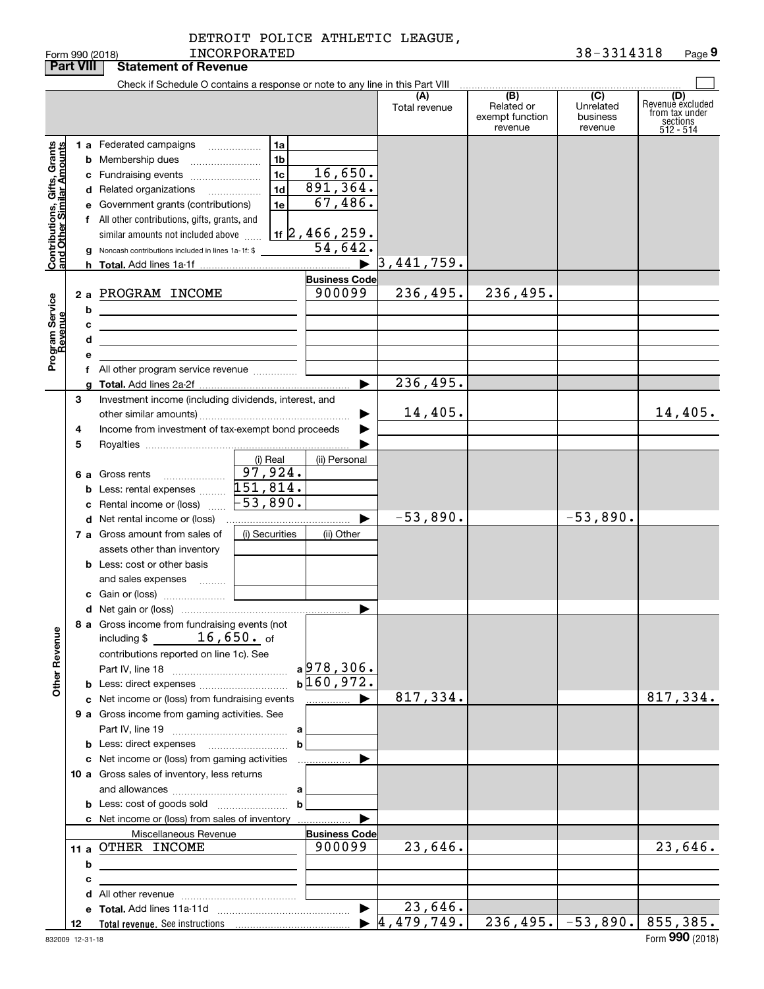|  | DETROIT POLICE ATHLETIC LEAGUE, |  |
|--|---------------------------------|--|
|  |                                 |  |

|                                                                                         | <b>Part VIII</b>  | <b>Statement of Revenue</b>                                                                                                                                                                                                                                                                                                                                                                                                                                                                                                                |                                                                |                                                                                                                                |                                  |                                                 |                                         |                                                                    |
|-----------------------------------------------------------------------------------------|-------------------|--------------------------------------------------------------------------------------------------------------------------------------------------------------------------------------------------------------------------------------------------------------------------------------------------------------------------------------------------------------------------------------------------------------------------------------------------------------------------------------------------------------------------------------------|----------------------------------------------------------------|--------------------------------------------------------------------------------------------------------------------------------|----------------------------------|-------------------------------------------------|-----------------------------------------|--------------------------------------------------------------------|
|                                                                                         |                   | Check if Schedule O contains a response or note to any line in this Part VIII                                                                                                                                                                                                                                                                                                                                                                                                                                                              |                                                                |                                                                                                                                |                                  |                                                 |                                         |                                                                    |
|                                                                                         |                   |                                                                                                                                                                                                                                                                                                                                                                                                                                                                                                                                            |                                                                |                                                                                                                                | (A)<br>Total revenue             | (B)<br>Related or<br>exempt function<br>revenue | (C)<br>Unrelated<br>business<br>revenue | (D)<br>Revenuè excluded<br>from tax under<br>sections<br>512 - 514 |
| Contributions, Gifts, Grants<br>and Other Similar Amounts<br>Program Service<br>Revenue | 2a<br>b<br>с<br>d | 1 a Federated campaigns<br><b>b</b> Membership dues<br>c Fundraising events<br>d Related organizations<br>e Government grants (contributions)<br>f All other contributions, gifts, grants, and<br>similar amounts not included above<br><b>g</b> Noncash contributions included in lines 1a-1f: \$<br>PROGRAM INCOME<br><u> 1989 - Johann Barbara, martin amerikan basar dan berasal dalam basa dalam basar dalam basar dalam basa dalam</u><br><u> 1989 - Johann Barbara, martxa alemaniar arg</u><br>f All other program service revenue | 1a<br>1 <sub>b</sub><br>1 <sub>c</sub><br>1 <sub>d</sub><br>1e | 16,650.<br>891, 364.<br>67,486.<br>$1$ 1 $2$ , 466, 259.<br>54,642.<br>$\blacktriangleright$<br><b>Business Code</b><br>900099 | 3,441,759.<br>236,495.           | 236,495.                                        |                                         |                                                                    |
|                                                                                         |                   |                                                                                                                                                                                                                                                                                                                                                                                                                                                                                                                                            |                                                                | ▶                                                                                                                              | 236,495.                         |                                                 |                                         |                                                                    |
|                                                                                         | 3<br>4<br>5       | Investment income (including dividends, interest, and<br>Income from investment of tax-exempt bond proceeds                                                                                                                                                                                                                                                                                                                                                                                                                                |                                                                |                                                                                                                                | 14,405.                          |                                                 |                                         | 14,405.                                                            |
|                                                                                         |                   | 6 a Gross rents<br>$\ldots \ldots \ldots \ldots \ldots$<br><b>b</b> Less: rental expenses<br>Rental income or (loss)                                                                                                                                                                                                                                                                                                                                                                                                                       | (i) Real<br>97,924.<br>151,814.<br>$-53,890$ .                 | (ii) Personal                                                                                                                  |                                  |                                                 |                                         |                                                                    |
|                                                                                         |                   |                                                                                                                                                                                                                                                                                                                                                                                                                                                                                                                                            |                                                                | ▶                                                                                                                              | $-53,890.$                       |                                                 | $-53,890.$                              |                                                                    |
|                                                                                         |                   | 7 a Gross amount from sales of<br>assets other than inventory<br><b>b</b> Less: cost or other basis<br>and sales expenses                                                                                                                                                                                                                                                                                                                                                                                                                  | (i) Securities                                                 | (ii) Other                                                                                                                     |                                  |                                                 |                                         |                                                                    |
| <b>Other Revenue</b>                                                                    |                   | 8 a Gross income from fundraising events (not<br>including $$16,650.$ of<br>contributions reported on line 1c). See<br><b>b</b> Less: direct expenses                                                                                                                                                                                                                                                                                                                                                                                      |                                                                | ▶<br>a978,306.<br>$b\overline{160,972.}$                                                                                       |                                  |                                                 |                                         |                                                                    |
|                                                                                         |                   | c Net income or (loss) from fundraising events                                                                                                                                                                                                                                                                                                                                                                                                                                                                                             |                                                                | <u></u> ▶                                                                                                                      | 817,334.                         |                                                 |                                         | 817,334.                                                           |
|                                                                                         |                   | 9 a Gross income from gaming activities. See                                                                                                                                                                                                                                                                                                                                                                                                                                                                                               |                                                                |                                                                                                                                |                                  |                                                 |                                         |                                                                    |
|                                                                                         |                   |                                                                                                                                                                                                                                                                                                                                                                                                                                                                                                                                            | b                                                              | .                                                                                                                              |                                  |                                                 |                                         |                                                                    |
|                                                                                         |                   | c Net income or (loss) from gaming activities<br>10 a Gross sales of inventory, less returns                                                                                                                                                                                                                                                                                                                                                                                                                                               |                                                                |                                                                                                                                |                                  |                                                 |                                         |                                                                    |
|                                                                                         |                   | c Net income or (loss) from sales of inventory                                                                                                                                                                                                                                                                                                                                                                                                                                                                                             |                                                                |                                                                                                                                |                                  |                                                 |                                         |                                                                    |
|                                                                                         | b                 | Miscellaneous Revenue<br>11 a OTHER INCOME                                                                                                                                                                                                                                                                                                                                                                                                                                                                                                 |                                                                | <b>Business Code</b><br>900099                                                                                                 | 23,646.                          |                                                 |                                         | 23,646.                                                            |
|                                                                                         | с                 | the control of the control of the control of the control of the control of                                                                                                                                                                                                                                                                                                                                                                                                                                                                 |                                                                |                                                                                                                                |                                  |                                                 |                                         |                                                                    |
|                                                                                         |                   |                                                                                                                                                                                                                                                                                                                                                                                                                                                                                                                                            |                                                                |                                                                                                                                |                                  |                                                 |                                         |                                                                    |
|                                                                                         |                   |                                                                                                                                                                                                                                                                                                                                                                                                                                                                                                                                            |                                                                | $\blacktriangleright$                                                                                                          | 23,646.                          |                                                 |                                         |                                                                    |
|                                                                                         | 12                |                                                                                                                                                                                                                                                                                                                                                                                                                                                                                                                                            |                                                                |                                                                                                                                | $\blacktriangleright$ 4,479,749. |                                                 | $236, 495.$ $-53, 890.$ 855, 385.       |                                                                    |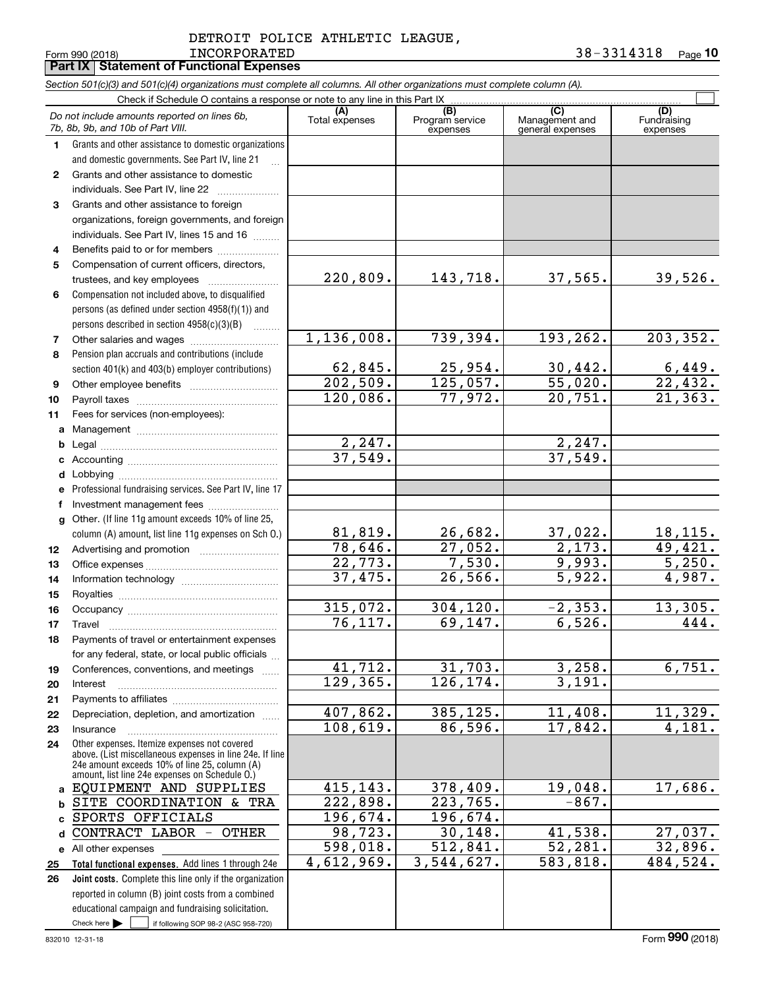#### INCORPORATED 38-3314318 DETROIT POLICE ATHLETIC LEAGUE,

Form 990 (2018) Page **Part IX Statement of Functional Expenses 10**

|              | Section 501(c)(3) and 501(c)(4) organizations must complete all columns. All other organizations must complete column (A).                                                                                  |                           |                             |                                    |                         |  |  |  |  |  |
|--------------|-------------------------------------------------------------------------------------------------------------------------------------------------------------------------------------------------------------|---------------------------|-----------------------------|------------------------------------|-------------------------|--|--|--|--|--|
|              | Check if Schedule O contains a response or note to any line in this Part IX                                                                                                                                 |                           | (B)                         | (C)                                | (D)                     |  |  |  |  |  |
|              | Do not include amounts reported on lines 6b,<br>7b, 8b, 9b, and 10b of Part VIII.                                                                                                                           | (A)<br>Total expenses     | Program service<br>expenses | Management and<br>general expenses | Fundraising<br>expenses |  |  |  |  |  |
| 1.           | Grants and other assistance to domestic organizations                                                                                                                                                       |                           |                             |                                    |                         |  |  |  |  |  |
|              | and domestic governments. See Part IV, line 21                                                                                                                                                              |                           |                             |                                    |                         |  |  |  |  |  |
| $\mathbf{2}$ | Grants and other assistance to domestic                                                                                                                                                                     |                           |                             |                                    |                         |  |  |  |  |  |
|              | individuals. See Part IV, line 22                                                                                                                                                                           |                           |                             |                                    |                         |  |  |  |  |  |
| 3            | Grants and other assistance to foreign                                                                                                                                                                      |                           |                             |                                    |                         |  |  |  |  |  |
|              | organizations, foreign governments, and foreign                                                                                                                                                             |                           |                             |                                    |                         |  |  |  |  |  |
|              | individuals. See Part IV, lines 15 and 16                                                                                                                                                                   |                           |                             |                                    |                         |  |  |  |  |  |
| 4            | Benefits paid to or for members                                                                                                                                                                             |                           |                             |                                    |                         |  |  |  |  |  |
| 5            | Compensation of current officers, directors,                                                                                                                                                                | 220,809.                  |                             |                                    |                         |  |  |  |  |  |
|              | trustees, and key employees                                                                                                                                                                                 |                           | 143,718.                    | 37,565.                            | 39,526.                 |  |  |  |  |  |
| 6            | Compensation not included above, to disqualified                                                                                                                                                            |                           |                             |                                    |                         |  |  |  |  |  |
|              | persons (as defined under section 4958(f)(1)) and                                                                                                                                                           |                           |                             |                                    |                         |  |  |  |  |  |
| 7            | persons described in section 4958(c)(3)(B)                                                                                                                                                                  | 1, 136, 008.              | 739,394.                    | 193,262.                           | 203, 352.               |  |  |  |  |  |
| 8            | Pension plan accruals and contributions (include                                                                                                                                                            |                           |                             |                                    |                         |  |  |  |  |  |
|              | section 401(k) and 403(b) employer contributions)                                                                                                                                                           |                           |                             |                                    |                         |  |  |  |  |  |
| 9            |                                                                                                                                                                                                             | $\frac{62,845}{202,509}$  | $\frac{25,954}{125,057}$ .  | $\frac{30,442}{55,020}$ .          | $\frac{6,449}{22,432}$  |  |  |  |  |  |
| 10           |                                                                                                                                                                                                             | 120,086.                  | 77,972.                     | $\overline{20,751}$ .              | $\overline{21,363}$ .   |  |  |  |  |  |
| 11           | Fees for services (non-employees):                                                                                                                                                                          |                           |                             |                                    |                         |  |  |  |  |  |
| a            |                                                                                                                                                                                                             |                           |                             |                                    |                         |  |  |  |  |  |
| b            |                                                                                                                                                                                                             | 2, 247.                   |                             | 2, 247.                            |                         |  |  |  |  |  |
| c            |                                                                                                                                                                                                             | 37,549.                   |                             | 37,549.                            |                         |  |  |  |  |  |
| d            |                                                                                                                                                                                                             |                           |                             |                                    |                         |  |  |  |  |  |
| е            | Professional fundraising services. See Part IV, line 17                                                                                                                                                     |                           |                             |                                    |                         |  |  |  |  |  |
| f            | Investment management fees                                                                                                                                                                                  |                           |                             |                                    |                         |  |  |  |  |  |
| $\mathbf{q}$ | Other. (If line 11g amount exceeds 10% of line 25,                                                                                                                                                          |                           |                             |                                    |                         |  |  |  |  |  |
|              | column (A) amount, list line 11g expenses on Sch O.)                                                                                                                                                        | $\frac{81,819.}{78,646.}$ | 26,682.                     | $\frac{37,022}{2,173}$ .           | <u>18,115.</u>          |  |  |  |  |  |
| 12           |                                                                                                                                                                                                             |                           | 27,052.                     |                                    | 49,421.                 |  |  |  |  |  |
| 13           |                                                                                                                                                                                                             | 22,773.                   | 7,530.                      | 9,993.                             | 5,250.                  |  |  |  |  |  |
| 14           |                                                                                                                                                                                                             | 37,475.                   | 26,566.                     | 5,922.                             | 4,987.                  |  |  |  |  |  |
| 15           |                                                                                                                                                                                                             | 315,072.                  | 304, 120.                   | $-2, 353.$                         |                         |  |  |  |  |  |
| 16           |                                                                                                                                                                                                             | 76,117.                   | 69,147.                     | 6,526.                             | 13,305.<br>444.         |  |  |  |  |  |
| 17           | Travel<br>Payments of travel or entertainment expenses                                                                                                                                                      |                           |                             |                                    |                         |  |  |  |  |  |
| 18           | for any federal, state, or local public officials                                                                                                                                                           |                           |                             |                                    |                         |  |  |  |  |  |
| 19           | Conferences, conventions, and meetings                                                                                                                                                                      | 41,712.                   | 31,703.                     | 3,258.                             | 6,751.                  |  |  |  |  |  |
| 20           | Interest                                                                                                                                                                                                    | 129,365.                  | 126,174.                    | 3,191.                             |                         |  |  |  |  |  |
| 21           |                                                                                                                                                                                                             |                           |                             |                                    |                         |  |  |  |  |  |
| 22           | Depreciation, depletion, and amortization                                                                                                                                                                   | 407,862.                  | 385,125.                    | 11,408.                            | 11,329.                 |  |  |  |  |  |
| 23           | Insurance                                                                                                                                                                                                   | 108,619.                  | 86,596.                     | 17,842.                            | 4,181.                  |  |  |  |  |  |
| 24           | Other expenses. Itemize expenses not covered<br>above. (List miscellaneous expenses in line 24e. If line<br>24e amount exceeds 10% of line 25, column (A)<br>amount, list line 24e expenses on Schedule 0.) |                           |                             |                                    |                         |  |  |  |  |  |
| a            | EQUIPMENT AND SUPPLIES                                                                                                                                                                                      | 415,143.                  | 378,409.                    | 19,048.                            | 17,686.                 |  |  |  |  |  |
| b            | SITE COORDINATION & TRA                                                                                                                                                                                     | 222,898.                  | 223,765.                    | $-867.$                            |                         |  |  |  |  |  |
| C            | SPORTS OFFICIALS                                                                                                                                                                                            | 196,674.                  | 196,674.                    |                                    |                         |  |  |  |  |  |
| d            | CONTRACT LABOR - OTHER                                                                                                                                                                                      | 98,723.                   | 30,148.                     | 41,538.                            | 27,037.                 |  |  |  |  |  |
|              | e All other expenses                                                                                                                                                                                        | 598,018.                  | 512,841.                    | 52,281.                            | 32,896.                 |  |  |  |  |  |
| 25           | Total functional expenses. Add lines 1 through 24e                                                                                                                                                          | 4,612,969.                | 3,544,627.                  | 583,818.                           | 484,524.                |  |  |  |  |  |
| 26           | Joint costs. Complete this line only if the organization                                                                                                                                                    |                           |                             |                                    |                         |  |  |  |  |  |
|              | reported in column (B) joint costs from a combined                                                                                                                                                          |                           |                             |                                    |                         |  |  |  |  |  |
|              | educational campaign and fundraising solicitation.                                                                                                                                                          |                           |                             |                                    |                         |  |  |  |  |  |
|              | Check here $\blacktriangleright$<br>if following SOP 98-2 (ASC 958-720)                                                                                                                                     |                           |                             |                                    |                         |  |  |  |  |  |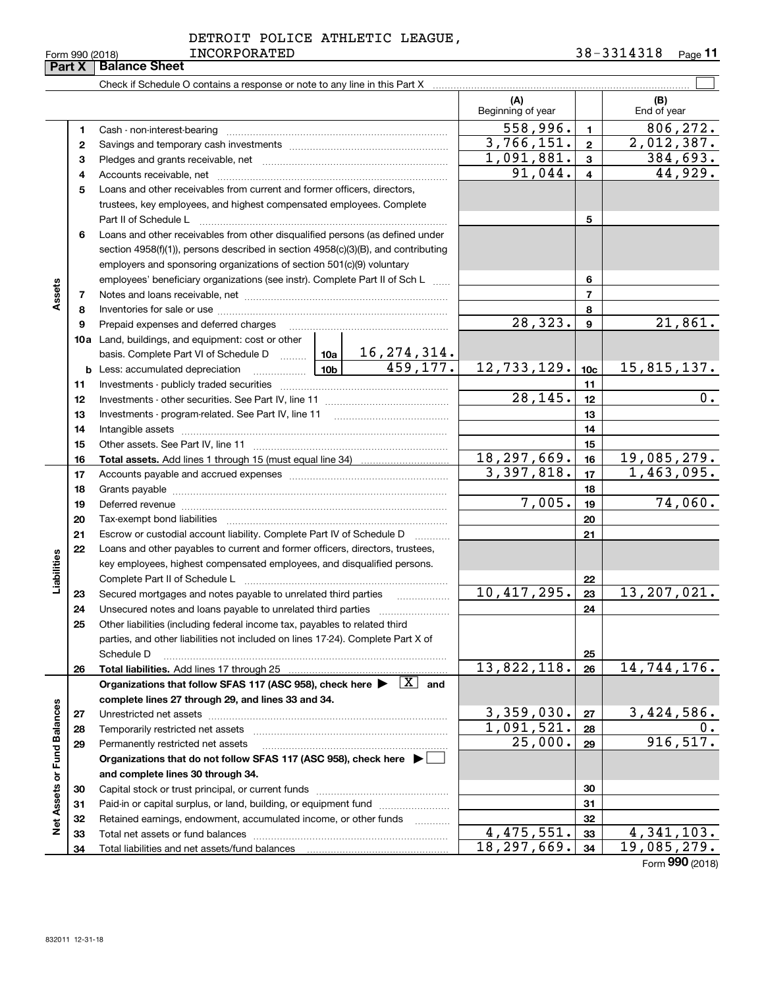|  | DETROIT POLICE ATHLETIC LEAGUE, |  |
|--|---------------------------------|--|
|  |                                 |  |

Form 990 (2018) LNCORPORATED 5 8-5 3 L 4 3 L 8 Page **11**

|                             |          | Check if Schedule O contains a response or note to any line in this Part X                                                                                    |        |           |                          |                  |                    |  |  |
|-----------------------------|----------|---------------------------------------------------------------------------------------------------------------------------------------------------------------|--------|-----------|--------------------------|------------------|--------------------|--|--|
|                             |          |                                                                                                                                                               |        |           | (A)<br>Beginning of year |                  | (B)<br>End of year |  |  |
|                             | 1        |                                                                                                                                                               |        |           | 558,996.                 | $\blacksquare$   | 806,272.           |  |  |
|                             | 2        |                                                                                                                                                               |        |           | 3,766,151.               | $\overline{2}$   | 2,012,387.         |  |  |
|                             | з        |                                                                                                                                                               |        |           | 1,091,881.               | $\mathbf{3}$     | <u>384,693.</u>    |  |  |
|                             | 4        |                                                                                                                                                               |        |           | 91,044.                  | 4                | 44,929.            |  |  |
|                             | 5        | Loans and other receivables from current and former officers, directors,                                                                                      |        |           |                          |                  |                    |  |  |
|                             |          | trustees, key employees, and highest compensated employees. Complete                                                                                          |        |           |                          |                  |                    |  |  |
|                             |          | Part II of Schedule L                                                                                                                                         |        |           |                          | 5                |                    |  |  |
|                             | 6        | Loans and other receivables from other disqualified persons (as defined under                                                                                 |        |           |                          |                  |                    |  |  |
|                             |          | section 4958(f)(1)), persons described in section 4958(c)(3)(B), and contributing                                                                             |        |           |                          |                  |                    |  |  |
|                             |          | employers and sponsoring organizations of section 501(c)(9) voluntary                                                                                         |        |           |                          |                  |                    |  |  |
|                             |          | employees' beneficiary organizations (see instr). Complete Part II of Sch L                                                                                   |        |           |                          | 6                |                    |  |  |
| Assets                      | 7        |                                                                                                                                                               |        |           |                          | $\overline{7}$   |                    |  |  |
|                             | 8        |                                                                                                                                                               |        |           |                          | 8                |                    |  |  |
|                             | 9        | Prepaid expenses and deferred charges                                                                                                                         |        |           | 28, 323.                 | $\boldsymbol{9}$ | 21,861.            |  |  |
|                             |          | 10a Land, buildings, and equipment: cost or other                                                                                                             |        |           |                          |                  |                    |  |  |
|                             |          | basis. Complete Part VI of Schedule D    10a   16, 274, 314.                                                                                                  |        |           |                          |                  |                    |  |  |
|                             |          | <u>  10b</u>  <br><b>b</b> Less: accumulated depreciation                                                                                                     |        | 459, 177. | 12,733,129.              | 10 <sub>c</sub>  | 15,815,137.        |  |  |
|                             | 11       |                                                                                                                                                               |        |           |                          | 11               |                    |  |  |
|                             | 12       |                                                                                                                                                               |        |           | 28, 145.                 | 12               | $\overline{0}$ .   |  |  |
|                             | 13       |                                                                                                                                                               |        | 13        |                          |                  |                    |  |  |
|                             | 14       |                                                                                                                                                               |        | 14        |                          |                  |                    |  |  |
|                             | 15       |                                                                                                                                                               |        |           |                          | 15               |                    |  |  |
|                             | 16       |                                                                                                                                                               |        |           | 18, 297, 669.            | 16               | 19,085,279.        |  |  |
|                             | 17       |                                                                                                                                                               |        |           | 3,397,818.               | 17               | 1,463,095.         |  |  |
|                             | 18       |                                                                                                                                                               |        | 18        |                          |                  |                    |  |  |
|                             | 19       |                                                                                                                                                               | 7,005. | 19        | 74,060.                  |                  |                    |  |  |
|                             | 20       |                                                                                                                                                               |        |           |                          | 20               |                    |  |  |
|                             | 21       | Escrow or custodial account liability. Complete Part IV of Schedule D                                                                                         |        |           |                          | 21               |                    |  |  |
|                             | 22       | Loans and other payables to current and former officers, directors, trustees,                                                                                 |        |           |                          |                  |                    |  |  |
| Liabilities                 |          | key employees, highest compensated employees, and disqualified persons.                                                                                       |        |           |                          |                  |                    |  |  |
|                             |          | Complete Part II of Schedule L                                                                                                                                |        |           | 10,417,295.              | 22               | 13, 207, 021.      |  |  |
|                             | 23       | Secured mortgages and notes payable to unrelated third parties                                                                                                |        |           |                          | 23<br>24         |                    |  |  |
|                             | 24<br>25 | Unsecured notes and loans payable to unrelated third parties                                                                                                  |        |           |                          |                  |                    |  |  |
|                             |          | Other liabilities (including federal income tax, payables to related third<br>parties, and other liabilities not included on lines 17-24). Complete Part X of |        |           |                          |                  |                    |  |  |
|                             |          | Schedule D                                                                                                                                                    |        |           |                          | 25               |                    |  |  |
|                             | 26       | Total liabilities. Add lines 17 through 25                                                                                                                    |        |           | 13,822,118.              | 26               | 14,744,176.        |  |  |
|                             |          | Organizations that follow SFAS 117 (ASC 958), check here $\blacktriangleright \boxed{X}$ and                                                                  |        |           |                          |                  |                    |  |  |
|                             |          | complete lines 27 through 29, and lines 33 and 34.                                                                                                            |        |           |                          |                  |                    |  |  |
|                             | 27       | Unrestricted net assets                                                                                                                                       |        |           | 3,359,030.               | 27               | 3,424,586.         |  |  |
|                             | 28       | Temporarily restricted net assets                                                                                                                             |        |           | 1,091,521.               | 28               | 0.                 |  |  |
|                             | 29       | Permanently restricted net assets                                                                                                                             |        |           | 25,000.                  | 29               | 916, 517.          |  |  |
|                             |          | Organizations that do not follow SFAS 117 (ASC 958), check here ▶ □                                                                                           |        |           |                          |                  |                    |  |  |
| Net Assets or Fund Balances |          | and complete lines 30 through 34.                                                                                                                             |        |           |                          |                  |                    |  |  |
|                             | 30       |                                                                                                                                                               |        |           | 30                       |                  |                    |  |  |
|                             | 31       | Paid-in or capital surplus, or land, building, or equipment fund                                                                                              |        |           | 31                       |                  |                    |  |  |
|                             | 32       | Retained earnings, endowment, accumulated income, or other funds                                                                                              |        |           |                          | 32               |                    |  |  |
|                             | 33       | Total net assets or fund balances                                                                                                                             |        |           | 4,475,551.               | 33               | 4,341,103.         |  |  |
|                             | 34       | Total liabilities and net assets/fund balances                                                                                                                |        |           | 18,297,669.              | 34               | 19,085,279.        |  |  |
|                             |          |                                                                                                                                                               |        |           |                          |                  | Form 990 (2018)    |  |  |

 $\overline{\phantom{0}}$ 

 $\overline{\phantom{0}}$ 

**Part X Balance Sheet** INCORPORATED 38-3314318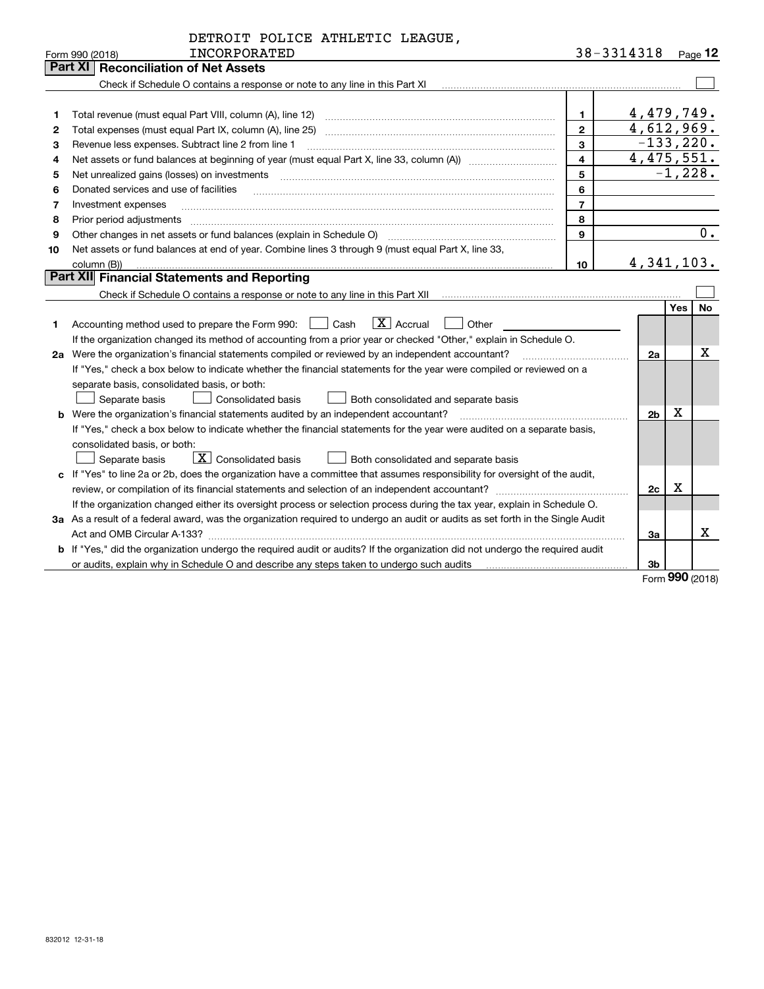|    | DETROIT POLICE ATHLETIC LEAGUE,                                                                                                                                          |                |            |                |     |              |  |  |
|----|--------------------------------------------------------------------------------------------------------------------------------------------------------------------------|----------------|------------|----------------|-----|--------------|--|--|
|    | <b>INCORPORATED</b><br>Form 990 (2018)                                                                                                                                   |                | 38-3314318 |                |     | Page 12      |  |  |
|    | Part XI<br><b>Reconciliation of Net Assets</b>                                                                                                                           |                |            |                |     |              |  |  |
|    | Check if Schedule O contains a response or note to any line in this Part XI [11] [12] Check if Schedule O contains a response or note to any line in this Part XI        |                |            |                |     |              |  |  |
|    |                                                                                                                                                                          |                |            |                |     |              |  |  |
| 1  |                                                                                                                                                                          | $\mathbf 1$    |            | 4,479,749.     |     |              |  |  |
| 2  |                                                                                                                                                                          | $\overline{2}$ |            | 4,612,969.     |     | $-133, 220.$ |  |  |
| З  | 3<br>Revenue less expenses. Subtract line 2 from line 1                                                                                                                  |                |            |                |     |              |  |  |
| 4  | 4,475,551.<br>$\overline{\mathbf{4}}$                                                                                                                                    |                |            |                |     |              |  |  |
| 5  |                                                                                                                                                                          | 5              |            |                |     | $-1,228.$    |  |  |
| 6  | Donated services and use of facilities                                                                                                                                   | 6              |            |                |     |              |  |  |
| 7  | Investment expenses                                                                                                                                                      | $\overline{7}$ |            |                |     |              |  |  |
| 8  | Prior period adjustments                                                                                                                                                 | 8              |            |                |     |              |  |  |
| 9  | Other changes in net assets or fund balances (explain in Schedule O)                                                                                                     | 9              |            |                |     | $0$ .        |  |  |
| 10 | Net assets or fund balances at end of year. Combine lines 3 through 9 (must equal Part X, line 33,                                                                       |                |            |                |     |              |  |  |
|    | column (B))                                                                                                                                                              | 10             |            | 4, 341, 103.   |     |              |  |  |
|    | Part XII Financial Statements and Reporting                                                                                                                              |                |            |                |     |              |  |  |
|    | Check if Schedule O contains a response or note to any line in this Part XII [11] [12] [12] Check if Schedule O contains a response or note to any line in this Part XII |                |            |                |     |              |  |  |
|    |                                                                                                                                                                          |                |            |                | Yes | No           |  |  |
| 1  | $ X $ Accrual<br>Other<br>Cash<br>Accounting method used to prepare the Form 990:                                                                                        |                |            |                |     |              |  |  |
|    | If the organization changed its method of accounting from a prior year or checked "Other," explain in Schedule O.                                                        |                |            |                |     |              |  |  |
|    | 2a Were the organization's financial statements compiled or reviewed by an independent accountant?                                                                       |                |            | 2a             |     | x            |  |  |
|    | If "Yes," check a box below to indicate whether the financial statements for the year were compiled or reviewed on a                                                     |                |            |                |     |              |  |  |
|    | separate basis, consolidated basis, or both:                                                                                                                             |                |            |                |     |              |  |  |
|    | <b>Consolidated basis</b><br>Separate basis<br>Both consolidated and separate basis                                                                                      |                |            |                |     |              |  |  |
|    | <b>b</b> Were the organization's financial statements audited by an independent accountant?                                                                              |                |            | 2 <sub>b</sub> | Х   |              |  |  |
|    | If "Yes," check a box below to indicate whether the financial statements for the year were audited on a separate basis,                                                  |                |            |                |     |              |  |  |
|    | consolidated basis, or both:                                                                                                                                             |                |            |                |     |              |  |  |
|    | $\boxed{\mathbf{X}}$ Consolidated basis<br>Separate basis<br>Both consolidated and separate basis                                                                        |                |            |                |     |              |  |  |
|    | c If "Yes" to line 2a or 2b, does the organization have a committee that assumes responsibility for oversight of the audit,                                              |                |            |                |     |              |  |  |
|    |                                                                                                                                                                          |                |            | 2c             | Х   |              |  |  |
|    | If the organization changed either its oversight process or selection process during the tax year, explain in Schedule O.                                                |                |            |                |     |              |  |  |
|    | 3a As a result of a federal award, was the organization required to undergo an audit or audits as set forth in the Single Audit                                          |                |            |                |     |              |  |  |
|    |                                                                                                                                                                          |                |            | 3a             |     | x            |  |  |
|    | b If "Yes," did the organization undergo the required audit or audits? If the organization did not undergo the required audit                                            |                |            |                |     |              |  |  |
|    | or audits, explain why in Schedule O and describe any steps taken to undergo such audits                                                                                 |                |            | 3 <sub>b</sub> |     |              |  |  |

Form (2018) **990**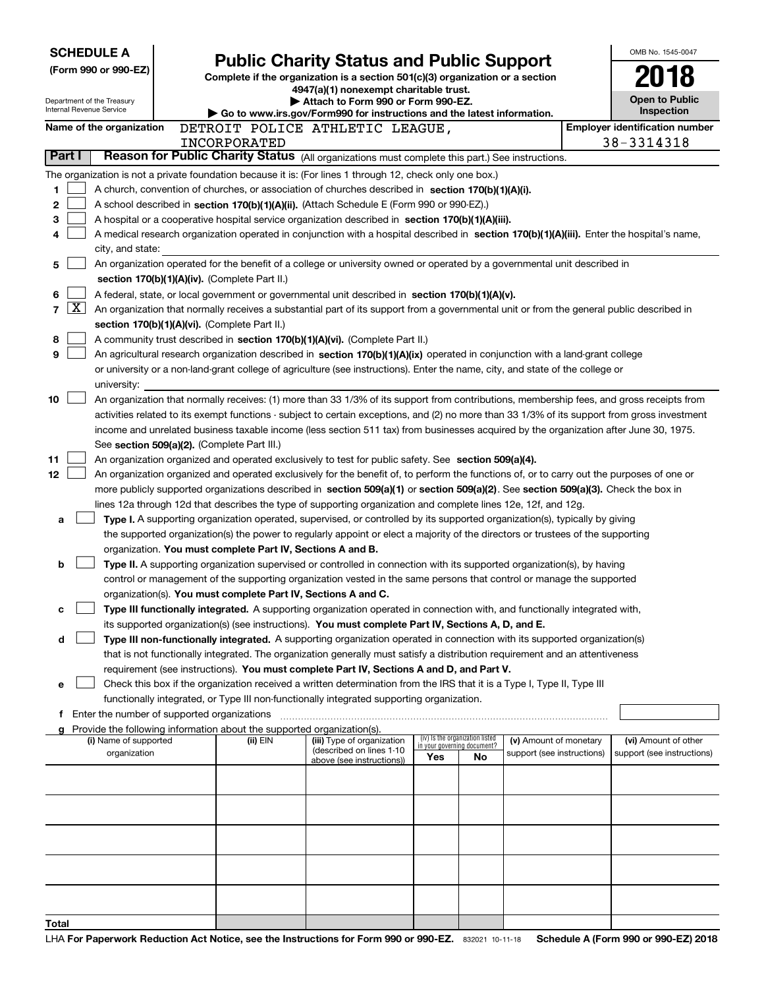| <b>SCHEDULE A</b>                                      |                                                                                                                                                                            | <b>Public Charity Status and Public Support</b>                                                                                                                                                                                                      |                                                                |    |                            |  | OMB No. 1545-0047                     |  |  |  |  |
|--------------------------------------------------------|----------------------------------------------------------------------------------------------------------------------------------------------------------------------------|------------------------------------------------------------------------------------------------------------------------------------------------------------------------------------------------------------------------------------------------------|----------------------------------------------------------------|----|----------------------------|--|---------------------------------------|--|--|--|--|
| (Form 990 or 990-EZ)                                   |                                                                                                                                                                            | Complete if the organization is a section 501(c)(3) organization or a section                                                                                                                                                                        |                                                                |    |                            |  |                                       |  |  |  |  |
|                                                        |                                                                                                                                                                            | 4947(a)(1) nonexempt charitable trust.                                                                                                                                                                                                               |                                                                |    |                            |  |                                       |  |  |  |  |
| Department of the Treasury<br>Internal Revenue Service |                                                                                                                                                                            | Attach to Form 990 or Form 990-EZ.<br>Go to www.irs.gov/Form990 for instructions and the latest information.                                                                                                                                         |                                                                |    |                            |  | Open to Public<br>Inspection          |  |  |  |  |
| Name of the organization                               |                                                                                                                                                                            | DETROIT POLICE ATHLETIC LEAGUE,                                                                                                                                                                                                                      |                                                                |    |                            |  | <b>Employer identification number</b> |  |  |  |  |
|                                                        | INCORPORATED                                                                                                                                                               |                                                                                                                                                                                                                                                      |                                                                |    |                            |  | 38-3314318                            |  |  |  |  |
| Part I                                                 |                                                                                                                                                                            | Reason for Public Charity Status (All organizations must complete this part.) See instructions.                                                                                                                                                      |                                                                |    |                            |  |                                       |  |  |  |  |
|                                                        |                                                                                                                                                                            | The organization is not a private foundation because it is: (For lines 1 through 12, check only one box.)                                                                                                                                            |                                                                |    |                            |  |                                       |  |  |  |  |
| 1                                                      |                                                                                                                                                                            | A church, convention of churches, or association of churches described in section 170(b)(1)(A)(i).                                                                                                                                                   |                                                                |    |                            |  |                                       |  |  |  |  |
| 2                                                      |                                                                                                                                                                            | A school described in section 170(b)(1)(A)(ii). (Attach Schedule E (Form 990 or 990-EZ).)                                                                                                                                                            |                                                                |    |                            |  |                                       |  |  |  |  |
| 3                                                      |                                                                                                                                                                            | A hospital or a cooperative hospital service organization described in section 170(b)(1)(A)(iii).                                                                                                                                                    |                                                                |    |                            |  |                                       |  |  |  |  |
| 4                                                      |                                                                                                                                                                            | A medical research organization operated in conjunction with a hospital described in section 170(b)(1)(A)(iii). Enter the hospital's name,                                                                                                           |                                                                |    |                            |  |                                       |  |  |  |  |
| city, and state:                                       |                                                                                                                                                                            |                                                                                                                                                                                                                                                      |                                                                |    |                            |  |                                       |  |  |  |  |
| 5                                                      | An organization operated for the benefit of a college or university owned or operated by a governmental unit described in<br>section 170(b)(1)(A)(iv). (Complete Part II.) |                                                                                                                                                                                                                                                      |                                                                |    |                            |  |                                       |  |  |  |  |
| 6                                                      |                                                                                                                                                                            | A federal, state, or local government or governmental unit described in section 170(b)(1)(A)(v).                                                                                                                                                     |                                                                |    |                            |  |                                       |  |  |  |  |
| $\overline{\text{X}}$<br>$\overline{7}$                |                                                                                                                                                                            | An organization that normally receives a substantial part of its support from a governmental unit or from the general public described in                                                                                                            |                                                                |    |                            |  |                                       |  |  |  |  |
|                                                        | section 170(b)(1)(A)(vi). (Complete Part II.)                                                                                                                              |                                                                                                                                                                                                                                                      |                                                                |    |                            |  |                                       |  |  |  |  |
| 8                                                      |                                                                                                                                                                            | A community trust described in section 170(b)(1)(A)(vi). (Complete Part II.)                                                                                                                                                                         |                                                                |    |                            |  |                                       |  |  |  |  |
| 9                                                      |                                                                                                                                                                            | An agricultural research organization described in section 170(b)(1)(A)(ix) operated in conjunction with a land-grant college                                                                                                                        |                                                                |    |                            |  |                                       |  |  |  |  |
|                                                        |                                                                                                                                                                            | or university or a non-land-grant college of agriculture (see instructions). Enter the name, city, and state of the college or                                                                                                                       |                                                                |    |                            |  |                                       |  |  |  |  |
| university:                                            |                                                                                                                                                                            |                                                                                                                                                                                                                                                      |                                                                |    |                            |  |                                       |  |  |  |  |
| 10                                                     |                                                                                                                                                                            | An organization that normally receives: (1) more than 33 1/3% of its support from contributions, membership fees, and gross receipts from                                                                                                            |                                                                |    |                            |  |                                       |  |  |  |  |
|                                                        |                                                                                                                                                                            | activities related to its exempt functions - subject to certain exceptions, and (2) no more than 33 1/3% of its support from gross investment                                                                                                        |                                                                |    |                            |  |                                       |  |  |  |  |
|                                                        |                                                                                                                                                                            | income and unrelated business taxable income (less section 511 tax) from businesses acquired by the organization after June 30, 1975.                                                                                                                |                                                                |    |                            |  |                                       |  |  |  |  |
|                                                        | See section 509(a)(2). (Complete Part III.)                                                                                                                                |                                                                                                                                                                                                                                                      |                                                                |    |                            |  |                                       |  |  |  |  |
| 11                                                     |                                                                                                                                                                            | An organization organized and operated exclusively to test for public safety. See section 509(a)(4).                                                                                                                                                 |                                                                |    |                            |  |                                       |  |  |  |  |
| 12 <sub>2</sub>                                        |                                                                                                                                                                            | An organization organized and operated exclusively for the benefit of, to perform the functions of, or to carry out the purposes of one or                                                                                                           |                                                                |    |                            |  |                                       |  |  |  |  |
|                                                        |                                                                                                                                                                            | more publicly supported organizations described in section 509(a)(1) or section 509(a)(2). See section 509(a)(3). Check the box in<br>lines 12a through 12d that describes the type of supporting organization and complete lines 12e, 12f, and 12g. |                                                                |    |                            |  |                                       |  |  |  |  |
| a                                                      |                                                                                                                                                                            | Type I. A supporting organization operated, supervised, or controlled by its supported organization(s), typically by giving                                                                                                                          |                                                                |    |                            |  |                                       |  |  |  |  |
|                                                        |                                                                                                                                                                            | the supported organization(s) the power to regularly appoint or elect a majority of the directors or trustees of the supporting                                                                                                                      |                                                                |    |                            |  |                                       |  |  |  |  |
|                                                        | organization. You must complete Part IV, Sections A and B.                                                                                                                 |                                                                                                                                                                                                                                                      |                                                                |    |                            |  |                                       |  |  |  |  |
| b                                                      |                                                                                                                                                                            | Type II. A supporting organization supervised or controlled in connection with its supported organization(s), by having                                                                                                                              |                                                                |    |                            |  |                                       |  |  |  |  |
|                                                        |                                                                                                                                                                            | control or management of the supporting organization vested in the same persons that control or manage the supported                                                                                                                                 |                                                                |    |                            |  |                                       |  |  |  |  |
|                                                        | organization(s). You must complete Part IV, Sections A and C.                                                                                                              |                                                                                                                                                                                                                                                      |                                                                |    |                            |  |                                       |  |  |  |  |
| с                                                      |                                                                                                                                                                            | Type III functionally integrated. A supporting organization operated in connection with, and functionally integrated with,                                                                                                                           |                                                                |    |                            |  |                                       |  |  |  |  |
|                                                        |                                                                                                                                                                            | its supported organization(s) (see instructions). You must complete Part IV, Sections A, D, and E.                                                                                                                                                   |                                                                |    |                            |  |                                       |  |  |  |  |
| d                                                      |                                                                                                                                                                            | Type III non-functionally integrated. A supporting organization operated in connection with its supported organization(s)                                                                                                                            |                                                                |    |                            |  |                                       |  |  |  |  |
|                                                        |                                                                                                                                                                            | that is not functionally integrated. The organization generally must satisfy a distribution requirement and an attentiveness                                                                                                                         |                                                                |    |                            |  |                                       |  |  |  |  |
|                                                        |                                                                                                                                                                            | requirement (see instructions). You must complete Part IV, Sections A and D, and Part V.                                                                                                                                                             |                                                                |    |                            |  |                                       |  |  |  |  |
| е                                                      |                                                                                                                                                                            | Check this box if the organization received a written determination from the IRS that it is a Type I, Type II, Type III<br>functionally integrated, or Type III non-functionally integrated supporting organization.                                 |                                                                |    |                            |  |                                       |  |  |  |  |
| f                                                      |                                                                                                                                                                            |                                                                                                                                                                                                                                                      |                                                                |    |                            |  |                                       |  |  |  |  |
|                                                        | Provide the following information about the supported organization(s).                                                                                                     |                                                                                                                                                                                                                                                      |                                                                |    |                            |  |                                       |  |  |  |  |
| (i) Name of supported                                  | (ii) EIN                                                                                                                                                                   | (iii) Type of organization                                                                                                                                                                                                                           | (iv) Is the organization listed<br>in your governing document? |    | (v) Amount of monetary     |  | (vi) Amount of other                  |  |  |  |  |
| organization                                           |                                                                                                                                                                            | (described on lines 1-10<br>above (see instructions))                                                                                                                                                                                                | Yes                                                            | No | support (see instructions) |  | support (see instructions)            |  |  |  |  |
|                                                        |                                                                                                                                                                            |                                                                                                                                                                                                                                                      |                                                                |    |                            |  |                                       |  |  |  |  |
|                                                        |                                                                                                                                                                            |                                                                                                                                                                                                                                                      |                                                                |    |                            |  |                                       |  |  |  |  |
|                                                        |                                                                                                                                                                            |                                                                                                                                                                                                                                                      |                                                                |    |                            |  |                                       |  |  |  |  |
|                                                        |                                                                                                                                                                            |                                                                                                                                                                                                                                                      |                                                                |    |                            |  |                                       |  |  |  |  |
|                                                        |                                                                                                                                                                            |                                                                                                                                                                                                                                                      |                                                                |    |                            |  |                                       |  |  |  |  |
|                                                        |                                                                                                                                                                            |                                                                                                                                                                                                                                                      |                                                                |    |                            |  |                                       |  |  |  |  |
|                                                        |                                                                                                                                                                            |                                                                                                                                                                                                                                                      |                                                                |    |                            |  |                                       |  |  |  |  |
|                                                        |                                                                                                                                                                            |                                                                                                                                                                                                                                                      |                                                                |    |                            |  |                                       |  |  |  |  |
|                                                        |                                                                                                                                                                            |                                                                                                                                                                                                                                                      |                                                                |    |                            |  |                                       |  |  |  |  |
| Total                                                  |                                                                                                                                                                            |                                                                                                                                                                                                                                                      |                                                                |    |                            |  |                                       |  |  |  |  |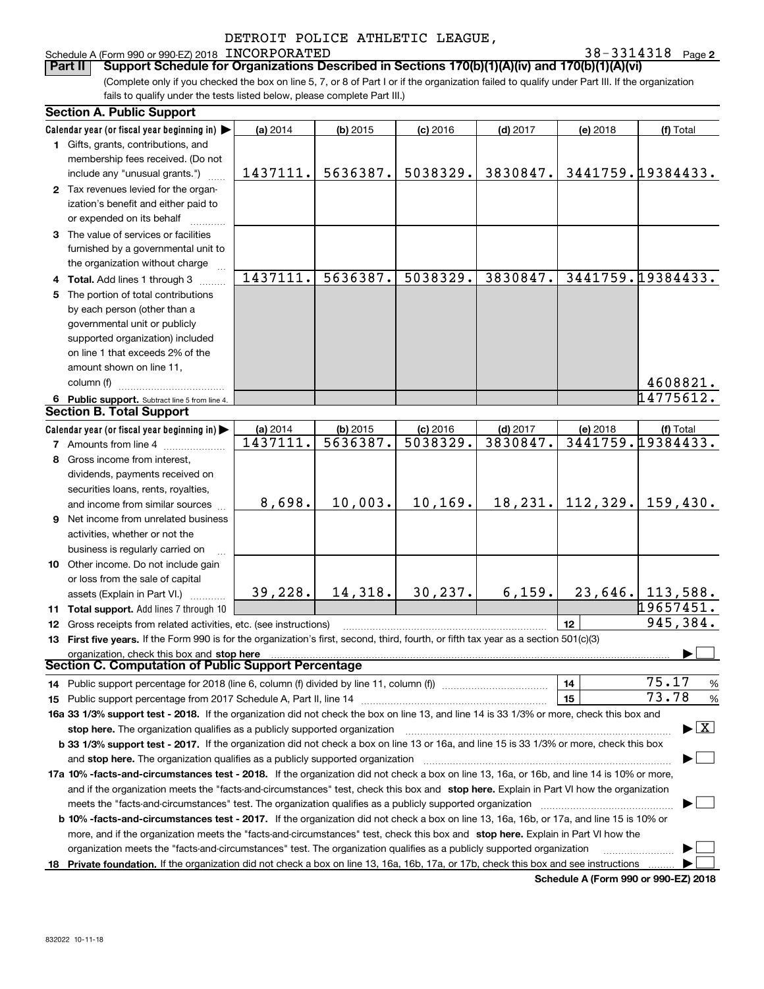#### Schedule A (Form 990 or 990-EZ) 2018 Page INCORPORATED 38-3314318

**2**

(Complete only if you checked the box on line 5, 7, or 8 of Part I or if the organization failed to qualify under Part III. If the organization fails to qualify under the tests listed below, please complete Part III.) **Part II** | Support Schedule for Organizations Described in Sections 170(b)(1)(A)(iv) and 170(b)(1)(A)(vi)

| <b>Section A. Public Support</b>                                                                                                               |          |            |            |            |                 |                                          |
|------------------------------------------------------------------------------------------------------------------------------------------------|----------|------------|------------|------------|-----------------|------------------------------------------|
| Calendar year (or fiscal year beginning in)                                                                                                    | (a) 2014 | $(b)$ 2015 | $(c)$ 2016 | $(d)$ 2017 | (e) 2018        | (f) Total                                |
| 1 Gifts, grants, contributions, and                                                                                                            |          |            |            |            |                 |                                          |
| membership fees received. (Do not                                                                                                              |          |            |            |            |                 |                                          |
| include any "unusual grants.")                                                                                                                 | 1437111. | 5636387.   | 5038329.   | 3830847.   |                 | 3441759.19384433.                        |
| 2 Tax revenues levied for the organ-                                                                                                           |          |            |            |            |                 |                                          |
| ization's benefit and either paid to                                                                                                           |          |            |            |            |                 |                                          |
| or expended on its behalf                                                                                                                      |          |            |            |            |                 |                                          |
| 3 The value of services or facilities                                                                                                          |          |            |            |            |                 |                                          |
| furnished by a governmental unit to                                                                                                            |          |            |            |            |                 |                                          |
| the organization without charge                                                                                                                |          |            |            |            |                 |                                          |
| 4 Total. Add lines 1 through 3                                                                                                                 | 1437111. | 5636387.   | 5038329.   | 3830847.   |                 | 3441759.19384433.                        |
| 5 The portion of total contributions                                                                                                           |          |            |            |            |                 |                                          |
| by each person (other than a                                                                                                                   |          |            |            |            |                 |                                          |
| governmental unit or publicly                                                                                                                  |          |            |            |            |                 |                                          |
| supported organization) included                                                                                                               |          |            |            |            |                 |                                          |
| on line 1 that exceeds 2% of the                                                                                                               |          |            |            |            |                 |                                          |
| amount shown on line 11,                                                                                                                       |          |            |            |            |                 |                                          |
| column (f)                                                                                                                                     |          |            |            |            |                 | 4608821.                                 |
| 6 Public support. Subtract line 5 from line 4.                                                                                                 |          |            |            |            |                 | 14775612.                                |
| <b>Section B. Total Support</b>                                                                                                                |          |            |            |            |                 |                                          |
| Calendar year (or fiscal year beginning in)                                                                                                    | (a) 2014 | $(b)$ 2015 | $(c)$ 2016 | $(d)$ 2017 | (e) 2018        | (f) Total                                |
| <b>7</b> Amounts from line 4                                                                                                                   | 1437111. | 5636387.   | 5038329.   | 3830847.   |                 | 3441759.19384433.                        |
| 8 Gross income from interest,                                                                                                                  |          |            |            |            |                 |                                          |
| dividends, payments received on                                                                                                                |          |            |            |            |                 |                                          |
| securities loans, rents, royalties,                                                                                                            |          |            |            |            |                 |                                          |
| and income from similar sources                                                                                                                | 8,698.   | 10,003.    | 10, 169.   | 18,231.    | 112, 329.       | 159,430.                                 |
| 9 Net income from unrelated business                                                                                                           |          |            |            |            |                 |                                          |
| activities, whether or not the                                                                                                                 |          |            |            |            |                 |                                          |
| business is regularly carried on                                                                                                               |          |            |            |            |                 |                                          |
| 10 Other income. Do not include gain                                                                                                           |          |            |            |            |                 |                                          |
| or loss from the sale of capital                                                                                                               |          |            |            |            |                 |                                          |
| assets (Explain in Part VI.)                                                                                                                   | 39,228.  | 14, 318.   | 30, 237.   | 6, 159.    |                 | $23,646.$ 113,588.                       |
| 11 Total support. Add lines 7 through 10                                                                                                       |          |            |            |            |                 | 19657451.                                |
| 12 Gross receipts from related activities, etc. (see instructions)                                                                             |          |            |            |            | 12 <sup>2</sup> | 945,384.                                 |
| 13 First five years. If the Form 990 is for the organization's first, second, third, fourth, or fifth tax year as a section 501(c)(3)          |          |            |            |            |                 |                                          |
| organization, check this box and stop here                                                                                                     |          |            |            |            |                 |                                          |
| <b>Section C. Computation of Public Support Percentage</b>                                                                                     |          |            |            |            |                 |                                          |
| 14 Public support percentage for 2018 (line 6, column (f) divided by line 11, column (f) <i>marrouum</i> manu-                                 |          |            |            |            | 14              | 75.17<br>%                               |
|                                                                                                                                                |          |            |            |            | 15              | 73.78<br>%                               |
| 16a 33 1/3% support test - 2018. If the organization did not check the box on line 13, and line 14 is 33 1/3% or more, check this box and      |          |            |            |            |                 |                                          |
| stop here. The organization qualifies as a publicly supported organization                                                                     |          |            |            |            |                 | $\blacktriangleright$ $\boxed{\text{X}}$ |
| b 33 1/3% support test - 2017. If the organization did not check a box on line 13 or 16a, and line 15 is 33 1/3% or more, check this box       |          |            |            |            |                 |                                          |
| and stop here. The organization qualifies as a publicly supported organization                                                                 |          |            |            |            |                 |                                          |
| 17a 10% -facts-and-circumstances test - 2018. If the organization did not check a box on line 13, 16a, or 16b, and line 14 is 10% or more,     |          |            |            |            |                 |                                          |
| and if the organization meets the "facts-and-circumstances" test, check this box and stop here. Explain in Part VI how the organization        |          |            |            |            |                 |                                          |
| meets the "facts-and-circumstances" test. The organization qualifies as a publicly supported organization                                      |          |            |            |            |                 |                                          |
| <b>b 10% -facts-and-circumstances test - 2017.</b> If the organization did not check a box on line 13, 16a, 16b, or 17a, and line 15 is 10% or |          |            |            |            |                 |                                          |
| more, and if the organization meets the "facts-and-circumstances" test, check this box and stop here. Explain in Part VI how the               |          |            |            |            |                 |                                          |
| organization meets the "facts-and-circumstances" test. The organization qualifies as a publicly supported organization                         |          |            |            |            |                 |                                          |
| 18 Private foundation. If the organization did not check a box on line 13, 16a, 16b, 17a, or 17b, check this box and see instructions          |          |            |            |            |                 |                                          |

**Schedule A (Form 990 or 990-EZ) 2018**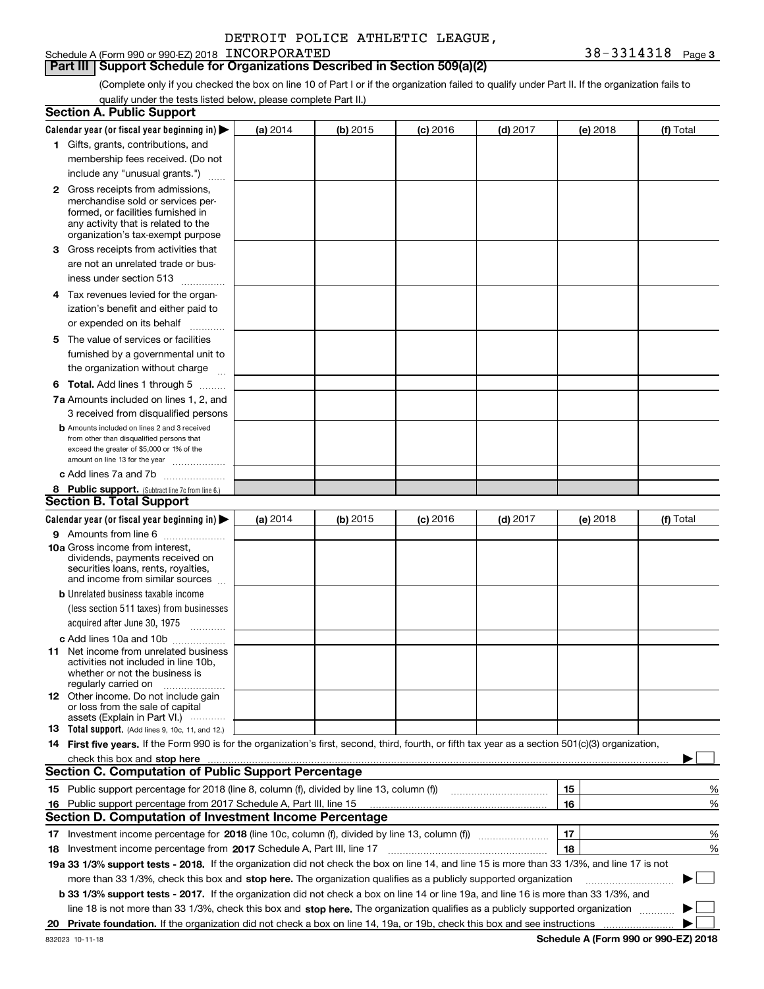## **Part III Support Schedule for Organizations Described in Section 509(a)(2)**

(Complete only if you checked the box on line 10 of Part I or if the organization failed to qualify under Part II. If the organization fails to qualify under the tests listed below, please complete Part II.)

| <b>Section A. Public Support</b>                                                                                                                    |          |          |                 |                                       |          |             |
|-----------------------------------------------------------------------------------------------------------------------------------------------------|----------|----------|-----------------|---------------------------------------|----------|-------------|
| Calendar year (or fiscal year beginning in) $\blacktriangleright$                                                                                   | (a) 2014 | (b) 2015 | <b>(c)</b> 2016 | $(d)$ 2017                            | (e) 2018 | (f) Total   |
| 1 Gifts, grants, contributions, and                                                                                                                 |          |          |                 |                                       |          |             |
| membership fees received. (Do not                                                                                                                   |          |          |                 |                                       |          |             |
| include any "unusual grants.")                                                                                                                      |          |          |                 |                                       |          |             |
| <b>2</b> Gross receipts from admissions,                                                                                                            |          |          |                 |                                       |          |             |
| merchandise sold or services per-                                                                                                                   |          |          |                 |                                       |          |             |
| formed, or facilities furnished in                                                                                                                  |          |          |                 |                                       |          |             |
| any activity that is related to the<br>organization's tax-exempt purpose                                                                            |          |          |                 |                                       |          |             |
| 3 Gross receipts from activities that                                                                                                               |          |          |                 |                                       |          |             |
| are not an unrelated trade or bus-                                                                                                                  |          |          |                 |                                       |          |             |
| iness under section 513                                                                                                                             |          |          |                 |                                       |          |             |
| 4 Tax revenues levied for the organ-                                                                                                                |          |          |                 |                                       |          |             |
| ization's benefit and either paid to                                                                                                                |          |          |                 |                                       |          |             |
| or expended on its behalf                                                                                                                           |          |          |                 |                                       |          |             |
| .                                                                                                                                                   |          |          |                 |                                       |          |             |
| 5 The value of services or facilities                                                                                                               |          |          |                 |                                       |          |             |
| furnished by a governmental unit to                                                                                                                 |          |          |                 |                                       |          |             |
| the organization without charge                                                                                                                     |          |          |                 |                                       |          |             |
| <b>6 Total.</b> Add lines 1 through 5                                                                                                               |          |          |                 |                                       |          |             |
| 7a Amounts included on lines 1, 2, and                                                                                                              |          |          |                 |                                       |          |             |
| 3 received from disqualified persons                                                                                                                |          |          |                 |                                       |          |             |
| <b>b</b> Amounts included on lines 2 and 3 received<br>from other than disqualified persons that                                                    |          |          |                 |                                       |          |             |
| exceed the greater of \$5,000 or 1% of the                                                                                                          |          |          |                 |                                       |          |             |
| amount on line 13 for the year                                                                                                                      |          |          |                 |                                       |          |             |
| c Add lines 7a and 7b                                                                                                                               |          |          |                 |                                       |          |             |
| 8 Public support. (Subtract line 7c from line 6.)                                                                                                   |          |          |                 |                                       |          |             |
| <b>Section B. Total Support</b>                                                                                                                     |          |          |                 |                                       |          |             |
| Calendar year (or fiscal year beginning in) $\blacktriangleright$                                                                                   | (a) 2014 | (b) 2015 | $(c)$ 2016      | $(d)$ 2017                            | (e) 2018 | (f) Total   |
| 9 Amounts from line 6                                                                                                                               |          |          |                 |                                       |          |             |
| 10a Gross income from interest,                                                                                                                     |          |          |                 |                                       |          |             |
| dividends, payments received on<br>securities loans, rents, royalties,                                                                              |          |          |                 |                                       |          |             |
| and income from similar sources                                                                                                                     |          |          |                 |                                       |          |             |
| <b>b</b> Unrelated business taxable income                                                                                                          |          |          |                 |                                       |          |             |
| (less section 511 taxes) from businesses                                                                                                            |          |          |                 |                                       |          |             |
| acquired after June 30, 1975                                                                                                                        |          |          |                 |                                       |          |             |
| c Add lines 10a and 10b                                                                                                                             |          |          |                 |                                       |          |             |
| 11 Net income from unrelated business                                                                                                               |          |          |                 |                                       |          |             |
| activities not included in line 10b.<br>whether or not the business is                                                                              |          |          |                 |                                       |          |             |
| regularly carried on                                                                                                                                |          |          |                 |                                       |          |             |
| <b>12</b> Other income. Do not include gain                                                                                                         |          |          |                 |                                       |          |             |
| or loss from the sale of capital<br>assets (Explain in Part VI.)                                                                                    |          |          |                 |                                       |          |             |
| <b>13</b> Total support. (Add lines 9, 10c, 11, and 12.)                                                                                            |          |          |                 |                                       |          |             |
| 14 First five years. If the Form 990 is for the organization's first, second, third, fourth, or fifth tax year as a section 501(c)(3) organization, |          |          |                 |                                       |          |             |
| check this box and stop here measurements are constructed as the state of the state of the state of the state o                                     |          |          |                 |                                       |          |             |
| <b>Section C. Computation of Public Support Percentage</b>                                                                                          |          |          |                 |                                       |          |             |
| 15 Public support percentage for 2018 (line 8, column (f), divided by line 13, column (f))                                                          |          |          |                 | <u> 1986 - Januar Start, martin a</u> | 15       | %           |
| 16 Public support percentage from 2017 Schedule A, Part III, line 15                                                                                |          |          |                 |                                       | 16       | %           |
| <b>Section D. Computation of Investment Income Percentage</b>                                                                                       |          |          |                 |                                       |          |             |
|                                                                                                                                                     |          |          |                 |                                       | 17       | %           |
| <b>18</b> Investment income percentage from <b>2017</b> Schedule A, Part III, line 17                                                               |          |          |                 |                                       | 18       | %           |
| 19a 33 1/3% support tests - 2018. If the organization did not check the box on line 14, and line 15 is more than 33 1/3%, and line 17 is not        |          |          |                 |                                       |          |             |
| more than 33 1/3%, check this box and stop here. The organization qualifies as a publicly supported organization                                    |          |          |                 |                                       |          | $\sim$<br>▶ |
| b 33 1/3% support tests - 2017. If the organization did not check a box on line 14 or line 19a, and line 16 is more than 33 1/3%, and               |          |          |                 |                                       |          |             |
| line 18 is not more than 33 1/3%, check this box and stop here. The organization qualifies as a publicly supported organization                     |          |          |                 |                                       |          |             |
|                                                                                                                                                     |          |          |                 |                                       |          |             |
|                                                                                                                                                     |          |          |                 |                                       |          |             |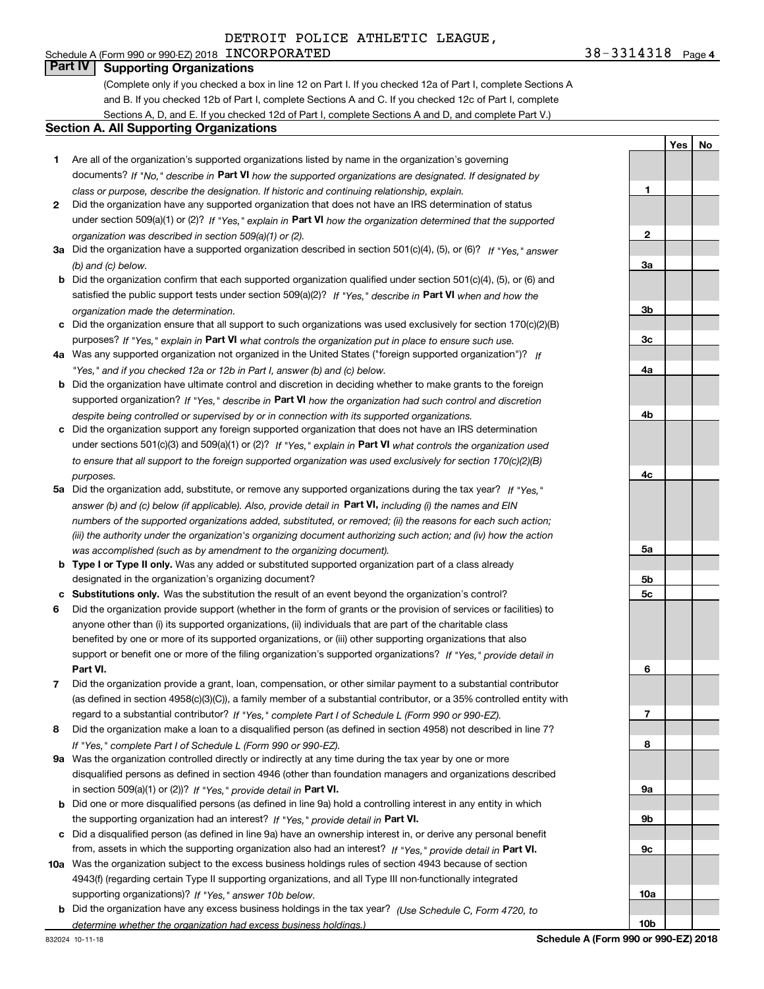#### Schedule A (Form 990 or 990-EZ) 2018 Page INCORPORATED 38-3314318 **Part IV Supporting Organizations**

(Complete only if you checked a box in line 12 on Part I. If you checked 12a of Part I, complete Sections A

and B. If you checked 12b of Part I, complete Sections A and C. If you checked 12c of Part I, complete Sections A, D, and E. If you checked 12d of Part I, complete Sections A and D, and complete Part V.)

#### **Section A. All Supporting Organizations**

- **1** Are all of the organization's supported organizations listed by name in the organization's governing documents? If "No," describe in **Part VI** how the supported organizations are designated. If designated by *class or purpose, describe the designation. If historic and continuing relationship, explain.*
- **2** Did the organization have any supported organization that does not have an IRS determination of status under section 509(a)(1) or (2)? If "Yes," explain in Part VI how the organization determined that the supported *organization was described in section 509(a)(1) or (2).*
- **3a** Did the organization have a supported organization described in section 501(c)(4), (5), or (6)? If "Yes," answer *(b) and (c) below.*
- **b** Did the organization confirm that each supported organization qualified under section 501(c)(4), (5), or (6) and satisfied the public support tests under section 509(a)(2)? If "Yes," describe in **Part VI** when and how the *organization made the determination.*
- **c**Did the organization ensure that all support to such organizations was used exclusively for section 170(c)(2)(B) purposes? If "Yes," explain in **Part VI** what controls the organization put in place to ensure such use.
- **4a***If* Was any supported organization not organized in the United States ("foreign supported organization")? *"Yes," and if you checked 12a or 12b in Part I, answer (b) and (c) below.*
- **b** Did the organization have ultimate control and discretion in deciding whether to make grants to the foreign supported organization? If "Yes," describe in **Part VI** how the organization had such control and discretion *despite being controlled or supervised by or in connection with its supported organizations.*
- **c** Did the organization support any foreign supported organization that does not have an IRS determination under sections 501(c)(3) and 509(a)(1) or (2)? If "Yes," explain in **Part VI** what controls the organization used *to ensure that all support to the foreign supported organization was used exclusively for section 170(c)(2)(B) purposes.*
- **5a***If "Yes,"* Did the organization add, substitute, or remove any supported organizations during the tax year? answer (b) and (c) below (if applicable). Also, provide detail in **Part VI,** including (i) the names and EIN *numbers of the supported organizations added, substituted, or removed; (ii) the reasons for each such action; (iii) the authority under the organization's organizing document authorizing such action; and (iv) how the action was accomplished (such as by amendment to the organizing document).*
- **b** Type I or Type II only. Was any added or substituted supported organization part of a class already designated in the organization's organizing document?
- **cSubstitutions only.**  Was the substitution the result of an event beyond the organization's control?
- **6** Did the organization provide support (whether in the form of grants or the provision of services or facilities) to **Part VI.** *If "Yes," provide detail in* support or benefit one or more of the filing organization's supported organizations? anyone other than (i) its supported organizations, (ii) individuals that are part of the charitable class benefited by one or more of its supported organizations, or (iii) other supporting organizations that also
- **7**Did the organization provide a grant, loan, compensation, or other similar payment to a substantial contributor *If "Yes," complete Part I of Schedule L (Form 990 or 990-EZ).* regard to a substantial contributor? (as defined in section 4958(c)(3)(C)), a family member of a substantial contributor, or a 35% controlled entity with
- **8** Did the organization make a loan to a disqualified person (as defined in section 4958) not described in line 7? *If "Yes," complete Part I of Schedule L (Form 990 or 990-EZ).*
- **9a** Was the organization controlled directly or indirectly at any time during the tax year by one or more in section 509(a)(1) or (2))? If "Yes," *provide detail in* <code>Part VI.</code> disqualified persons as defined in section 4946 (other than foundation managers and organizations described
- **b** Did one or more disqualified persons (as defined in line 9a) hold a controlling interest in any entity in which the supporting organization had an interest? If "Yes," provide detail in P**art VI**.
- **c**Did a disqualified person (as defined in line 9a) have an ownership interest in, or derive any personal benefit from, assets in which the supporting organization also had an interest? If "Yes," provide detail in P**art VI.**
- **10a** Was the organization subject to the excess business holdings rules of section 4943 because of section supporting organizations)? If "Yes," answer 10b below. 4943(f) (regarding certain Type II supporting organizations, and all Type III non-functionally integrated
- **b** Did the organization have any excess business holdings in the tax year? (Use Schedule C, Form 4720, to *determine whether the organization had excess business holdings.)*

**YesNo**

# **123a3b3c4a4b4c5a5b5c6789a 9b9c10a10b**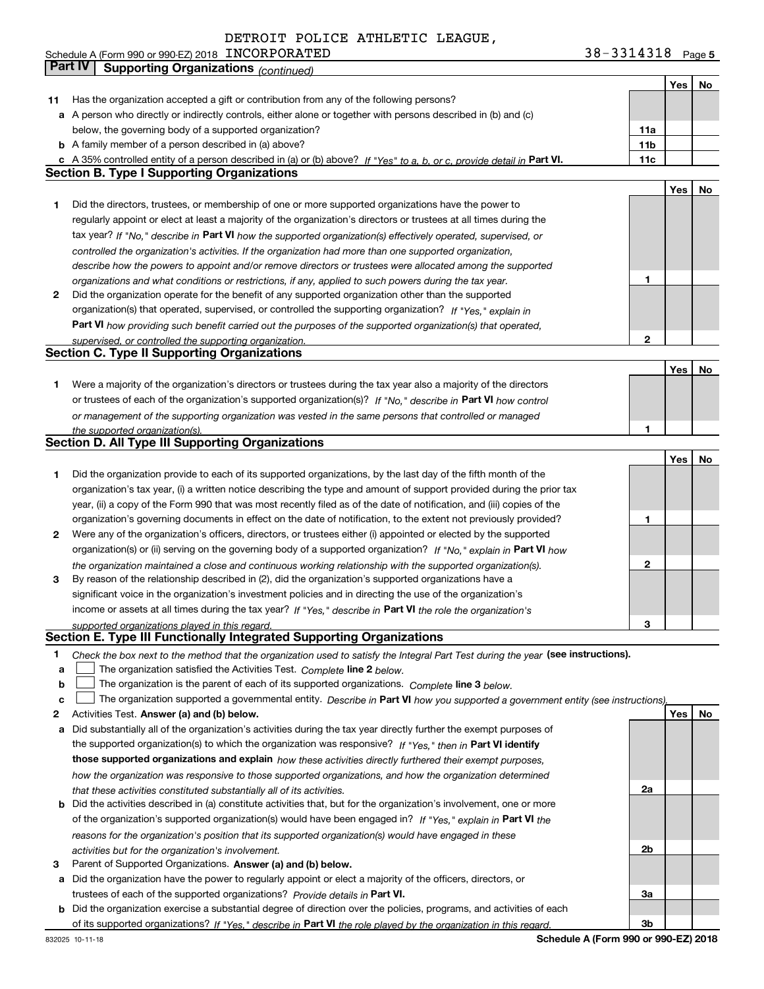|  | Schedule A (Form 990 or 990-EZ) 2018 $\,$ $\,$ $\rm{INCORPORTED}$ |  | 38-3314318 | Page 5 |
|--|-------------------------------------------------------------------|--|------------|--------|
|--|-------------------------------------------------------------------|--|------------|--------|

|              | Part IV<br><b>Supporting Organizations (continued)</b>                                                                                                                                                        |                 |     |    |
|--------------|---------------------------------------------------------------------------------------------------------------------------------------------------------------------------------------------------------------|-----------------|-----|----|
|              |                                                                                                                                                                                                               |                 | Yes | No |
| 11           | Has the organization accepted a gift or contribution from any of the following persons?                                                                                                                       |                 |     |    |
|              | a A person who directly or indirectly controls, either alone or together with persons described in (b) and (c)                                                                                                |                 |     |    |
|              | below, the governing body of a supported organization?                                                                                                                                                        | 11a             |     |    |
|              | <b>b</b> A family member of a person described in (a) above?                                                                                                                                                  | 11 <sub>b</sub> |     |    |
|              | c A 35% controlled entity of a person described in (a) or (b) above? If "Yes" to a, b, or c, provide detail in Part VI.                                                                                       | 11c             |     |    |
|              | <b>Section B. Type I Supporting Organizations</b>                                                                                                                                                             |                 |     |    |
|              |                                                                                                                                                                                                               |                 | Yes | No |
| 1            | Did the directors, trustees, or membership of one or more supported organizations have the power to                                                                                                           |                 |     |    |
|              | regularly appoint or elect at least a majority of the organization's directors or trustees at all times during the                                                                                            |                 |     |    |
|              | tax year? If "No," describe in Part VI how the supported organization(s) effectively operated, supervised, or                                                                                                 |                 |     |    |
|              | controlled the organization's activities. If the organization had more than one supported organization,                                                                                                       |                 |     |    |
|              |                                                                                                                                                                                                               |                 |     |    |
|              | describe how the powers to appoint and/or remove directors or trustees were allocated among the supported                                                                                                     | 1               |     |    |
| $\mathbf{2}$ | organizations and what conditions or restrictions, if any, applied to such powers during the tax year.<br>Did the organization operate for the benefit of any supported organization other than the supported |                 |     |    |
|              |                                                                                                                                                                                                               |                 |     |    |
|              | organization(s) that operated, supervised, or controlled the supporting organization? If "Yes," explain in                                                                                                    |                 |     |    |
|              | Part VI how providing such benefit carried out the purposes of the supported organization(s) that operated,                                                                                                   |                 |     |    |
|              | supervised, or controlled the supporting organization.                                                                                                                                                        | $\mathbf{2}$    |     |    |
|              | <b>Section C. Type II Supporting Organizations</b>                                                                                                                                                            |                 |     |    |
|              |                                                                                                                                                                                                               |                 | Yes | No |
| 1            | Were a majority of the organization's directors or trustees during the tax year also a majority of the directors                                                                                              |                 |     |    |
|              | or trustees of each of the organization's supported organization(s)? If "No," describe in Part VI how control                                                                                                 |                 |     |    |
|              | or management of the supporting organization was vested in the same persons that controlled or managed                                                                                                        |                 |     |    |
|              | the supported organization(s).                                                                                                                                                                                | 1               |     |    |
|              | <b>Section D. All Type III Supporting Organizations</b>                                                                                                                                                       |                 |     |    |
|              |                                                                                                                                                                                                               |                 | Yes | No |
| 1            | Did the organization provide to each of its supported organizations, by the last day of the fifth month of the                                                                                                |                 |     |    |
|              | organization's tax year, (i) a written notice describing the type and amount of support provided during the prior tax                                                                                         |                 |     |    |
|              | year, (ii) a copy of the Form 990 that was most recently filed as of the date of notification, and (iii) copies of the                                                                                        |                 |     |    |
|              | organization's governing documents in effect on the date of notification, to the extent not previously provided?                                                                                              | 1               |     |    |
| 2            | Were any of the organization's officers, directors, or trustees either (i) appointed or elected by the supported                                                                                              |                 |     |    |
|              | organization(s) or (ii) serving on the governing body of a supported organization? If "No," explain in Part VI how                                                                                            |                 |     |    |
|              | the organization maintained a close and continuous working relationship with the supported organization(s).                                                                                                   | $\mathbf{2}$    |     |    |
| 3            | By reason of the relationship described in (2), did the organization's supported organizations have a                                                                                                         |                 |     |    |
|              | significant voice in the organization's investment policies and in directing the use of the organization's                                                                                                    |                 |     |    |
|              | income or assets at all times during the tax year? If "Yes," describe in Part VI the role the organization's                                                                                                  |                 |     |    |
|              | supported organizations played in this regard.                                                                                                                                                                | 3               |     |    |
|              | Section E. Type III Functionally Integrated Supporting Organizations                                                                                                                                          |                 |     |    |
| 1            | Check the box next to the method that the organization used to satisfy the Integral Part Test during the year (see instructions).                                                                             |                 |     |    |
| a            | The organization satisfied the Activities Test. Complete line 2 below.                                                                                                                                        |                 |     |    |
| b            | The organization is the parent of each of its supported organizations. Complete line 3 below.                                                                                                                 |                 |     |    |
| c            | The organization supported a governmental entity. Describe in Part VI how you supported a government entity (see instructions),                                                                               |                 |     |    |
| 2            | Activities Test. Answer (a) and (b) below.                                                                                                                                                                    |                 | Yes | No |
| а            | Did substantially all of the organization's activities during the tax year directly further the exempt purposes of                                                                                            |                 |     |    |
|              | the supported organization(s) to which the organization was responsive? If "Yes," then in Part VI identify                                                                                                    |                 |     |    |
|              | those supported organizations and explain how these activities directly furthered their exempt purposes,                                                                                                      |                 |     |    |
|              |                                                                                                                                                                                                               |                 |     |    |
|              | how the organization was responsive to those supported organizations, and how the organization determined                                                                                                     |                 |     |    |
|              | that these activities constituted substantially all of its activities.                                                                                                                                        | 2a              |     |    |
|              | <b>b</b> Did the activities described in (a) constitute activities that, but for the organization's involvement, one or more                                                                                  |                 |     |    |
|              | of the organization's supported organization(s) would have been engaged in? If "Yes," explain in Part VI the                                                                                                  |                 |     |    |
|              | reasons for the organization's position that its supported organization(s) would have engaged in these                                                                                                        |                 |     |    |
|              | activities but for the organization's involvement.                                                                                                                                                            | 2b              |     |    |
| з            | Parent of Supported Organizations. Answer (a) and (b) below.                                                                                                                                                  |                 |     |    |
| а            | Did the organization have the power to regularly appoint or elect a majority of the officers, directors, or                                                                                                   |                 |     |    |
|              | trustees of each of the supported organizations? Provide details in Part VI.                                                                                                                                  | За              |     |    |
|              | <b>b</b> Did the organization exercise a substantial degree of direction over the policies, programs, and activities of each                                                                                  |                 |     |    |
|              | of its supported organizations? If "Yes." describe in Part VI the role played by the organization in this regard.                                                                                             | 3b              |     |    |

**Schedule A (Form 990 or 990-EZ) 2018**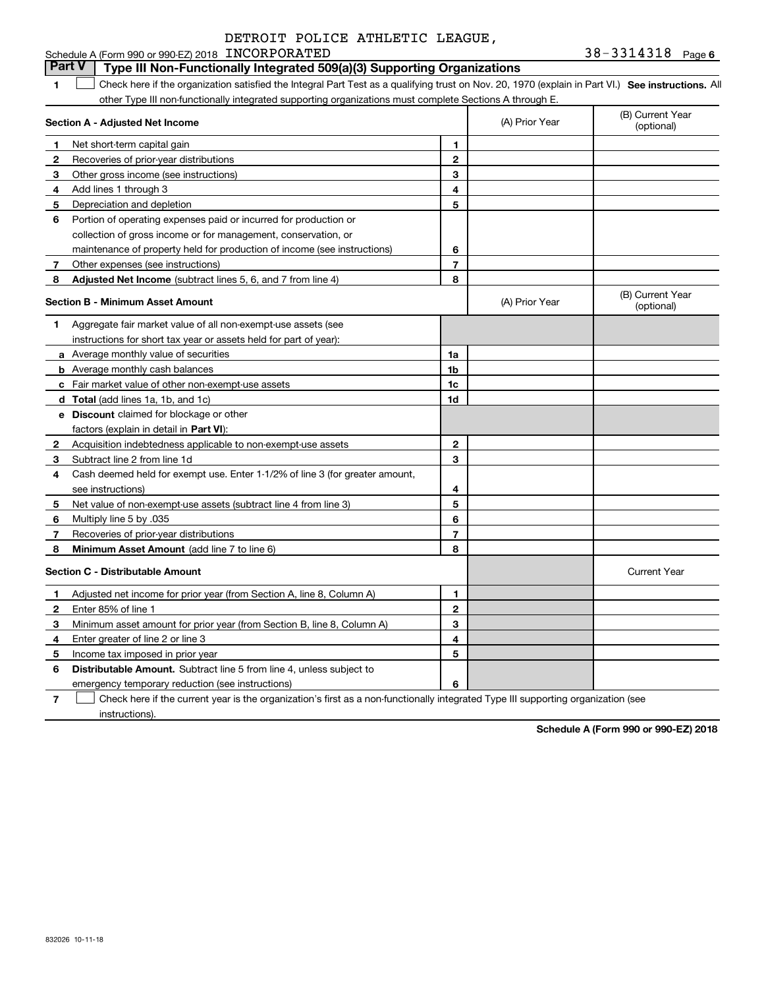#### **1SEP 10. See instructions.** All antegral Part Test as a qualifying trust on Nov. 20, 1970 (explain in Part VI.) See instructions. All **Section A - Adjusted Net Income 123** Other gross income (see instructions) **4**Add lines 1 through 3 **56** Portion of operating expenses paid or incurred for production or **7**Other expenses (see instructions) **8** Adjusted Net Income (subtract lines 5, 6, and 7 from line 4) **8 8 1234567Section B - Minimum Asset Amount 1**Aggregate fair market value of all non-exempt-use assets (see **2**Acquisition indebtedness applicable to non-exempt-use assets **3** Subtract line 2 from line 1d **4**Cash deemed held for exempt use. Enter 1-1/2% of line 3 (for greater amount, **5** Net value of non-exempt-use assets (subtract line 4 from line 3) **678a** Average monthly value of securities **b** Average monthly cash balances **c**Fair market value of other non-exempt-use assets **dTotal**  (add lines 1a, 1b, and 1c) **eDiscount** claimed for blockage or other **1a1b1c1d2345678**factors (explain in detail in **Part VI**): **Minimum Asset Amount**  (add line 7 to line 6) **Section C - Distributable Amount 123456123456Distributable Amount.** Subtract line 5 from line 4, unless subject to Schedule A (Form 990 or 990-EZ) 2018 Page INCORPORATED 38-3314318 other Type III non-functionally integrated supporting organizations must complete Sections A through E. (B) Current Year (optional)(A) Prior Year Net short-term capital gain Recoveries of prior-year distributions Depreciation and depletion collection of gross income or for management, conservation, or maintenance of property held for production of income (see instructions) (B) Current Year (optional)(A) Prior Year instructions for short tax year or assets held for part of year): see instructions) Multiply line 5 by .035 Recoveries of prior-year distributions Current Year Adjusted net income for prior year (from Section A, line 8, Column A) Enter 85% of line 1 Minimum asset amount for prior year (from Section B, line 8, Column A) Enter greater of line 2 or line 3 Income tax imposed in prior year **Part V** Type III Non-Functionally Integrated 509(a)(3) Supporting Organizations  $\mathcal{L}^{\text{max}}$

emergency temporary reduction (see instructions)

**7**Check here if the current year is the organization's first as a non-functionally integrated Type III supporting organization (see instructions). $\mathcal{L}^{\text{max}}$ 

**Schedule A (Form 990 or 990-EZ) 2018**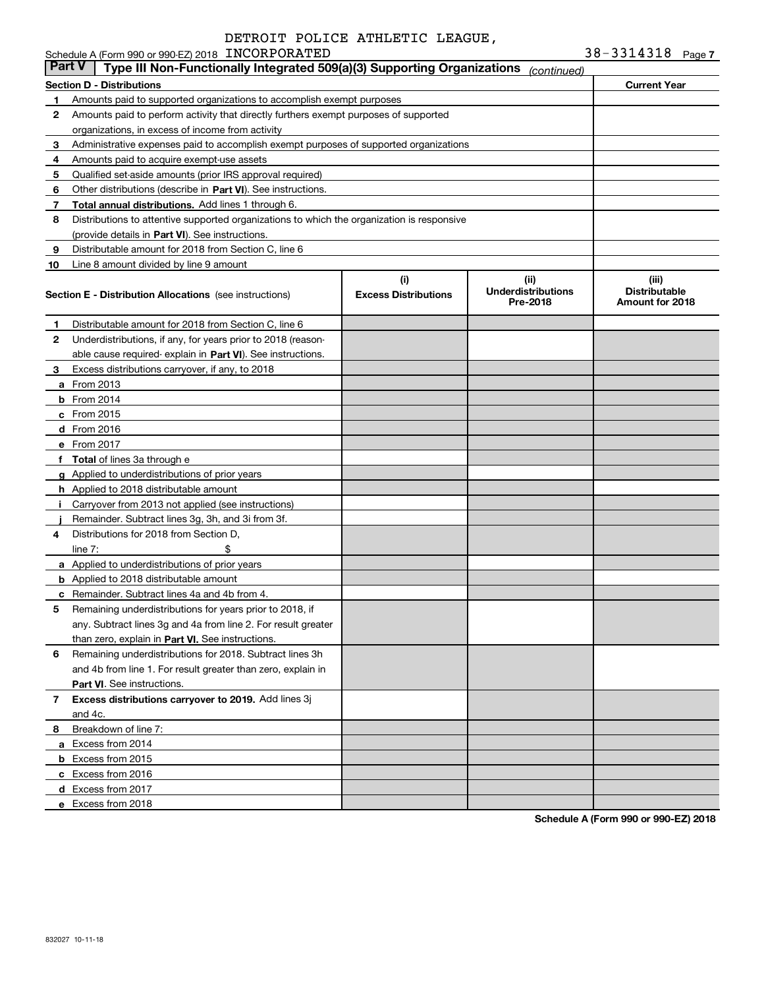|               | Schedule A (Form 990 or 990-EZ) 2018 INCORPORATED                                          |                                    |                                               | $38 - 3314318$ Page 7                            |
|---------------|--------------------------------------------------------------------------------------------|------------------------------------|-----------------------------------------------|--------------------------------------------------|
| <b>Part V</b> | Type III Non-Functionally Integrated 509(a)(3) Supporting Organizations                    |                                    | (continued)                                   |                                                  |
|               | <b>Section D - Distributions</b>                                                           |                                    |                                               | <b>Current Year</b>                              |
| 1             | Amounts paid to supported organizations to accomplish exempt purposes                      |                                    |                                               |                                                  |
| 2             | Amounts paid to perform activity that directly furthers exempt purposes of supported       |                                    |                                               |                                                  |
|               | organizations, in excess of income from activity                                           |                                    |                                               |                                                  |
| 3             | Administrative expenses paid to accomplish exempt purposes of supported organizations      |                                    |                                               |                                                  |
| 4             | Amounts paid to acquire exempt-use assets                                                  |                                    |                                               |                                                  |
| 5             | Qualified set-aside amounts (prior IRS approval required)                                  |                                    |                                               |                                                  |
| 6             | Other distributions (describe in Part VI). See instructions.                               |                                    |                                               |                                                  |
| 7             | Total annual distributions. Add lines 1 through 6.                                         |                                    |                                               |                                                  |
| 8             | Distributions to attentive supported organizations to which the organization is responsive |                                    |                                               |                                                  |
|               | (provide details in Part VI). See instructions.                                            |                                    |                                               |                                                  |
| 9             | Distributable amount for 2018 from Section C, line 6                                       |                                    |                                               |                                                  |
| 10            | Line 8 amount divided by line 9 amount                                                     |                                    |                                               |                                                  |
|               | <b>Section E - Distribution Allocations</b> (see instructions)                             | (i)<br><b>Excess Distributions</b> | (ii)<br><b>Underdistributions</b><br>Pre-2018 | (iii)<br><b>Distributable</b><br>Amount for 2018 |
| 1             | Distributable amount for 2018 from Section C, line 6                                       |                                    |                                               |                                                  |
| 2             | Underdistributions, if any, for years prior to 2018 (reason-                               |                                    |                                               |                                                  |
|               | able cause required-explain in Part VI). See instructions.                                 |                                    |                                               |                                                  |
| 3             | Excess distributions carryover, if any, to 2018                                            |                                    |                                               |                                                  |
|               | <b>a</b> From 2013                                                                         |                                    |                                               |                                                  |
|               | $b$ From 2014                                                                              |                                    |                                               |                                                  |
|               | $c$ From 2015                                                                              |                                    |                                               |                                                  |
|               | d From 2016                                                                                |                                    |                                               |                                                  |
|               | e From 2017                                                                                |                                    |                                               |                                                  |
|               | f Total of lines 3a through e                                                              |                                    |                                               |                                                  |
|               | g Applied to underdistributions of prior years                                             |                                    |                                               |                                                  |
|               | <b>h</b> Applied to 2018 distributable amount                                              |                                    |                                               |                                                  |
|               | Carryover from 2013 not applied (see instructions)                                         |                                    |                                               |                                                  |
|               | Remainder. Subtract lines 3g, 3h, and 3i from 3f.                                          |                                    |                                               |                                                  |
| 4             | Distributions for 2018 from Section D.                                                     |                                    |                                               |                                                  |
|               | \$<br>line $7:$                                                                            |                                    |                                               |                                                  |
|               | a Applied to underdistributions of prior years                                             |                                    |                                               |                                                  |
|               | <b>b</b> Applied to 2018 distributable amount                                              |                                    |                                               |                                                  |
|               | <b>c</b> Remainder. Subtract lines 4a and 4b from 4.                                       |                                    |                                               |                                                  |
|               | Remaining underdistributions for years prior to 2018, if                                   |                                    |                                               |                                                  |
|               | any. Subtract lines 3q and 4a from line 2. For result greater                              |                                    |                                               |                                                  |
|               | than zero, explain in Part VI. See instructions.                                           |                                    |                                               |                                                  |
| 6             | Remaining underdistributions for 2018. Subtract lines 3h                                   |                                    |                                               |                                                  |
|               | and 4b from line 1. For result greater than zero, explain in                               |                                    |                                               |                                                  |
|               | Part VI. See instructions.                                                                 |                                    |                                               |                                                  |
| 7             | Excess distributions carryover to 2019. Add lines 3j                                       |                                    |                                               |                                                  |
|               | and 4c.                                                                                    |                                    |                                               |                                                  |
| 8             | Breakdown of line 7:                                                                       |                                    |                                               |                                                  |
|               | a Excess from 2014                                                                         |                                    |                                               |                                                  |
|               | <b>b</b> Excess from 2015                                                                  |                                    |                                               |                                                  |
|               | c Excess from 2016                                                                         |                                    |                                               |                                                  |
|               | d Excess from 2017                                                                         |                                    |                                               |                                                  |
|               | e Excess from 2018                                                                         |                                    |                                               |                                                  |

**Schedule A (Form 990 or 990-EZ) 2018**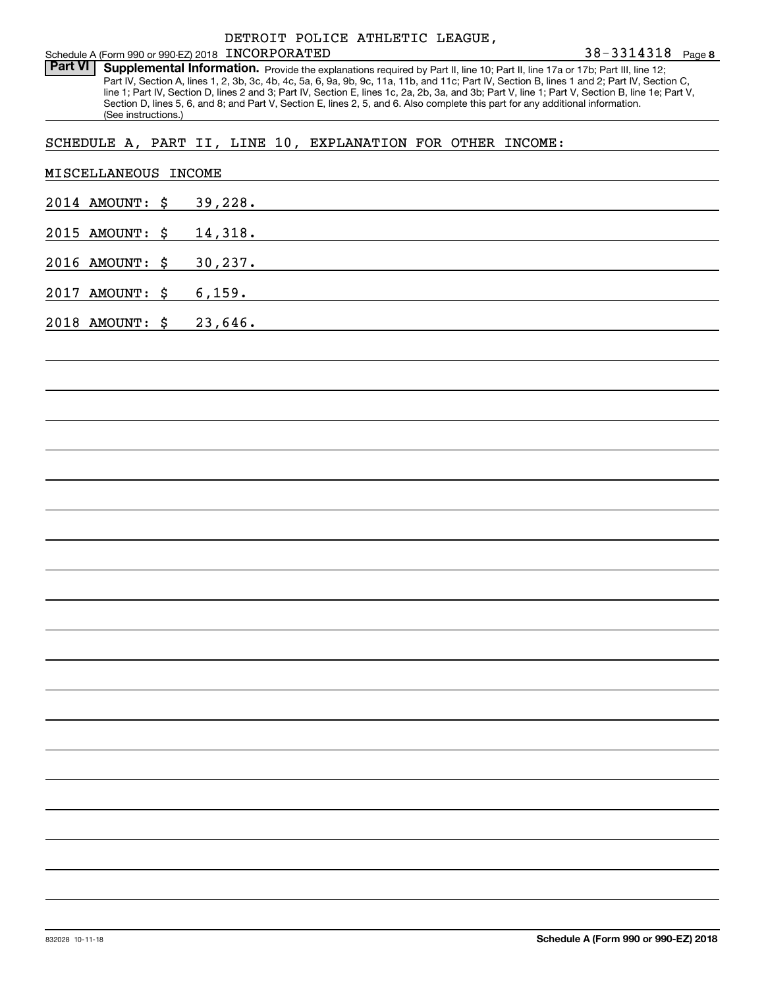Part VI | Supplemental Information. Provide the explanations required by Part II, line 10; Part II, line 17a or 17b; Part III, line 12; Part IV, Section A, lines 1, 2, 3b, 3c, 4b, 4c, 5a, 6, 9a, 9b, 9c, 11a, 11b, and 11c; Part IV, Section B, lines 1 and 2; Part IV, Section C, line 1; Part IV, Section D, lines 2 and 3; Part IV, Section E, lines 1c, 2a, 2b, 3a, and 3b; Part V, line 1; Part V, Section B, line 1e; Part V, Section D, lines 5, 6, and 8; and Part V, Section E, lines 2, 5, and 6. Also complete this part for any additional information. (See instructions.)

#### SCHEDULE A, PART II, LINE 10, EXPLANATION FOR OTHER INCOME:

| MISCELLANEOUS INCOME    |  |          |  |  |  |
|-------------------------|--|----------|--|--|--|
| 2014 AMOUNT: \$ 39,228. |  |          |  |  |  |
| 2015 AMOUNT: \$ 14,318. |  |          |  |  |  |
| 2016 AMOUNT: \$         |  | 30, 237. |  |  |  |
| 2017 AMOUNT: \$ 6,159.  |  |          |  |  |  |
| 2018 AMOUNT: \$ 23,646. |  |          |  |  |  |
|                         |  |          |  |  |  |
|                         |  |          |  |  |  |
|                         |  |          |  |  |  |
|                         |  |          |  |  |  |
|                         |  |          |  |  |  |
|                         |  |          |  |  |  |
|                         |  |          |  |  |  |
|                         |  |          |  |  |  |
|                         |  |          |  |  |  |
|                         |  |          |  |  |  |
|                         |  |          |  |  |  |
|                         |  |          |  |  |  |
|                         |  |          |  |  |  |
|                         |  |          |  |  |  |
|                         |  |          |  |  |  |
|                         |  |          |  |  |  |
|                         |  |          |  |  |  |
|                         |  |          |  |  |  |
|                         |  |          |  |  |  |
|                         |  |          |  |  |  |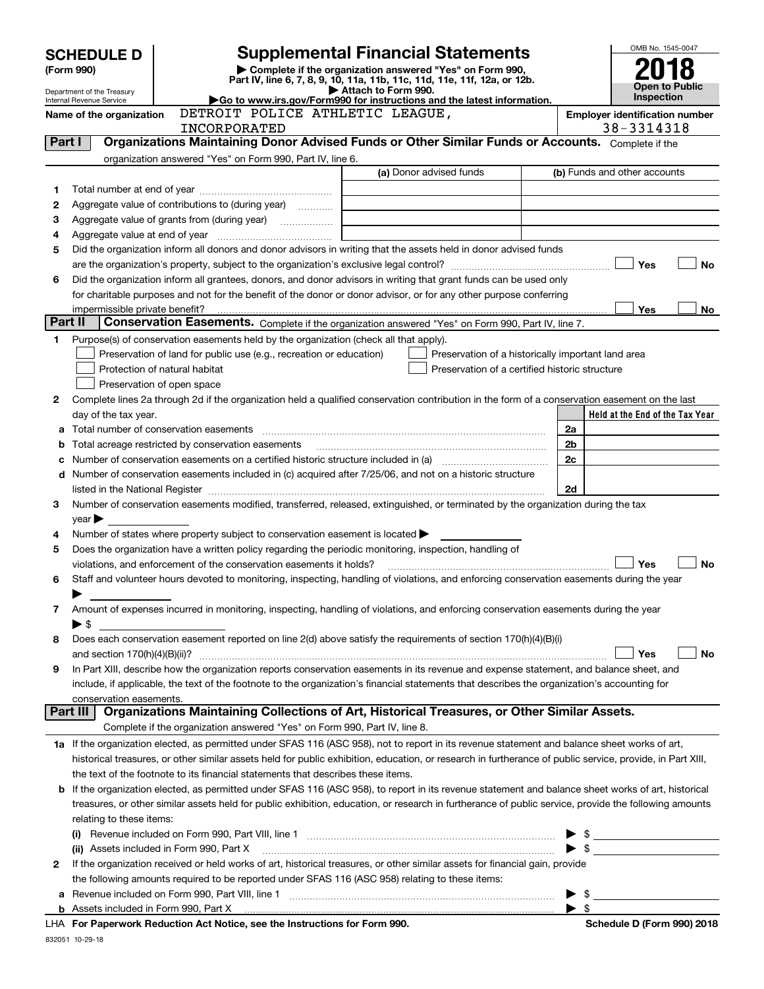| OMB No. 1545-0047<br><b>Supplemental Financial Statements</b> |                                                      |                                                                                                        |                                                                                                                                                            |    |                                       |  |
|---------------------------------------------------------------|------------------------------------------------------|--------------------------------------------------------------------------------------------------------|------------------------------------------------------------------------------------------------------------------------------------------------------------|----|---------------------------------------|--|
|                                                               | <b>SCHEDULE D</b>                                    |                                                                                                        |                                                                                                                                                            |    |                                       |  |
|                                                               | (Form 990)                                           |                                                                                                        | Complete if the organization answered "Yes" on Form 990,<br>Part IV, line 6, 7, 8, 9, 10, 11a, 11b, 11c, 11d, 11e, 11f, 12a, or 12b.                       |    |                                       |  |
|                                                               | Department of the Treasury                           |                                                                                                        | Attach to Form 990.<br>Go to www.irs.gov/Form990 for instructions and the latest information.                                                              |    | <b>Open to Public</b><br>Inspection   |  |
|                                                               | Internal Revenue Service<br>Name of the organization | DETROIT POLICE ATHLETIC LEAGUE,                                                                        |                                                                                                                                                            |    | <b>Employer identification number</b> |  |
|                                                               |                                                      | <b>INCORPORATED</b>                                                                                    |                                                                                                                                                            |    | 38-3314318                            |  |
| Part I                                                        |                                                      |                                                                                                        | Organizations Maintaining Donor Advised Funds or Other Similar Funds or Accounts. Complete if the                                                          |    |                                       |  |
|                                                               |                                                      | organization answered "Yes" on Form 990, Part IV, line 6.                                              |                                                                                                                                                            |    |                                       |  |
|                                                               |                                                      |                                                                                                        | (a) Donor advised funds                                                                                                                                    |    | (b) Funds and other accounts          |  |
| 1                                                             |                                                      |                                                                                                        |                                                                                                                                                            |    |                                       |  |
| 2                                                             |                                                      | Aggregate value of contributions to (during year)                                                      |                                                                                                                                                            |    |                                       |  |
| З                                                             |                                                      |                                                                                                        |                                                                                                                                                            |    |                                       |  |
| 4                                                             |                                                      |                                                                                                        |                                                                                                                                                            |    |                                       |  |
| 5                                                             |                                                      |                                                                                                        | Did the organization inform all donors and donor advisors in writing that the assets held in donor advised funds                                           |    |                                       |  |
|                                                               |                                                      |                                                                                                        |                                                                                                                                                            |    | Yes<br>No                             |  |
| 6                                                             |                                                      |                                                                                                        | Did the organization inform all grantees, donors, and donor advisors in writing that grant funds can be used only                                          |    |                                       |  |
|                                                               |                                                      |                                                                                                        | for charitable purposes and not for the benefit of the donor or donor advisor, or for any other purpose conferring                                         |    |                                       |  |
| Part II                                                       | impermissible private benefit?                       |                                                                                                        |                                                                                                                                                            |    | Yes<br>No                             |  |
|                                                               |                                                      |                                                                                                        | Conservation Easements. Complete if the organization answered "Yes" on Form 990, Part IV, line 7.                                                          |    |                                       |  |
| 1.                                                            |                                                      | Purpose(s) of conservation easements held by the organization (check all that apply).                  |                                                                                                                                                            |    |                                       |  |
|                                                               |                                                      | Preservation of land for public use (e.g., recreation or education)                                    | Preservation of a historically important land area<br>Preservation of a certified historic structure                                                       |    |                                       |  |
|                                                               |                                                      | Protection of natural habitat<br>Preservation of open space                                            |                                                                                                                                                            |    |                                       |  |
| 2                                                             |                                                      |                                                                                                        | Complete lines 2a through 2d if the organization held a qualified conservation contribution in the form of a conservation easement on the last             |    |                                       |  |
|                                                               | day of the tax year.                                 |                                                                                                        | Held at the End of the Tax Year                                                                                                                            |    |                                       |  |
| a                                                             |                                                      | Total number of conservation easements                                                                 |                                                                                                                                                            | 2a |                                       |  |
| b                                                             |                                                      | Total acreage restricted by conservation easements                                                     |                                                                                                                                                            | 2b |                                       |  |
| c                                                             |                                                      |                                                                                                        |                                                                                                                                                            | 2c |                                       |  |
| d                                                             |                                                      |                                                                                                        | Number of conservation easements included in (c) acquired after 7/25/06, and not on a historic structure                                                   |    |                                       |  |
|                                                               |                                                      |                                                                                                        | listed in the National Register [11, 11] The Marian Community of the National Property of the National Register                                            | 2d |                                       |  |
| з                                                             |                                                      |                                                                                                        | Number of conservation easements modified, transferred, released, extinguished, or terminated by the organization during the tax                           |    |                                       |  |
|                                                               | vear                                                 |                                                                                                        |                                                                                                                                                            |    |                                       |  |
| 4                                                             |                                                      | Number of states where property subject to conservation easement is located >                          |                                                                                                                                                            |    |                                       |  |
| 5                                                             |                                                      | Does the organization have a written policy regarding the periodic monitoring, inspection, handling of |                                                                                                                                                            |    |                                       |  |
|                                                               |                                                      | violations, and enforcement of the conservation easements it holds?                                    |                                                                                                                                                            |    | Yes<br>No                             |  |
| 6                                                             |                                                      |                                                                                                        | Staff and volunteer hours devoted to monitoring, inspecting, handling of violations, and enforcing conservation easements during the year                  |    |                                       |  |
|                                                               |                                                      |                                                                                                        |                                                                                                                                                            |    |                                       |  |
| 7                                                             |                                                      |                                                                                                        | Amount of expenses incurred in monitoring, inspecting, handling of violations, and enforcing conservation easements during the year                        |    |                                       |  |
|                                                               | ▶ \$                                                 |                                                                                                        |                                                                                                                                                            |    |                                       |  |
| 8                                                             |                                                      |                                                                                                        | Does each conservation easement reported on line 2(d) above satisfy the requirements of section 170(h)(4)(B)(i)                                            |    |                                       |  |
|                                                               | and section $170(h)(4)(B)(ii)?$                      |                                                                                                        |                                                                                                                                                            |    | Yes<br>No                             |  |
| 9                                                             |                                                      |                                                                                                        | In Part XIII, describe how the organization reports conservation easements in its revenue and expense statement, and balance sheet, and                    |    |                                       |  |
|                                                               |                                                      |                                                                                                        | include, if applicable, the text of the footnote to the organization's financial statements that describes the organization's accounting for               |    |                                       |  |
|                                                               | conservation easements.                              |                                                                                                        |                                                                                                                                                            |    |                                       |  |
|                                                               | Part III                                             |                                                                                                        | Organizations Maintaining Collections of Art, Historical Treasures, or Other Similar Assets.                                                               |    |                                       |  |
|                                                               |                                                      | Complete if the organization answered "Yes" on Form 990, Part IV, line 8.                              |                                                                                                                                                            |    |                                       |  |
|                                                               |                                                      |                                                                                                        | 1a If the organization elected, as permitted under SFAS 116 (ASC 958), not to report in its revenue statement and balance sheet works of art,              |    |                                       |  |
|                                                               |                                                      |                                                                                                        | historical treasures, or other similar assets held for public exhibition, education, or research in furtherance of public service, provide, in Part XIII,  |    |                                       |  |
|                                                               |                                                      | the text of the footnote to its financial statements that describes these items.                       |                                                                                                                                                            |    |                                       |  |
|                                                               |                                                      |                                                                                                        | <b>b</b> If the organization elected, as permitted under SFAS 116 (ASC 958), to report in its revenue statement and balance sheet works of art, historical |    |                                       |  |
|                                                               |                                                      |                                                                                                        | treasures, or other similar assets held for public exhibition, education, or research in furtherance of public service, provide the following amounts      |    |                                       |  |
|                                                               | relating to these items:                             |                                                                                                        |                                                                                                                                                            |    |                                       |  |
|                                                               |                                                      |                                                                                                        |                                                                                                                                                            |    |                                       |  |
|                                                               |                                                      |                                                                                                        |                                                                                                                                                            |    | $\blacktriangleright$ \$              |  |
| 2                                                             |                                                      |                                                                                                        | If the organization received or held works of art, historical treasures, or other similar assets for financial gain, provide                               |    |                                       |  |
|                                                               |                                                      | the following amounts required to be reported under SFAS 116 (ASC 958) relating to these items:        |                                                                                                                                                            |    |                                       |  |
| а                                                             |                                                      |                                                                                                        |                                                                                                                                                            |    |                                       |  |
|                                                               | $\blacktriangleright$ s                              |                                                                                                        |                                                                                                                                                            |    |                                       |  |

|  | Schedule D (Form 990) 2018 |
|--|----------------------------|
|--|----------------------------|

| ichedule D (Form 990) 2018 |  |  |  |
|----------------------------|--|--|--|
|                            |  |  |  |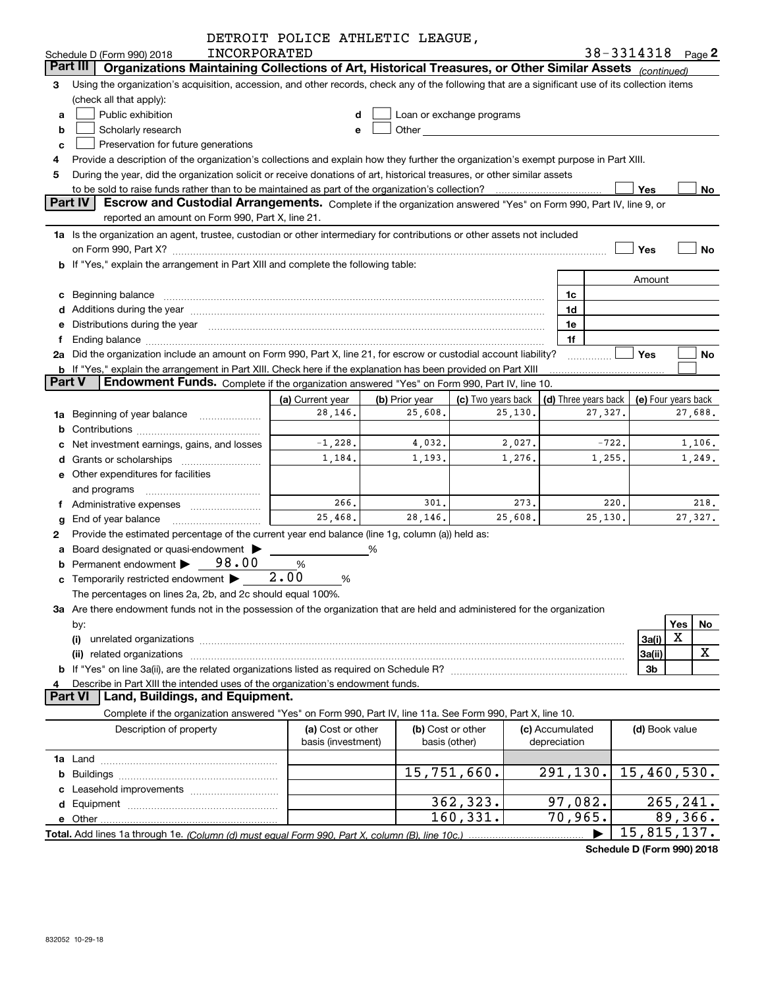|    |                                                                                                                                                                                                                                       | DETROIT POLICE ATHLETIC LEAGUE, |                |                                                                                                                                                                                                                                |         |                      |         |                             |                       |
|----|---------------------------------------------------------------------------------------------------------------------------------------------------------------------------------------------------------------------------------------|---------------------------------|----------------|--------------------------------------------------------------------------------------------------------------------------------------------------------------------------------------------------------------------------------|---------|----------------------|---------|-----------------------------|-----------------------|
|    | INCORPORATED<br>Schedule D (Form 990) 2018                                                                                                                                                                                            |                                 |                |                                                                                                                                                                                                                                |         |                      |         |                             | $38 - 3314318$ Page 2 |
|    | Part III<br>Organizations Maintaining Collections of Art, Historical Treasures, or Other Similar Assets (continued)                                                                                                                   |                                 |                |                                                                                                                                                                                                                                |         |                      |         |                             |                       |
| 3  | Using the organization's acquisition, accession, and other records, check any of the following that are a significant use of its collection items<br>(check all that apply):                                                          |                                 |                |                                                                                                                                                                                                                                |         |                      |         |                             |                       |
|    | Public exhibition                                                                                                                                                                                                                     |                                 |                |                                                                                                                                                                                                                                |         |                      |         |                             |                       |
| a  |                                                                                                                                                                                                                                       |                                 |                | Loan or exchange programs                                                                                                                                                                                                      |         |                      |         |                             |                       |
| b  | Scholarly research                                                                                                                                                                                                                    | е                               |                | Other the contract of the contract of the contract of the contract of the contract of the contract of the contract of the contract of the contract of the contract of the contract of the contract of the contract of the cont |         |                      |         |                             |                       |
| с  | Preservation for future generations                                                                                                                                                                                                   |                                 |                |                                                                                                                                                                                                                                |         |                      |         |                             |                       |
| 4  | Provide a description of the organization's collections and explain how they further the organization's exempt purpose in Part XIII.                                                                                                  |                                 |                |                                                                                                                                                                                                                                |         |                      |         |                             |                       |
| 5  | During the year, did the organization solicit or receive donations of art, historical treasures, or other similar assets                                                                                                              |                                 |                |                                                                                                                                                                                                                                |         |                      |         | Yes                         | No                    |
|    | to be sold to raise funds rather than to be maintained as part of the organization's collection?<br><b>Part IV</b><br>Escrow and Custodial Arrangements. Complete if the organization answered "Yes" on Form 990, Part IV, line 9, or |                                 |                |                                                                                                                                                                                                                                |         |                      |         |                             |                       |
|    | reported an amount on Form 990, Part X, line 21.                                                                                                                                                                                      |                                 |                |                                                                                                                                                                                                                                |         |                      |         |                             |                       |
|    | 1a Is the organization an agent, trustee, custodian or other intermediary for contributions or other assets not included                                                                                                              |                                 |                |                                                                                                                                                                                                                                |         |                      |         |                             |                       |
|    |                                                                                                                                                                                                                                       |                                 |                |                                                                                                                                                                                                                                |         |                      |         | Yes                         | <b>No</b>             |
|    | b If "Yes," explain the arrangement in Part XIII and complete the following table:                                                                                                                                                    |                                 |                |                                                                                                                                                                                                                                |         |                      |         |                             |                       |
|    |                                                                                                                                                                                                                                       |                                 |                |                                                                                                                                                                                                                                |         |                      |         | Amount                      |                       |
|    | c Beginning balance measurements and the contract of Beginning balance measurements are all the contract of the contract of the contract of the contract of the contract of the contract of the contract of the contract of th        |                                 |                |                                                                                                                                                                                                                                |         | 1c                   |         |                             |                       |
|    | d Additions during the year manufactured and an account of the year manufactured and account of the year manufactured and account of the year manufactured and account of the year manufactured and account of the year manufa        |                                 |                |                                                                                                                                                                                                                                |         | 1d                   |         |                             |                       |
|    | e Distributions during the year manufactured and continuum and contact the control of the Distributions during the year                                                                                                               |                                 |                |                                                                                                                                                                                                                                |         | 1e                   |         |                             |                       |
| f  |                                                                                                                                                                                                                                       |                                 |                |                                                                                                                                                                                                                                |         | 1f                   |         |                             |                       |
|    | 2a Did the organization include an amount on Form 990, Part X, line 21, for escrow or custodial account liability?                                                                                                                    |                                 |                |                                                                                                                                                                                                                                |         |                      |         | Yes                         | No                    |
|    | <b>b</b> If "Yes," explain the arrangement in Part XIII. Check here if the explanation has been provided on Part XIII                                                                                                                 |                                 |                |                                                                                                                                                                                                                                |         |                      |         |                             |                       |
|    | <b>Part V</b><br>Endowment Funds. Complete if the organization answered "Yes" on Form 990, Part IV, line 10.                                                                                                                          |                                 |                |                                                                                                                                                                                                                                |         |                      |         |                             |                       |
|    |                                                                                                                                                                                                                                       | (a) Current year                | (b) Prior year | (c) Two years back                                                                                                                                                                                                             |         | (d) Three years back |         |                             | (e) Four years back   |
| 1a | Beginning of year balance <i>manumman</i>                                                                                                                                                                                             | 28,146.                         | 25,608.        |                                                                                                                                                                                                                                | 25,130. |                      | 27,327. |                             | 27,688.               |
| b  |                                                                                                                                                                                                                                       |                                 |                |                                                                                                                                                                                                                                |         |                      |         |                             |                       |
| с  | Net investment earnings, gains, and losses                                                                                                                                                                                            | $-1,228.$                       | 4,032.         |                                                                                                                                                                                                                                | 2,027.  |                      | $-722.$ |                             | 1,106.                |
| d  | Grants or scholarships [ <i>[[[[[[[[[[[[[[[[[[[[[[[[[[[[[[[[[]]]]</i>                                                                                                                                                                 | 1,184.                          | 1,193.         |                                                                                                                                                                                                                                | 1,276.  |                      | 1,255.  |                             | 1,249.                |
|    | e Other expenditures for facilities                                                                                                                                                                                                   |                                 |                |                                                                                                                                                                                                                                |         |                      |         |                             |                       |
|    | and programs                                                                                                                                                                                                                          |                                 |                |                                                                                                                                                                                                                                |         |                      |         |                             |                       |
|    | f Administrative expenses <i></i>                                                                                                                                                                                                     | 266.                            | 301.           |                                                                                                                                                                                                                                | 273.    |                      | 220.    |                             | 218.                  |
| g  | End of year balance                                                                                                                                                                                                                   | 25,468.                         | 28,146.        |                                                                                                                                                                                                                                | 25,608. |                      | 25,130. |                             | 27,327.               |
| 2  | Provide the estimated percentage of the current year end balance (line 1g, column (a)) held as:                                                                                                                                       |                                 |                |                                                                                                                                                                                                                                |         |                      |         |                             |                       |
| a  | Board designated or quasi-endowment                                                                                                                                                                                                   | %                               |                |                                                                                                                                                                                                                                |         |                      |         |                             |                       |
|    | Permanent endowment $\triangleright$ 98.00                                                                                                                                                                                            | %                               |                |                                                                                                                                                                                                                                |         |                      |         |                             |                       |
|    | <b>c</b> Temporarily restricted endowment $\blacktriangleright$                                                                                                                                                                       | 2.00<br>%                       |                |                                                                                                                                                                                                                                |         |                      |         |                             |                       |
|    | The percentages on lines 2a, 2b, and 2c should equal 100%.                                                                                                                                                                            |                                 |                |                                                                                                                                                                                                                                |         |                      |         |                             |                       |
|    | 3a Are there endowment funds not in the possession of the organization that are held and administered for the organization                                                                                                            |                                 |                |                                                                                                                                                                                                                                |         |                      |         |                             |                       |
|    | by:                                                                                                                                                                                                                                   |                                 |                |                                                                                                                                                                                                                                |         |                      |         |                             | Yes<br>No             |
|    | (i)                                                                                                                                                                                                                                   |                                 |                |                                                                                                                                                                                                                                |         |                      |         | 3a(i)                       | X                     |
|    |                                                                                                                                                                                                                                       |                                 |                |                                                                                                                                                                                                                                |         |                      |         | 3a(ii)                      | x                     |
|    |                                                                                                                                                                                                                                       |                                 |                |                                                                                                                                                                                                                                |         |                      |         | 3b                          |                       |
| 4  | Describe in Part XIII the intended uses of the organization's endowment funds.                                                                                                                                                        |                                 |                |                                                                                                                                                                                                                                |         |                      |         |                             |                       |
|    | <b>Part VI</b><br>Land, Buildings, and Equipment.                                                                                                                                                                                     |                                 |                |                                                                                                                                                                                                                                |         |                      |         |                             |                       |
|    | Complete if the organization answered "Yes" on Form 990, Part IV, line 11a. See Form 990, Part X, line 10.                                                                                                                            |                                 |                |                                                                                                                                                                                                                                |         |                      |         |                             |                       |
|    | Description of property                                                                                                                                                                                                               | (a) Cost or other               |                | (b) Cost or other                                                                                                                                                                                                              |         | (c) Accumulated      |         |                             |                       |
|    |                                                                                                                                                                                                                                       | basis (investment)              | basis (other)  |                                                                                                                                                                                                                                |         | depreciation         |         | (d) Book value              |                       |
|    |                                                                                                                                                                                                                                       |                                 |                |                                                                                                                                                                                                                                |         |                      |         |                             |                       |
| 1a |                                                                                                                                                                                                                                       |                                 |                | 15,751,660.                                                                                                                                                                                                                    |         | 291,130.             |         | 15,460,530.                 |                       |
| b  |                                                                                                                                                                                                                                       |                                 |                |                                                                                                                                                                                                                                |         |                      |         |                             |                       |
| с  |                                                                                                                                                                                                                                       |                                 |                | 362,323.                                                                                                                                                                                                                       |         | 97,082.              |         |                             | 265, 241.             |
| d  |                                                                                                                                                                                                                                       |                                 |                | 160, 331.                                                                                                                                                                                                                      |         | 70,965.              |         |                             | 89,366.               |
|    |                                                                                                                                                                                                                                       |                                 |                |                                                                                                                                                                                                                                |         |                      |         | $\overline{15}$ , 815, 137. |                       |
|    |                                                                                                                                                                                                                                       |                                 |                |                                                                                                                                                                                                                                |         |                      |         |                             |                       |

**Schedule D (Form 990) 2018**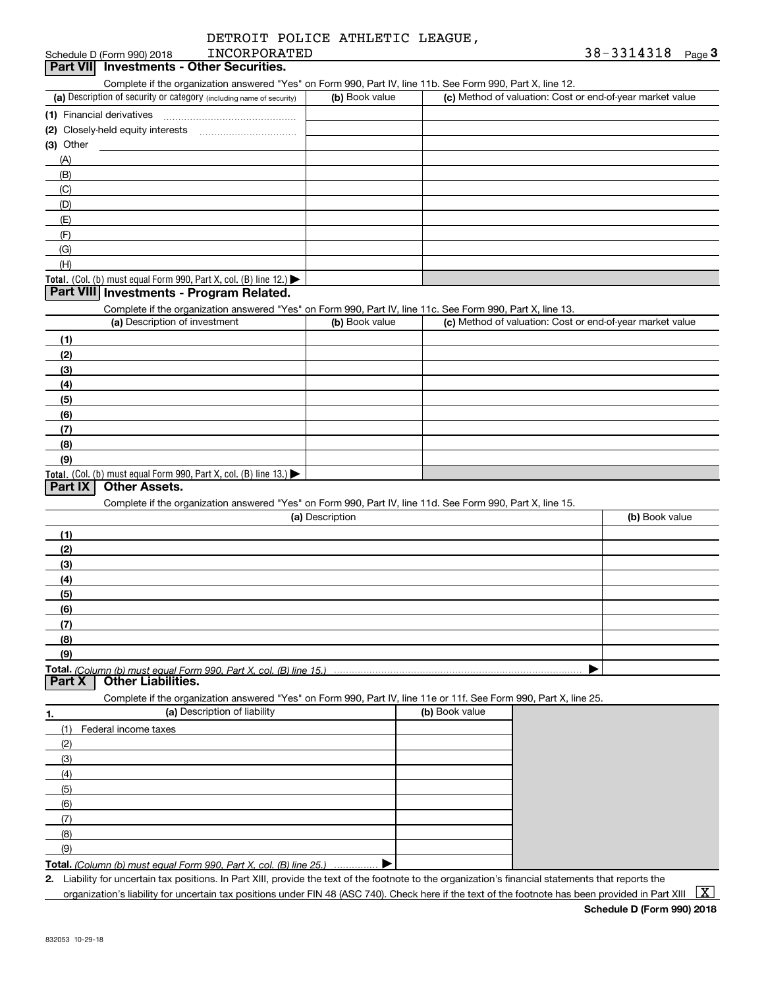| DETROIT POLICE ATHLETIC LEAGUE, |  |
|---------------------------------|--|
|---------------------------------|--|

#### Schedule D (Form 990) 2018 TNCORPORATED 38 - 3314318 Page 3 **Part VII Investments - Other Securities.** INCORPORATED

Complete if the organization answered "Yes" on Form 990, Part IV, line 11b. See Form 990, Part X, line 12.

| (a) Description of security or category (including name of security)                   | (b) Book value | (c) Method of valuation: Cost or end-of-year market value |
|----------------------------------------------------------------------------------------|----------------|-----------------------------------------------------------|
| (1) Financial derivatives                                                              |                |                                                           |
| (2) Closely-held equity interests                                                      |                |                                                           |
| $(3)$ Other                                                                            |                |                                                           |
| (A)                                                                                    |                |                                                           |
| (B)                                                                                    |                |                                                           |
| (C)                                                                                    |                |                                                           |
| (D)                                                                                    |                |                                                           |
| (E)                                                                                    |                |                                                           |
| (F)                                                                                    |                |                                                           |
| (G)                                                                                    |                |                                                           |
| (H)                                                                                    |                |                                                           |
| Total. (Col. (b) must equal Form 990, Part X, col. (B) line 12.) $\blacktriangleright$ |                |                                                           |

#### **Part VIII Investments - Program Related.**

Complete if the organization answered "Yes" on Form 990, Part IV, line 11c. See Form 990, Part X, line 13.

| (a) Description of investment                                    | (b) Book value | (c) Method of valuation: Cost or end-of-year market value |
|------------------------------------------------------------------|----------------|-----------------------------------------------------------|
| (1)                                                              |                |                                                           |
| (2)                                                              |                |                                                           |
| $\frac{1}{2}$                                                    |                |                                                           |
| (4)                                                              |                |                                                           |
| $\frac{1}{2}$                                                    |                |                                                           |
| (6)                                                              |                |                                                           |
| $\sqrt{(7)}$                                                     |                |                                                           |
| (8)                                                              |                |                                                           |
| (9)                                                              |                |                                                           |
| Total. (Col. (b) must equal Form 990, Part X, col. (B) line 13.) |                |                                                           |

#### **Part IX Other Assets.**

Complete if the organization answered "Yes" on Form 990, Part IV, line 11d. See Form 990, Part X, line 15.

| (a) Description | (b) Book value |
|-----------------|----------------|
| (1)             |                |
| (2)             |                |
| $\frac{1}{2}$   |                |
| (4)             |                |
| $\frac{1}{2}$   |                |
| (6)             |                |
| (7)             |                |
| (8)             |                |
| (9)             |                |
|                 |                |

**Part X Other Liabilities.**

Complete if the organization answered "Yes" on Form 990, Part IV, line 11e or 11f. See Form 990, Part X, line 25.

| 1.  | (a) Description of liability | (b) Book value |
|-----|------------------------------|----------------|
| (1) | Federal income taxes         |                |
| (2) |                              |                |
| (3) |                              |                |
| (4) |                              |                |
| (5) |                              |                |
| (6) |                              |                |
| (7) |                              |                |
| (8) |                              |                |
| (9) |                              |                |
|     | Total (O <sub>2</sub> )      |                |

**Total.**  *(Column (b) must equal Form 990, Part X, col. (B) line 25.)* …. ▶

**2.** Liability for uncertain tax positions. In Part XIII, provide the text of the footnote to the organization's financial statements that reports the organization's liability for uncertain tax positions under FIN 48 (ASC 740). Check here if the text of the footnote has been provided in Part XIII  $~\boxed{\rm X}$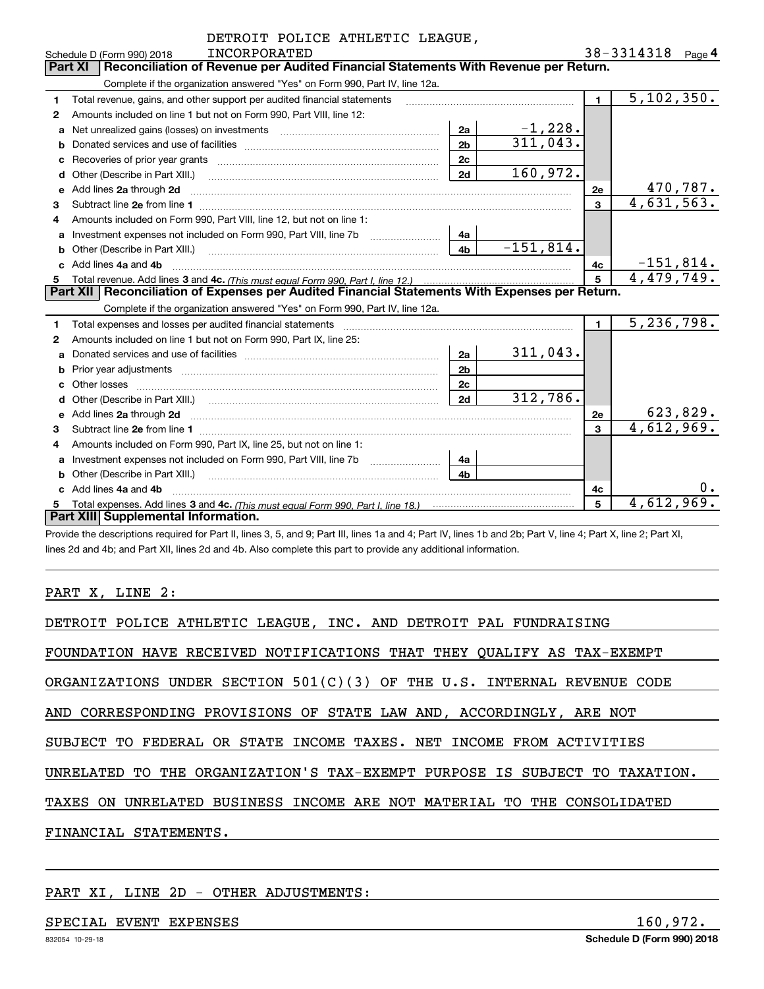| DETROIT POLICE ATHLETIC LEAGUE,                   |                                                                                                                                                                                                                                     |                |             |              |                                |                   |  |
|---------------------------------------------------|-------------------------------------------------------------------------------------------------------------------------------------------------------------------------------------------------------------------------------------|----------------|-------------|--------------|--------------------------------|-------------------|--|
| <b>INCORPORATED</b><br>Schedule D (Form 990) 2018 |                                                                                                                                                                                                                                     |                |             |              |                                | 38-3314318 Page 4 |  |
|                                                   | Reconciliation of Revenue per Audited Financial Statements With Revenue per Return.<br><b>Part XI</b>                                                                                                                               |                |             |              |                                |                   |  |
|                                                   | Complete if the organization answered "Yes" on Form 990, Part IV, line 12a.                                                                                                                                                         |                |             |              |                                |                   |  |
| 1                                                 | Total revenue, gains, and other support per audited financial statements                                                                                                                                                            |                |             | $\mathbf{1}$ | 5,102,350.                     |                   |  |
| $\mathbf{2}$                                      | Amounts included on line 1 but not on Form 990, Part VIII, line 12:                                                                                                                                                                 |                |             |              |                                |                   |  |
| a                                                 | Net unrealized gains (losses) on investments [11] matter contracts and the unrealized gains (losses) on investments                                                                                                                 | 2a             | $-1,228.$   |              |                                |                   |  |
| b                                                 |                                                                                                                                                                                                                                     | 2 <sub>b</sub> | 311,043.    |              |                                |                   |  |
| с                                                 |                                                                                                                                                                                                                                     | 2c             |             |              |                                |                   |  |
| d                                                 | Other (Describe in Part XIII.)                                                                                                                                                                                                      | 2d             | 160,972.    |              |                                |                   |  |
| е                                                 | Add lines 2a through 2d                                                                                                                                                                                                             |                |             | 2е           |                                | 470,787.          |  |
| 3                                                 |                                                                                                                                                                                                                                     |                |             | 3            | 4,631,563.                     |                   |  |
| 4                                                 | Amounts included on Form 990, Part VIII, line 12, but not on line 1:                                                                                                                                                                |                |             |              |                                |                   |  |
| a                                                 | Investment expenses not included on Form 990, Part VIII, line 7b [1000000000000000000000000000000000                                                                                                                                | 4a             |             |              |                                |                   |  |
| b                                                 | Other (Describe in Part XIII.) <b>Construction Contract Construction</b> Chern Construction Chern Chern Chern Chern Chern Chern Chern Chern Chern Chern Chern Chern Chern Chern Chern Chern Chern Chern Chern Chern Chern Chern Che | 4 <sub>h</sub> | $-151,814.$ |              |                                |                   |  |
|                                                   | Add lines 4a and 4b                                                                                                                                                                                                                 |                |             | 4с           | $\frac{-151,814.}{4,479,749.}$ |                   |  |
| 5                                                 |                                                                                                                                                                                                                                     |                |             |              |                                |                   |  |
|                                                   | Part XII   Reconciliation of Expenses per Audited Financial Statements With Expenses per Return.                                                                                                                                    |                |             |              |                                |                   |  |
|                                                   | Complete if the organization answered "Yes" on Form 990, Part IV, line 12a.                                                                                                                                                         |                |             |              |                                |                   |  |
| 1                                                 | Total expenses and losses per audited financial statements [11] [12] manuscription and the statements [13] Total expenses and losses per audited financial statements [13] manuscription and the statements [13] manuscription      |                |             | $\mathbf{1}$ | 5,236,798.                     |                   |  |
| 2                                                 | Amounts included on line 1 but not on Form 990, Part IX, line 25:                                                                                                                                                                   |                |             |              |                                |                   |  |
| a                                                 |                                                                                                                                                                                                                                     | 2a             | 311,043.    |              |                                |                   |  |
| b                                                 |                                                                                                                                                                                                                                     | 2 <sub>b</sub> |             |              |                                |                   |  |
|                                                   |                                                                                                                                                                                                                                     | 2c             |             |              |                                |                   |  |
| d                                                 |                                                                                                                                                                                                                                     | 2d             | 312,786.    |              |                                |                   |  |
| e                                                 | Add lines 2a through 2d <b>manufactures</b> and contained the state of the state of the state of the state of the state of the state of the state of the state of the state of the state of the state of the state of the state of  |                |             | 2e           |                                | 623,829.          |  |
| 3                                                 |                                                                                                                                                                                                                                     |                |             | 3            | $\overline{4,612,969}$ .       |                   |  |
| 4                                                 | Amounts included on Form 990, Part IX, line 25, but not on line 1:                                                                                                                                                                  |                |             |              |                                |                   |  |
| a                                                 | Investment expenses not included on Form 990, Part VIII, line 7b                                                                                                                                                                    | 4a             |             |              |                                |                   |  |
| b                                                 | Other (Describe in Part XIII.) [100] [100] [100] [100] [100] [100] [100] [100] [100] [100] [100] [100] [100] [                                                                                                                      | 4 <sub>h</sub> |             |              |                                |                   |  |
| c.                                                | Add lines 4a and 4b                                                                                                                                                                                                                 |                |             | 4с           |                                | $0 \cdot$         |  |
|                                                   |                                                                                                                                                                                                                                     |                |             | 5            | 4,612,969.                     |                   |  |
|                                                   | Part XIII Supplemental Information.                                                                                                                                                                                                 |                |             |              |                                |                   |  |

Provide the descriptions required for Part II, lines 3, 5, and 9; Part III, lines 1a and 4; Part IV, lines 1b and 2b; Part V, line 4; Part X, line 2; Part XI, lines 2d and 4b; and Part XII, lines 2d and 4b. Also complete this part to provide any additional information.

#### PART X, LINE 2:

| DETROIT POLICE ATHLETIC LEAGUE, INC. AND DETROIT PAL FUNDRAISING           |
|----------------------------------------------------------------------------|
| FOUNDATION HAVE RECEIVED NOTIFICATIONS THAT THEY QUALIFY AS TAX-EXEMPT     |
| ORGANIZATIONS UNDER SECTION $501(C)(3)$ OF THE U.S. INTERNAL REVENUE CODE  |
| AND CORRESPONDING PROVISIONS OF STATE LAW AND, ACCORDINGLY, ARE NOT        |
| SUBJECT TO FEDERAL OR STATE INCOME TAXES. NET INCOME FROM ACTIVITIES       |
| UNRELATED TO THE ORGANIZATION'S TAX-EXEMPT PURPOSE IS SUBJECT TO TAXATION. |
| TAXES ON UNRELATED BUSINESS INCOME ARE NOT MATERIAL TO THE CONSOLIDATED    |
| FINANCIAL STATEMENTS.                                                      |

PART XI, LINE 2D - OTHER ADJUSTMENTS:

#### SPECIAL EVENT EXPENSES 160,972.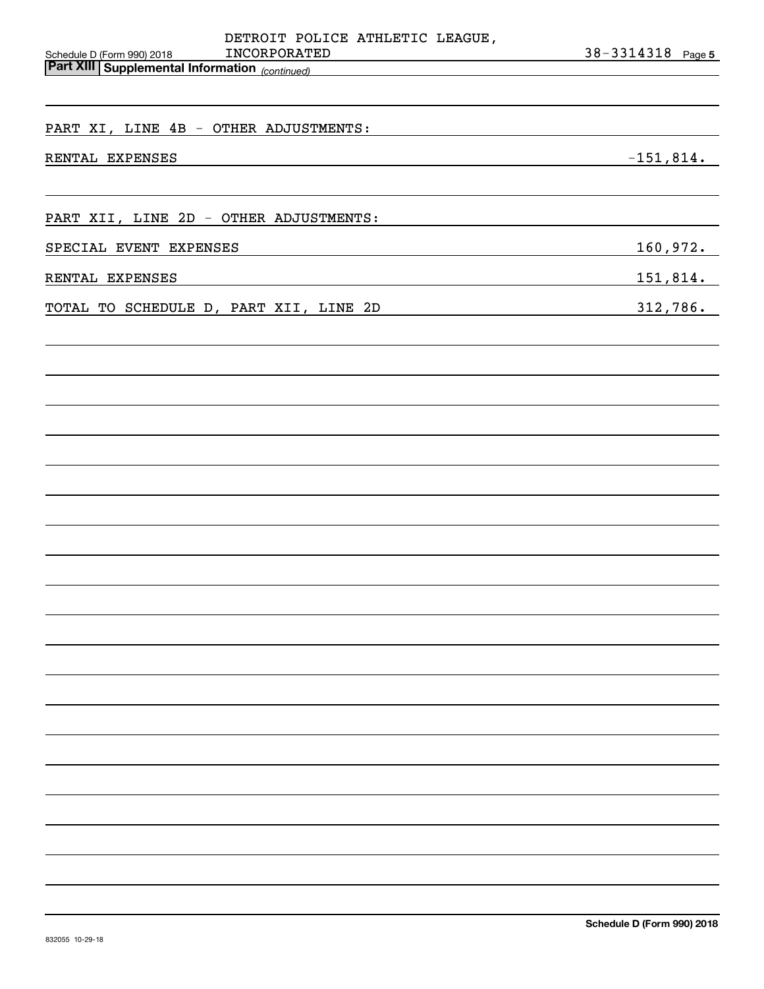| INCORPORATED                           | 38-3314318 Page 5                                                                                                               |
|----------------------------------------|---------------------------------------------------------------------------------------------------------------------------------|
|                                        |                                                                                                                                 |
|                                        |                                                                                                                                 |
| PART XI, LINE 4B - OTHER ADJUSTMENTS:  |                                                                                                                                 |
| RENTAL EXPENSES                        | $-151,814.$                                                                                                                     |
|                                        |                                                                                                                                 |
| PART XII, LINE 2D - OTHER ADJUSTMENTS: |                                                                                                                                 |
| SPECIAL EVENT EXPENSES                 | 160,972.                                                                                                                        |
| RENTAL EXPENSES                        | <u>151,814.</u>                                                                                                                 |
| TOTAL TO SCHEDULE D, PART XII, LINE 2D | 312,786.<br><u> 1989 - Johann Barn, mars ann an t-Amhain an t-Amhain an t-Amhain an t-Amhain an t-Amhain an t-Amhain an t-A</u> |
|                                        |                                                                                                                                 |
|                                        |                                                                                                                                 |
|                                        |                                                                                                                                 |
|                                        |                                                                                                                                 |
|                                        |                                                                                                                                 |
|                                        |                                                                                                                                 |
|                                        |                                                                                                                                 |
|                                        |                                                                                                                                 |
|                                        |                                                                                                                                 |
|                                        |                                                                                                                                 |
|                                        |                                                                                                                                 |
|                                        |                                                                                                                                 |
|                                        |                                                                                                                                 |
|                                        |                                                                                                                                 |
|                                        |                                                                                                                                 |
|                                        |                                                                                                                                 |
|                                        |                                                                                                                                 |
|                                        |                                                                                                                                 |
|                                        |                                                                                                                                 |
|                                        |                                                                                                                                 |
|                                        |                                                                                                                                 |
|                                        |                                                                                                                                 |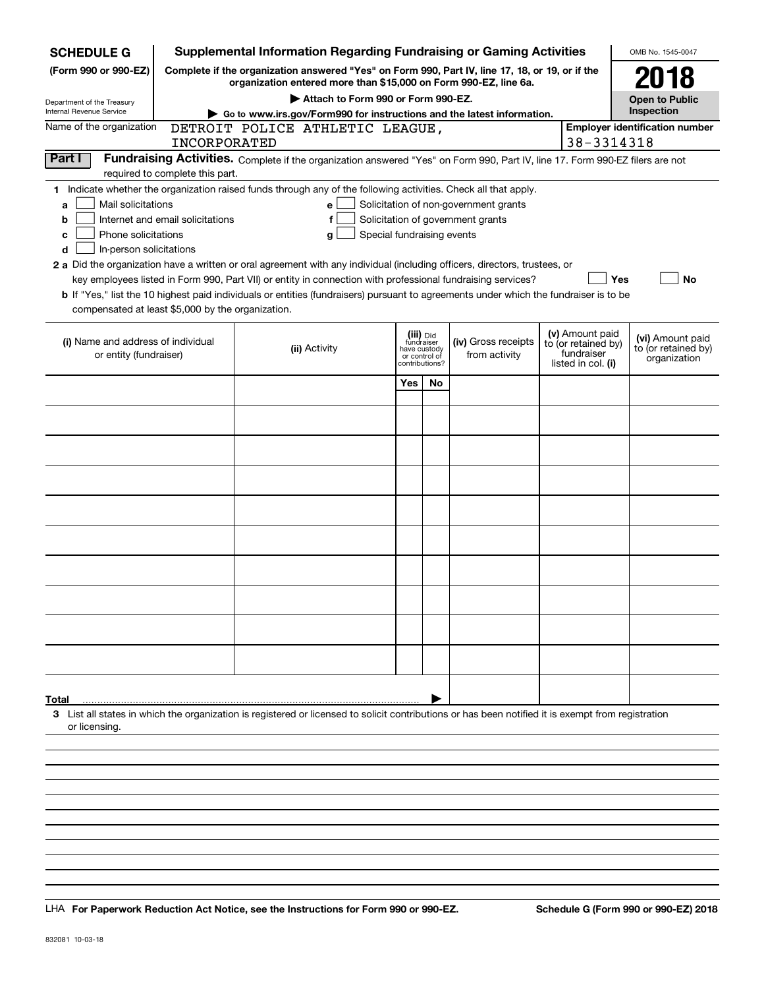| <b>SCHEDULE G</b>                                                                                                                                                                   |                                                                                                                                                                     | <b>Supplemental Information Regarding Fundraising or Gaming Activities</b>                                                                         |                            |                                         |                                   |  |                                        | OMB No. 1545-0047                       |
|-------------------------------------------------------------------------------------------------------------------------------------------------------------------------------------|---------------------------------------------------------------------------------------------------------------------------------------------------------------------|----------------------------------------------------------------------------------------------------------------------------------------------------|----------------------------|-----------------------------------------|-----------------------------------|--|----------------------------------------|-----------------------------------------|
| (Form 990 or 990-EZ)                                                                                                                                                                | Complete if the organization answered "Yes" on Form 990, Part IV, line 17, 18, or 19, or if the<br>organization entered more than \$15,000 on Form 990-EZ, line 6a. |                                                                                                                                                    |                            |                                         |                                   |  |                                        | 2018                                    |
| Department of the Treasury                                                                                                                                                          | Attach to Form 990 or Form 990-EZ.                                                                                                                                  |                                                                                                                                                    |                            |                                         |                                   |  |                                        | <b>Open to Public</b>                   |
| Internal Revenue Service                                                                                                                                                            | Go to www.irs.gov/Form990 for instructions and the latest information.                                                                                              |                                                                                                                                                    |                            |                                         |                                   |  |                                        | Inspection                              |
| Name of the organization                                                                                                                                                            |                                                                                                                                                                     | DETROIT POLICE ATHLETIC LEAGUE,                                                                                                                    |                            |                                         |                                   |  |                                        | <b>Employer identification number</b>   |
|                                                                                                                                                                                     | <b>INCORPORATED</b>                                                                                                                                                 |                                                                                                                                                    |                            |                                         |                                   |  | 38-3314318                             |                                         |
| Part I                                                                                                                                                                              |                                                                                                                                                                     | Fundraising Activities. Complete if the organization answered "Yes" on Form 990, Part IV, line 17. Form 990-EZ filers are not                      |                            |                                         |                                   |  |                                        |                                         |
| required to complete this part.                                                                                                                                                     |                                                                                                                                                                     |                                                                                                                                                    |                            |                                         |                                   |  |                                        |                                         |
| 1 Indicate whether the organization raised funds through any of the following activities. Check all that apply.<br>Mail solicitations<br>Solicitation of non-government grants<br>e |                                                                                                                                                                     |                                                                                                                                                    |                            |                                         |                                   |  |                                        |                                         |
| a<br>b                                                                                                                                                                              | Internet and email solicitations                                                                                                                                    |                                                                                                                                                    |                            |                                         | Solicitation of government grants |  |                                        |                                         |
| Phone solicitations<br>с                                                                                                                                                            |                                                                                                                                                                     | g                                                                                                                                                  | Special fundraising events |                                         |                                   |  |                                        |                                         |
| In-person solicitations<br>d                                                                                                                                                        |                                                                                                                                                                     |                                                                                                                                                    |                            |                                         |                                   |  |                                        |                                         |
|                                                                                                                                                                                     |                                                                                                                                                                     | 2 a Did the organization have a written or oral agreement with any individual (including officers, directors, trustees, or                         |                            |                                         |                                   |  |                                        |                                         |
|                                                                                                                                                                                     |                                                                                                                                                                     | key employees listed in Form 990, Part VII) or entity in connection with professional fundraising services?                                        |                            |                                         |                                   |  |                                        | <b>Yes</b><br>No                        |
|                                                                                                                                                                                     |                                                                                                                                                                     | b If "Yes," list the 10 highest paid individuals or entities (fundraisers) pursuant to agreements under which the fundraiser is to be              |                            |                                         |                                   |  |                                        |                                         |
| compensated at least \$5,000 by the organization.                                                                                                                                   |                                                                                                                                                                     |                                                                                                                                                    |                            |                                         |                                   |  |                                        |                                         |
| (i) Name and address of individual                                                                                                                                                  |                                                                                                                                                                     | (ii) Activity                                                                                                                                      |                            | (iii) Did<br>fundraiser<br>have custody | (iv) Gross receipts               |  | (v) Amount paid<br>to (or retained by) | (vi) Amount paid<br>to (or retained by) |
| or entity (fundraiser)                                                                                                                                                              |                                                                                                                                                                     |                                                                                                                                                    |                            | or control of<br>contributions?         | from activity                     |  | fundraiser<br>listed in col. (i)       | organization                            |
|                                                                                                                                                                                     |                                                                                                                                                                     |                                                                                                                                                    | Yes                        | <b>No</b>                               |                                   |  |                                        |                                         |
|                                                                                                                                                                                     |                                                                                                                                                                     |                                                                                                                                                    |                            |                                         |                                   |  |                                        |                                         |
|                                                                                                                                                                                     |                                                                                                                                                                     |                                                                                                                                                    |                            |                                         |                                   |  |                                        |                                         |
|                                                                                                                                                                                     |                                                                                                                                                                     |                                                                                                                                                    |                            |                                         |                                   |  |                                        |                                         |
|                                                                                                                                                                                     |                                                                                                                                                                     |                                                                                                                                                    |                            |                                         |                                   |  |                                        |                                         |
|                                                                                                                                                                                     |                                                                                                                                                                     |                                                                                                                                                    |                            |                                         |                                   |  |                                        |                                         |
|                                                                                                                                                                                     |                                                                                                                                                                     |                                                                                                                                                    |                            |                                         |                                   |  |                                        |                                         |
|                                                                                                                                                                                     |                                                                                                                                                                     |                                                                                                                                                    |                            |                                         |                                   |  |                                        |                                         |
|                                                                                                                                                                                     |                                                                                                                                                                     |                                                                                                                                                    |                            |                                         |                                   |  |                                        |                                         |
|                                                                                                                                                                                     |                                                                                                                                                                     |                                                                                                                                                    |                            |                                         |                                   |  |                                        |                                         |
|                                                                                                                                                                                     |                                                                                                                                                                     |                                                                                                                                                    |                            |                                         |                                   |  |                                        |                                         |
|                                                                                                                                                                                     |                                                                                                                                                                     |                                                                                                                                                    |                            |                                         |                                   |  |                                        |                                         |
|                                                                                                                                                                                     |                                                                                                                                                                     |                                                                                                                                                    |                            |                                         |                                   |  |                                        |                                         |
|                                                                                                                                                                                     |                                                                                                                                                                     |                                                                                                                                                    |                            |                                         |                                   |  |                                        |                                         |
| Total                                                                                                                                                                               |                                                                                                                                                                     |                                                                                                                                                    |                            |                                         |                                   |  |                                        |                                         |
| or licensing.                                                                                                                                                                       |                                                                                                                                                                     | 3 List all states in which the organization is registered or licensed to solicit contributions or has been notified it is exempt from registration |                            |                                         |                                   |  |                                        |                                         |
|                                                                                                                                                                                     |                                                                                                                                                                     |                                                                                                                                                    |                            |                                         |                                   |  |                                        |                                         |
|                                                                                                                                                                                     |                                                                                                                                                                     |                                                                                                                                                    |                            |                                         |                                   |  |                                        |                                         |
|                                                                                                                                                                                     |                                                                                                                                                                     |                                                                                                                                                    |                            |                                         |                                   |  |                                        |                                         |
|                                                                                                                                                                                     |                                                                                                                                                                     |                                                                                                                                                    |                            |                                         |                                   |  |                                        |                                         |
|                                                                                                                                                                                     |                                                                                                                                                                     |                                                                                                                                                    |                            |                                         |                                   |  |                                        |                                         |

LHA For Paperwork Reduction Act Notice, see the Instructions for Form 990 or 990-EZ. Schedule G (Form 990 or 990-EZ) 2018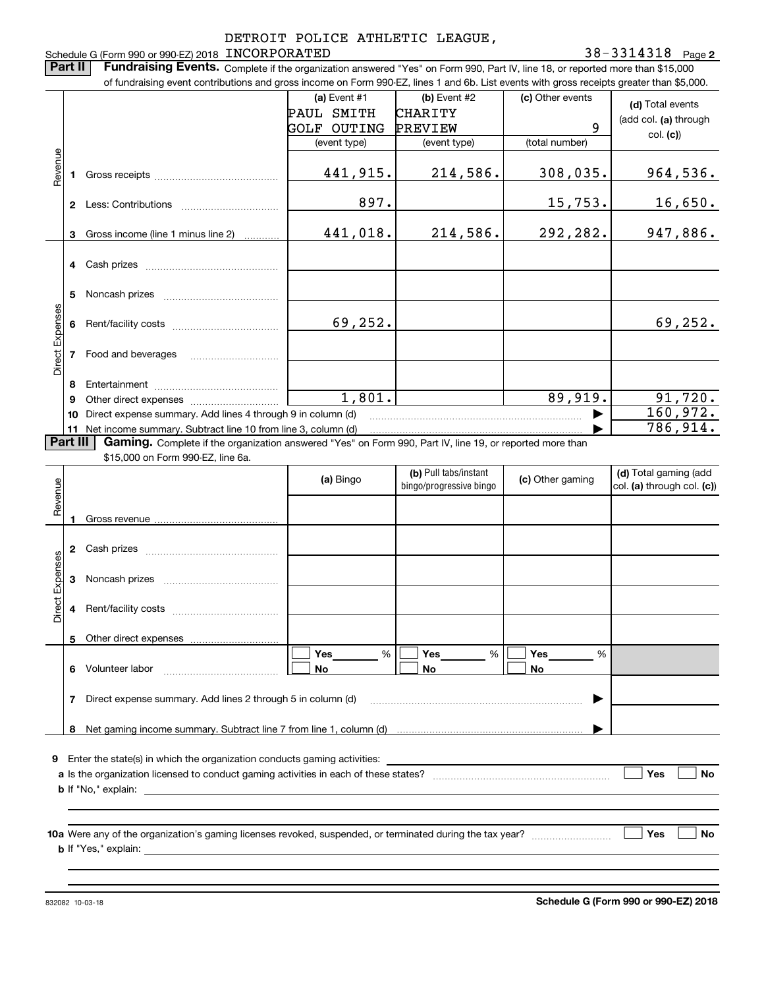#### 38-3314318 Page 2

**(d)**  Total events (add col. **(a)** through col. **(c)**) **(a)** Event  $#1$  **(b)** Event  $#2$ Schedule G (Form 990 or 990-EZ) 2018 Page INCORPORATED 38-3314318 **Part II** | Fundraising Events. Complete if the organization answered "Yes" on Form 990, Part IV, line 18, or reported more than \$15,000 of fundraising event contributions and gross income on Form 990-EZ, lines 1 and 6b. List events with gross receipts greater than \$5,000. (c) Other events GOLF OUTING PREVIEW PAUL SMITH CHARITY 9

|                 |                                                                                                                      |                                                              | (event type) | (event type) | (total number) | <b>UUI. (UJ)</b> |  |  |
|-----------------|----------------------------------------------------------------------------------------------------------------------|--------------------------------------------------------------|--------------|--------------|----------------|------------------|--|--|
| Revenue         |                                                                                                                      |                                                              | 441,915.     | 214,586.     | 308,035.       | 964,536.         |  |  |
|                 | 2                                                                                                                    | Less: Contributions                                          | 897.         |              | 15,753.        | 16,650.          |  |  |
|                 | 3.                                                                                                                   | Gross income (line 1 minus line 2)                           | 441,018.     | 214,586.     | 292,282.       | 947,886.         |  |  |
|                 | 4                                                                                                                    | Cash prizes                                                  |              |              |                |                  |  |  |
| Direct Expenses | 5                                                                                                                    | Noncash prizes                                               |              |              |                |                  |  |  |
|                 | 6                                                                                                                    |                                                              | 69,252.      |              |                | 69,252.          |  |  |
|                 |                                                                                                                      | Food and beverages                                           |              |              |                |                  |  |  |
|                 | 8                                                                                                                    | Entertainment                                                |              |              |                |                  |  |  |
|                 | 9                                                                                                                    | Other direct expenses                                        | 1,801.       |              | 89,919.        | 91,720.          |  |  |
|                 | 10                                                                                                                   | Direct expense summary. Add lines 4 through 9 in column (d)  |              |              |                | 160,972.         |  |  |
|                 | 11                                                                                                                   | Net income summary. Subtract line 10 from line 3, column (d) |              |              |                | 786,914.         |  |  |
|                 | Part III<br>Gaming. Complete if the organization answered "Yes" on Form 990, Part IV, line 19, or reported more than |                                                              |              |              |                |                  |  |  |

\$15,000 on Form 990-EZ, line 6a.

| Revenue         |    |                                                                                                                                              | (a) Bingo            | (b) Pull tabs/instant<br>bingo/progressive bingo | (c) Other gaming | (d) Total gaming (add<br>col. (a) through col. (c)) |
|-----------------|----|----------------------------------------------------------------------------------------------------------------------------------------------|----------------------|--------------------------------------------------|------------------|-----------------------------------------------------|
|                 | п. |                                                                                                                                              |                      |                                                  |                  |                                                     |
|                 | 2  |                                                                                                                                              |                      |                                                  |                  |                                                     |
| Direct Expenses | 3  |                                                                                                                                              |                      |                                                  |                  |                                                     |
|                 | 4  |                                                                                                                                              |                      |                                                  |                  |                                                     |
|                 |    |                                                                                                                                              |                      |                                                  |                  |                                                     |
|                 | 6  |                                                                                                                                              | $Yes$ %<br><b>No</b> | $Yes$ %<br><b>No</b>                             | %<br><b>No</b>   |                                                     |
|                 | 7  | Direct expense summary. Add lines 2 through 5 in column (d) [11] manuscription contract expense summary. Add lines 2 through 5 in column (d) |                      |                                                  | ▶                |                                                     |
|                 |    |                                                                                                                                              |                      |                                                  |                  |                                                     |
| 9               |    | Enter the state(s) in which the organization conducts gaming activities:<br>                                                                 |                      |                                                  |                  |                                                     |
|                 |    |                                                                                                                                              |                      |                                                  |                  | Yes<br><b>No</b>                                    |
|                 |    |                                                                                                                                              |                      |                                                  |                  |                                                     |
|                 |    |                                                                                                                                              |                      |                                                  |                  | Yes<br><b>No</b>                                    |
|                 |    |                                                                                                                                              |                      |                                                  |                  |                                                     |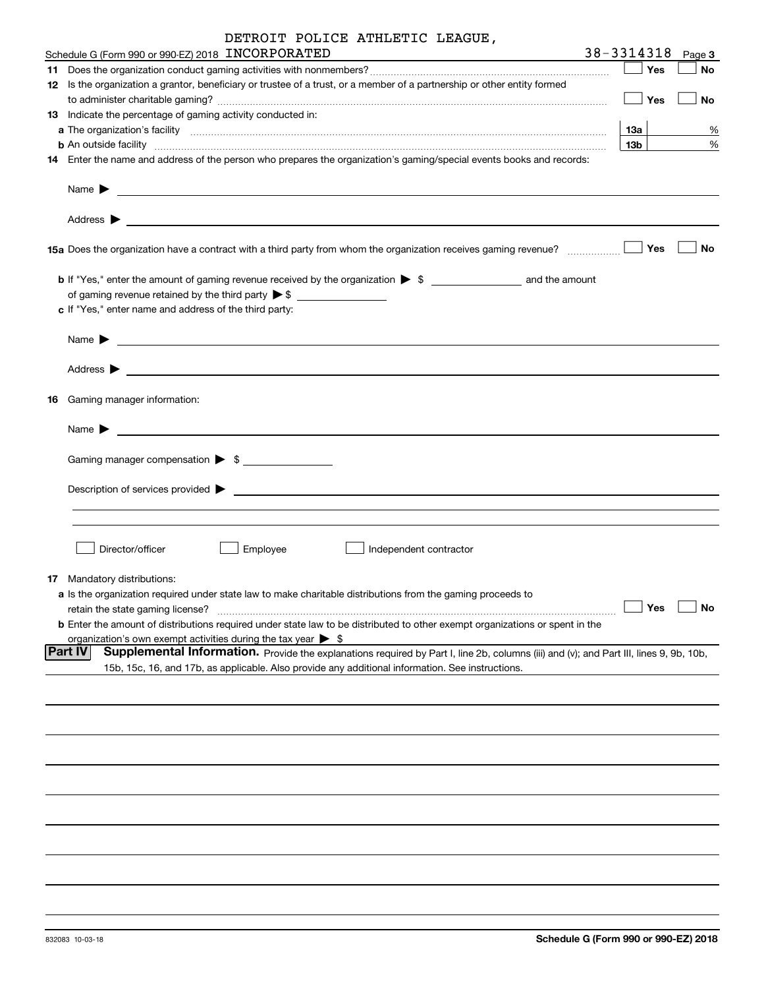| DETROIT POLICE ATHLETIC LEAGUE, |  |  |  |  |
|---------------------------------|--|--|--|--|
|---------------------------------|--|--|--|--|

| Schedule G (Form 990 or 990-EZ) 2018 INCORPORATED                                                                                                                                                                                                                  | 38-3314318      |     | Page 3               |
|--------------------------------------------------------------------------------------------------------------------------------------------------------------------------------------------------------------------------------------------------------------------|-----------------|-----|----------------------|
|                                                                                                                                                                                                                                                                    |                 | Yes | No                   |
| 12 Is the organization a grantor, beneficiary or trustee of a trust, or a member of a partnership or other entity formed                                                                                                                                           |                 |     |                      |
|                                                                                                                                                                                                                                                                    |                 | Yes | No                   |
| 13 Indicate the percentage of gaming activity conducted in:                                                                                                                                                                                                        |                 |     |                      |
|                                                                                                                                                                                                                                                                    |                 |     |                      |
|                                                                                                                                                                                                                                                                    | 13а             |     | %                    |
| <b>b</b> An outside facility <b>contained and the contract of the contract of the contract of the contract of the contract of the contract of the contract of the contract of the contract of the contract of the contract of the con</b>                          | 13 <sub>b</sub> |     | %                    |
| 14 Enter the name and address of the person who prepares the organization's gaming/special events books and records:                                                                                                                                               |                 |     |                      |
| Name $\blacktriangleright$<br><u> 1989 - John Harry Harry Harry Harry Harry Harry Harry Harry Harry Harry Harry Harry Harry Harry Harry Harry H</u>                                                                                                                |                 |     |                      |
|                                                                                                                                                                                                                                                                    |                 |     |                      |
|                                                                                                                                                                                                                                                                    |                 | Yes | No                   |
| b If "Yes," enter the amount of gaming revenue received by the organization > \$ ___________________ and the amount                                                                                                                                                |                 |     |                      |
| of gaming revenue retained by the third party $\triangleright$ \$ $\_\_\_\_\_\_\_\_\_\_\_\_\_\_\_\_\_\_\_\_\_\_\_\_\_\_\_$                                                                                                                                         |                 |     |                      |
| c If "Yes," enter name and address of the third party:                                                                                                                                                                                                             |                 |     |                      |
|                                                                                                                                                                                                                                                                    |                 |     |                      |
| Name $\blacktriangleright$<br><u>state and the state of the state of the state of the state of the state of the state of the state of the state of the state of the state of the state of the state of the state of the state of the state of the state of the</u> |                 |     |                      |
|                                                                                                                                                                                                                                                                    |                 |     |                      |
| <b>16</b> Gaming manager information:                                                                                                                                                                                                                              |                 |     |                      |
| Name $\blacktriangleright$<br><u> 1990 - John Barn Barn, amerikan bandar bandar bandar bandar bandar bandar bandar bandar bandar bandar bandar</u>                                                                                                                 |                 |     |                      |
| Gaming manager compensation > \$                                                                                                                                                                                                                                   |                 |     |                      |
|                                                                                                                                                                                                                                                                    |                 |     |                      |
|                                                                                                                                                                                                                                                                    |                 |     |                      |
|                                                                                                                                                                                                                                                                    |                 |     |                      |
|                                                                                                                                                                                                                                                                    |                 |     |                      |
|                                                                                                                                                                                                                                                                    |                 |     |                      |
| Director/officer<br>Employee<br>Independent contractor                                                                                                                                                                                                             |                 |     |                      |
|                                                                                                                                                                                                                                                                    |                 |     |                      |
| <b>17</b> Mandatory distributions:                                                                                                                                                                                                                                 |                 |     |                      |
| <b>a</b> Is the organization required under state law to make charitable distributions from the gaming proceeds to                                                                                                                                                 |                 |     |                      |
| retain the state gaming license?                                                                                                                                                                                                                                   |                 |     | $\Box$ Yes $\Box$ No |
| <b>b</b> Enter the amount of distributions required under state law to be distributed to other exempt organizations or spent in the                                                                                                                                |                 |     |                      |
| organization's own exempt activities during the tax year $\triangleright$ \$                                                                                                                                                                                       |                 |     |                      |
| <b>Part IV</b><br>Supplemental Information. Provide the explanations required by Part I, line 2b, columns (iii) and (v); and Part III, lines 9, 9b, 10b,                                                                                                           |                 |     |                      |
| 15b, 15c, 16, and 17b, as applicable. Also provide any additional information. See instructions.                                                                                                                                                                   |                 |     |                      |
|                                                                                                                                                                                                                                                                    |                 |     |                      |
|                                                                                                                                                                                                                                                                    |                 |     |                      |
|                                                                                                                                                                                                                                                                    |                 |     |                      |
|                                                                                                                                                                                                                                                                    |                 |     |                      |
|                                                                                                                                                                                                                                                                    |                 |     |                      |
|                                                                                                                                                                                                                                                                    |                 |     |                      |
|                                                                                                                                                                                                                                                                    |                 |     |                      |
|                                                                                                                                                                                                                                                                    |                 |     |                      |
|                                                                                                                                                                                                                                                                    |                 |     |                      |
|                                                                                                                                                                                                                                                                    |                 |     |                      |
|                                                                                                                                                                                                                                                                    |                 |     |                      |
|                                                                                                                                                                                                                                                                    |                 |     |                      |
|                                                                                                                                                                                                                                                                    |                 |     |                      |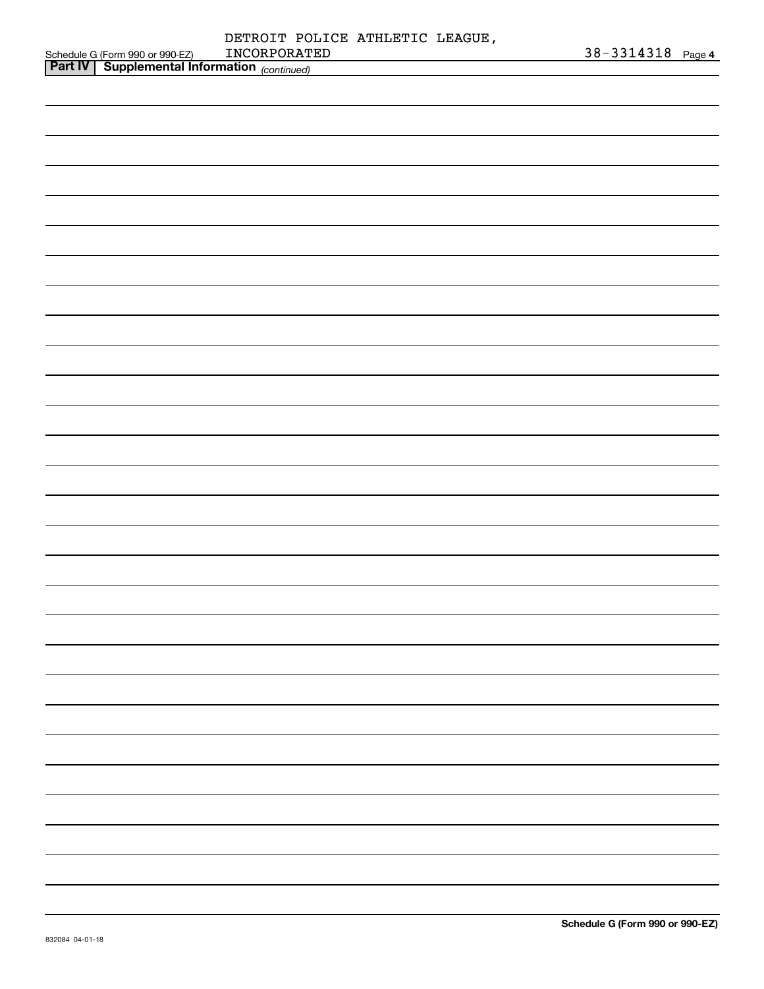|                                 | DETROIT POLICE ATHLETIC LEAGUE. |  |                       |  |
|---------------------------------|---------------------------------|--|-----------------------|--|
| Schedule G (Form 990 or 990-EZ) | INCORPORATED                    |  | $38 - 3314318$ Page 4 |  |
|                                 |                                 |  |                       |  |

| <b>Part IV   Supplemental Information</b> (continued) |  |
|-------------------------------------------------------|--|
|                                                       |  |
|                                                       |  |
|                                                       |  |
|                                                       |  |
|                                                       |  |
|                                                       |  |
|                                                       |  |
|                                                       |  |
|                                                       |  |
|                                                       |  |
|                                                       |  |
|                                                       |  |
|                                                       |  |
|                                                       |  |
|                                                       |  |
|                                                       |  |
|                                                       |  |
|                                                       |  |
|                                                       |  |
|                                                       |  |
|                                                       |  |
|                                                       |  |
|                                                       |  |
|                                                       |  |
|                                                       |  |
|                                                       |  |
|                                                       |  |
|                                                       |  |
|                                                       |  |
|                                                       |  |
|                                                       |  |
|                                                       |  |
|                                                       |  |
|                                                       |  |
|                                                       |  |
|                                                       |  |
|                                                       |  |
|                                                       |  |
|                                                       |  |
|                                                       |  |
|                                                       |  |
|                                                       |  |
|                                                       |  |
|                                                       |  |
|                                                       |  |
|                                                       |  |
|                                                       |  |
|                                                       |  |
|                                                       |  |
|                                                       |  |
|                                                       |  |
|                                                       |  |
|                                                       |  |
|                                                       |  |
|                                                       |  |
|                                                       |  |
|                                                       |  |
|                                                       |  |
|                                                       |  |
|                                                       |  |
|                                                       |  |
|                                                       |  |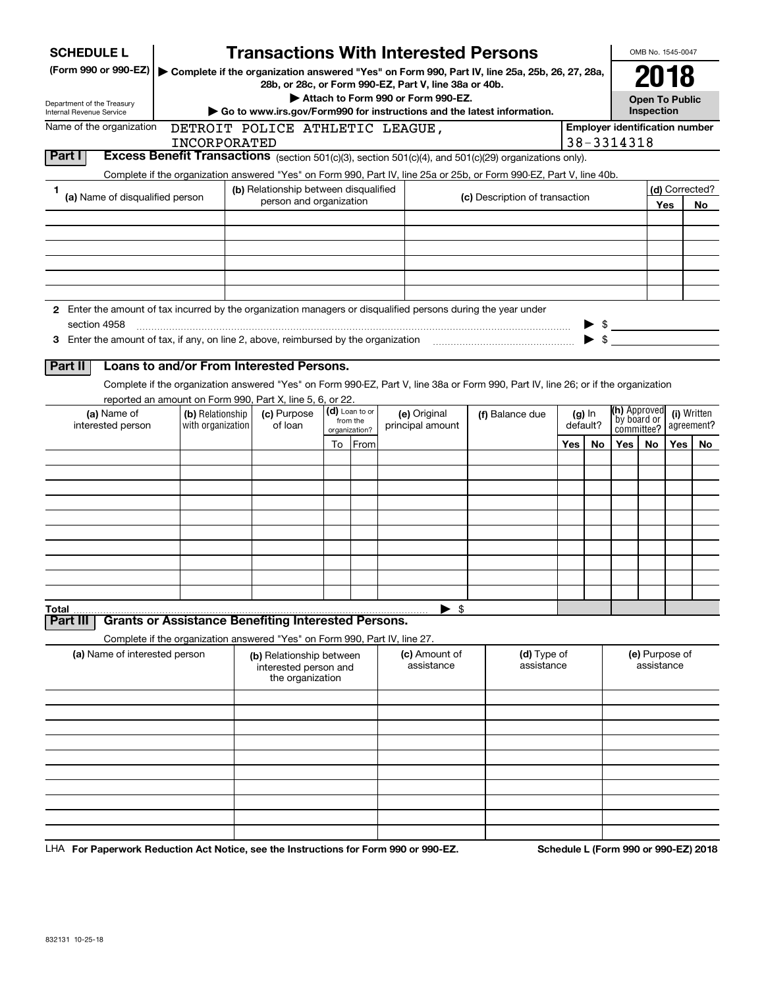| <b>SCHEDULE L</b>                                                                                                    |                                                                            | <b>Transactions With Interested Persons</b>           |    |                           |                                    |                                                                                                                                    |          |          |                                       | OMB No. 1545-0047                   |            |                |
|----------------------------------------------------------------------------------------------------------------------|----------------------------------------------------------------------------|-------------------------------------------------------|----|---------------------------|------------------------------------|------------------------------------------------------------------------------------------------------------------------------------|----------|----------|---------------------------------------|-------------------------------------|------------|----------------|
| (Form 990 or 990-EZ)   Complete if the organization answered "Yes" on Form 990, Part IV, line 25a, 25b, 26, 27, 28a, |                                                                            |                                                       |    |                           |                                    |                                                                                                                                    |          |          |                                       | 2018                                |            |                |
|                                                                                                                      |                                                                            | 28b, or 28c, or Form 990-EZ, Part V, line 38a or 40b. |    |                           | Attach to Form 990 or Form 990-EZ. |                                                                                                                                    |          |          |                                       |                                     |            |                |
| Department of the Treasury<br>Internal Revenue Service                                                               |                                                                            |                                                       |    |                           |                                    | Go to www.irs.gov/Form990 for instructions and the latest information.                                                             |          |          |                                       | <b>Open To Public</b><br>Inspection |            |                |
| Name of the organization                                                                                             |                                                                            | DETROIT POLICE ATHLETIC LEAGUE,                       |    |                           |                                    |                                                                                                                                    |          |          | <b>Employer identification number</b> |                                     |            |                |
|                                                                                                                      | INCORPORATED                                                               |                                                       |    |                           |                                    |                                                                                                                                    |          |          | 38-3314318                            |                                     |            |                |
| Part I                                                                                                               |                                                                            |                                                       |    |                           |                                    | Excess Benefit Transactions (section 501(c)(3), section 501(c)(4), and 501(c)(29) organizations only).                             |          |          |                                       |                                     |            |                |
|                                                                                                                      |                                                                            |                                                       |    |                           |                                    | Complete if the organization answered "Yes" on Form 990, Part IV, line 25a or 25b, or Form 990-EZ, Part V, line 40b.               |          |          |                                       |                                     |            |                |
| 1<br>(a) Name of disqualified person                                                                                 |                                                                            | (b) Relationship between disqualified                 |    |                           |                                    | (c) Description of transaction                                                                                                     |          |          |                                       |                                     |            | (d) Corrected? |
|                                                                                                                      |                                                                            | person and organization                               |    |                           |                                    |                                                                                                                                    |          |          |                                       |                                     | Yes        | No             |
|                                                                                                                      |                                                                            |                                                       |    |                           |                                    |                                                                                                                                    |          |          |                                       |                                     |            |                |
|                                                                                                                      |                                                                            |                                                       |    |                           |                                    |                                                                                                                                    |          |          |                                       |                                     |            |                |
|                                                                                                                      |                                                                            |                                                       |    |                           |                                    |                                                                                                                                    |          |          |                                       |                                     |            |                |
|                                                                                                                      |                                                                            |                                                       |    |                           |                                    |                                                                                                                                    |          |          |                                       |                                     |            |                |
|                                                                                                                      |                                                                            |                                                       |    |                           |                                    |                                                                                                                                    |          |          |                                       |                                     |            |                |
| 2 Enter the amount of tax incurred by the organization managers or disqualified persons during the year under        |                                                                            |                                                       |    |                           |                                    |                                                                                                                                    |          |          |                                       |                                     |            |                |
| section 4958                                                                                                         |                                                                            |                                                       |    |                           |                                    |                                                                                                                                    |          |          | $\triangleright$ \$                   |                                     |            |                |
| 3 Enter the amount of tax, if any, on line 2, above, reimbursed by the organization                                  |                                                                            |                                                       |    |                           |                                    |                                                                                                                                    |          |          | $\blacktriangleright$ \$              |                                     |            |                |
| Part II                                                                                                              | Loans to and/or From Interested Persons.                                   |                                                       |    |                           |                                    |                                                                                                                                    |          |          |                                       |                                     |            |                |
|                                                                                                                      |                                                                            |                                                       |    |                           |                                    | Complete if the organization answered "Yes" on Form 990-EZ, Part V, line 38a or Form 990, Part IV, line 26; or if the organization |          |          |                                       |                                     |            |                |
|                                                                                                                      | reported an amount on Form 990, Part X, line 5, 6, or 22.                  |                                                       |    |                           |                                    |                                                                                                                                    |          |          |                                       |                                     |            |                |
| (a) Name of                                                                                                          | (b) Relationship                                                           | (c) Purpose                                           |    | (d) Loan to or            | (e) Original                       | (f) Balance due                                                                                                                    |          | $(g)$ In | (h) Approved                          |                                     |            | (i) Written    |
| interested person                                                                                                    | with organization                                                          | of Ioan                                               |    | from the<br>organization? | principal amount                   |                                                                                                                                    | default? |          | by board or<br>committee?             |                                     | agreement? |                |
|                                                                                                                      |                                                                            |                                                       | To | From                      |                                    |                                                                                                                                    | Yes      | No       | Yes                                   | No.                                 | Yes        | No.            |
|                                                                                                                      |                                                                            |                                                       |    |                           |                                    |                                                                                                                                    |          |          |                                       |                                     |            |                |
|                                                                                                                      |                                                                            |                                                       |    |                           |                                    |                                                                                                                                    |          |          |                                       |                                     |            |                |
|                                                                                                                      |                                                                            |                                                       |    |                           |                                    |                                                                                                                                    |          |          |                                       |                                     |            |                |
|                                                                                                                      |                                                                            |                                                       |    |                           |                                    |                                                                                                                                    |          |          |                                       |                                     |            |                |
|                                                                                                                      |                                                                            |                                                       |    |                           |                                    |                                                                                                                                    |          |          |                                       |                                     |            |                |
|                                                                                                                      |                                                                            |                                                       |    |                           |                                    |                                                                                                                                    |          |          |                                       |                                     |            |                |
|                                                                                                                      |                                                                            |                                                       |    |                           |                                    |                                                                                                                                    |          |          |                                       |                                     |            |                |
|                                                                                                                      |                                                                            |                                                       |    |                           |                                    |                                                                                                                                    |          |          |                                       |                                     |            |                |
|                                                                                                                      |                                                                            |                                                       |    |                           |                                    |                                                                                                                                    |          |          |                                       |                                     |            |                |
| Total                                                                                                                |                                                                            |                                                       |    |                           | \$                                 |                                                                                                                                    |          |          |                                       |                                     |            |                |
| Part III                                                                                                             | <b>Grants or Assistance Benefiting Interested Persons.</b>                 |                                                       |    |                           |                                    |                                                                                                                                    |          |          |                                       |                                     |            |                |
|                                                                                                                      | Complete if the organization answered "Yes" on Form 990, Part IV, line 27. |                                                       |    |                           |                                    |                                                                                                                                    |          |          |                                       |                                     |            |                |
| (a) Name of interested person                                                                                        |                                                                            | (b) Relationship between<br>interested person and     |    |                           | (c) Amount of<br>assistance        | (d) Type of<br>assistance                                                                                                          |          |          |                                       | (e) Purpose of<br>assistance        |            |                |
|                                                                                                                      |                                                                            | the organization                                      |    |                           |                                    |                                                                                                                                    |          |          |                                       |                                     |            |                |
|                                                                                                                      |                                                                            |                                                       |    |                           |                                    |                                                                                                                                    |          |          |                                       |                                     |            |                |
|                                                                                                                      |                                                                            |                                                       |    |                           |                                    |                                                                                                                                    |          |          |                                       |                                     |            |                |
|                                                                                                                      |                                                                            |                                                       |    |                           |                                    |                                                                                                                                    |          |          |                                       |                                     |            |                |
|                                                                                                                      |                                                                            |                                                       |    |                           |                                    |                                                                                                                                    |          |          |                                       |                                     |            |                |
|                                                                                                                      |                                                                            |                                                       |    |                           |                                    |                                                                                                                                    |          |          |                                       |                                     |            |                |
|                                                                                                                      |                                                                            |                                                       |    |                           |                                    |                                                                                                                                    |          |          |                                       |                                     |            |                |
|                                                                                                                      |                                                                            |                                                       |    |                           |                                    |                                                                                                                                    |          |          |                                       |                                     |            |                |
|                                                                                                                      |                                                                            |                                                       |    |                           |                                    |                                                                                                                                    |          |          |                                       |                                     |            |                |
|                                                                                                                      |                                                                            |                                                       |    |                           |                                    |                                                                                                                                    |          |          |                                       |                                     |            |                |
|                                                                                                                      |                                                                            |                                                       |    |                           |                                    |                                                                                                                                    |          |          |                                       |                                     |            |                |

LHA For Paperwork Reduction Act Notice, see the Instructions for Form 990 or 990-EZ. Schedule L (Form 990 or 990-EZ) 2018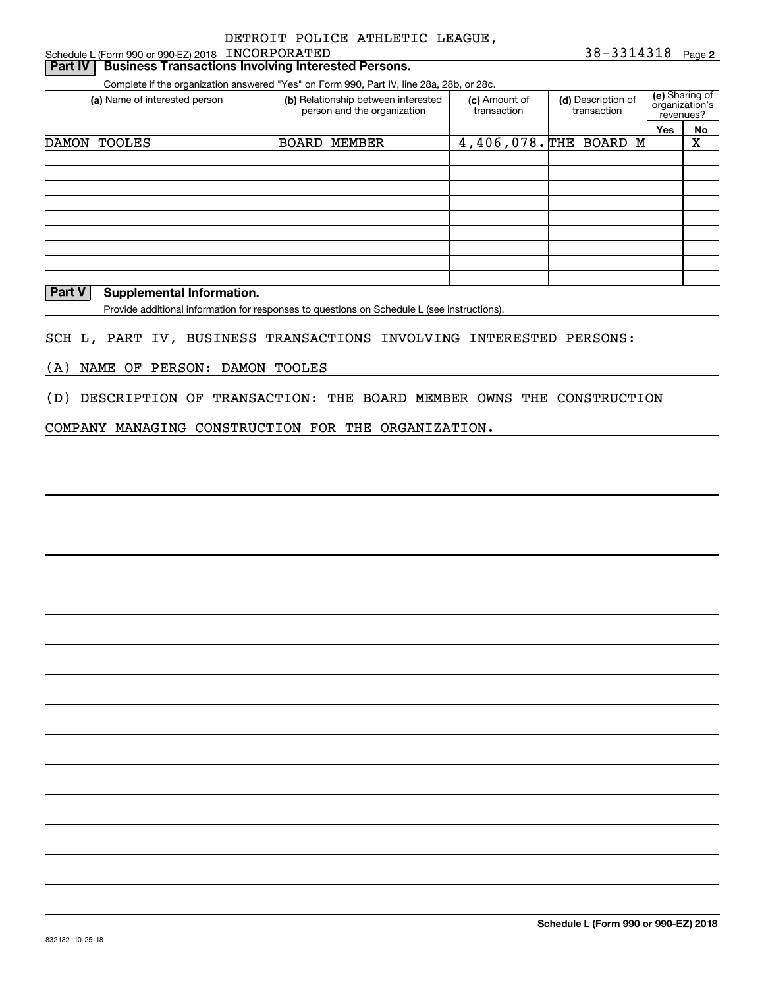#### Schedule L (Form 990 or 990-EZ) 2018 Page INCORPORATED**Part IV** Business Transactions Involving Interested Persons.

Complete if the organization answered "Yes" on Form 990, Part IV, line 28a, 28b, or 28c.

| (a) Name of interested person | (b) Relationship between interested<br>person and the organization |  | (d) Description of<br>transaction | (e) Sharing of<br>organization's<br>revenues? |    |
|-------------------------------|--------------------------------------------------------------------|--|-----------------------------------|-----------------------------------------------|----|
|                               |                                                                    |  |                                   | <b>Yes</b>                                    | No |
| DAMON TOOLES                  | <b>BOARD</b><br>MEMBER                                             |  | 4,406,078. THE BOARD M            |                                               | X  |
|                               |                                                                    |  |                                   |                                               |    |
|                               |                                                                    |  |                                   |                                               |    |
|                               |                                                                    |  |                                   |                                               |    |
|                               |                                                                    |  |                                   |                                               |    |
|                               |                                                                    |  |                                   |                                               |    |
|                               |                                                                    |  |                                   |                                               |    |
|                               |                                                                    |  |                                   |                                               |    |
|                               |                                                                    |  |                                   |                                               |    |
|                               |                                                                    |  |                                   |                                               |    |

#### **Part V** Supplemental Information.

Provide additional information for responses to questions on Schedule L (see instructions).

#### SCH L, PART IV, BUSINESS TRANSACTIONS INVOLVING INTERESTED PERSONS:

(A) NAME OF PERSON: DAMON TOOLES

(D) DESCRIPTION OF TRANSACTION: THE BOARD MEMBER OWNS THE CONSTRUCTION

#### COMPANY MANAGING CONSTRUCTION FOR THE ORGANIZATION.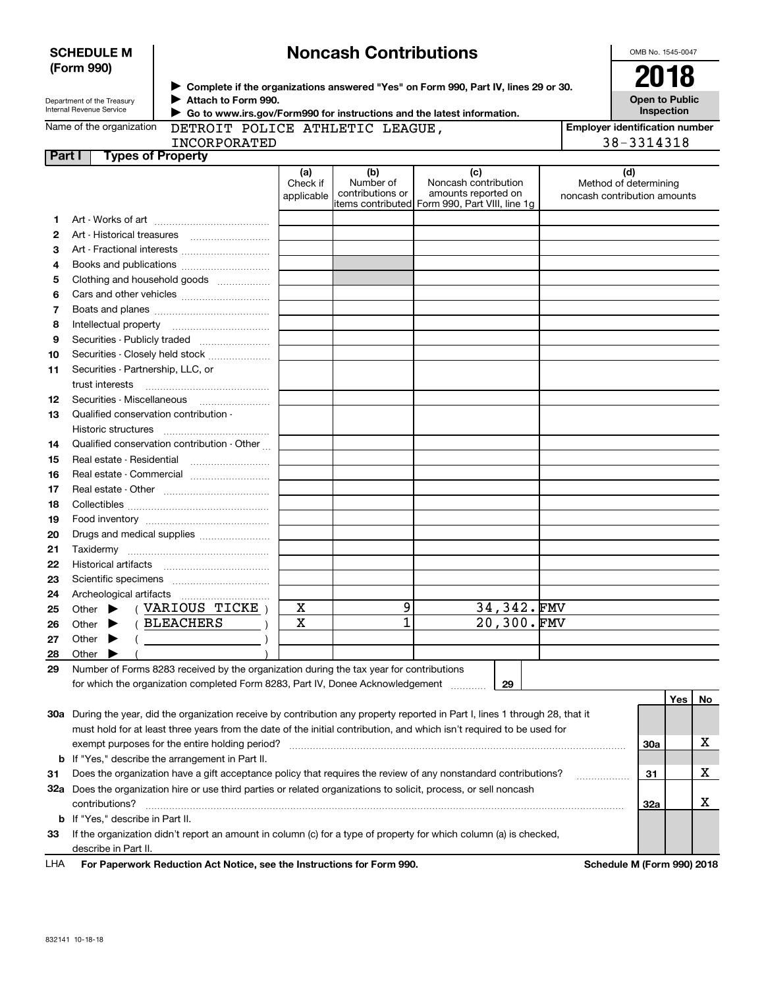| <b>SCHEDULE M</b> |  |
|-------------------|--|
| (Form 990)        |  |

## **Noncash Contributions**

OMB No. 1545-0047

| Department of the Treasury |
|----------------------------|
| Internal Revenue Service   |

**Complete if the organizations answered "Yes" on Form 990, Part IV, lines 29 or 30.** <sup>J</sup>**2018 Attach to Form 990.** J

**Open to Public Inspection**

 **Go to www.irs.gov/Form990 for instructions and the latest information.** J DETROIT POLICE ATH

| HLETIC LEAGUE, |  |
|----------------|--|
|                |  |

| <b>Employer identification number</b> |
|---------------------------------------|
| 38-3314318                            |

**Part I Types of Property** INCORPORATED

|    |                                                                                                                                | (a)<br>Check if<br>applicable | (b)<br>Number of<br>contributions or | (c)<br>Noncash contribution<br>amounts reported on<br>litems contributed Form 990, Part VIII, line 1g | (d)<br>Method of determining<br>noncash contribution amounts |     |     |    |
|----|--------------------------------------------------------------------------------------------------------------------------------|-------------------------------|--------------------------------------|-------------------------------------------------------------------------------------------------------|--------------------------------------------------------------|-----|-----|----|
| 1. |                                                                                                                                |                               |                                      |                                                                                                       |                                                              |     |     |    |
| 2  | Art - Historical treasures                                                                                                     |                               |                                      |                                                                                                       |                                                              |     |     |    |
| з  | Art - Fractional interests                                                                                                     |                               |                                      |                                                                                                       |                                                              |     |     |    |
| 4  | Books and publications                                                                                                         |                               |                                      |                                                                                                       |                                                              |     |     |    |
| 5  | Clothing and household goods                                                                                                   |                               |                                      |                                                                                                       |                                                              |     |     |    |
| 6  |                                                                                                                                |                               |                                      |                                                                                                       |                                                              |     |     |    |
| 7  |                                                                                                                                |                               |                                      |                                                                                                       |                                                              |     |     |    |
| 8  | Intellectual property                                                                                                          |                               |                                      |                                                                                                       |                                                              |     |     |    |
| 9  | Securities - Publicly traded                                                                                                   |                               |                                      |                                                                                                       |                                                              |     |     |    |
| 10 | Securities - Closely held stock                                                                                                |                               |                                      |                                                                                                       |                                                              |     |     |    |
| 11 | Securities - Partnership, LLC, or                                                                                              |                               |                                      |                                                                                                       |                                                              |     |     |    |
|    | trust interests                                                                                                                |                               |                                      |                                                                                                       |                                                              |     |     |    |
| 12 | Securities - Miscellaneous                                                                                                     |                               |                                      |                                                                                                       |                                                              |     |     |    |
| 13 | Qualified conservation contribution                                                                                            |                               |                                      |                                                                                                       |                                                              |     |     |    |
|    | Historic structures                                                                                                            |                               |                                      |                                                                                                       |                                                              |     |     |    |
| 14 | Qualified conservation contribution - Other                                                                                    |                               |                                      |                                                                                                       |                                                              |     |     |    |
| 15 | Real estate - Residential                                                                                                      |                               |                                      |                                                                                                       |                                                              |     |     |    |
| 16 | Real estate - Commercial                                                                                                       |                               |                                      |                                                                                                       |                                                              |     |     |    |
| 17 |                                                                                                                                |                               |                                      |                                                                                                       |                                                              |     |     |    |
| 18 |                                                                                                                                |                               |                                      |                                                                                                       |                                                              |     |     |    |
| 19 |                                                                                                                                |                               |                                      |                                                                                                       |                                                              |     |     |    |
| 20 | Drugs and medical supplies                                                                                                     |                               |                                      |                                                                                                       |                                                              |     |     |    |
| 21 |                                                                                                                                |                               |                                      |                                                                                                       |                                                              |     |     |    |
| 22 | Historical artifacts                                                                                                           |                               |                                      |                                                                                                       |                                                              |     |     |    |
| 23 |                                                                                                                                |                               |                                      |                                                                                                       |                                                              |     |     |    |
| 24 | Archeological artifacts                                                                                                        |                               |                                      |                                                                                                       |                                                              |     |     |    |
| 25 | (VARIOUS TICKE)<br>Other $\blacktriangleright$                                                                                 | х                             | 9                                    | 34,342.FMV                                                                                            |                                                              |     |     |    |
| 26 | (BLEACHERS<br>Other $\blacktriangleright$                                                                                      | X                             | $\overline{1}$                       | 20,300.FMV                                                                                            |                                                              |     |     |    |
| 27 | Other $\blacktriangleright$                                                                                                    |                               |                                      |                                                                                                       |                                                              |     |     |    |
| 28 | Other $\blacktriangleright$                                                                                                    |                               |                                      |                                                                                                       |                                                              |     |     |    |
| 29 | Number of Forms 8283 received by the organization during the tax year for contributions                                        |                               |                                      |                                                                                                       |                                                              |     |     |    |
|    | for which the organization completed Form 8283, Part IV, Donee Acknowledgement                                                 |                               |                                      | 29<br>.                                                                                               |                                                              |     |     |    |
|    |                                                                                                                                |                               |                                      |                                                                                                       |                                                              |     | Yes | No |
|    | 30a During the year, did the organization receive by contribution any property reported in Part I, lines 1 through 28, that it |                               |                                      |                                                                                                       |                                                              |     |     |    |
|    | must hold for at least three years from the date of the initial contribution, and which isn't required to be used for          |                               |                                      |                                                                                                       |                                                              |     |     |    |
|    | exempt purposes for the entire holding period?                                                                                 |                               |                                      |                                                                                                       |                                                              | 30a |     | x  |
|    | <b>b</b> If "Yes," describe the arrangement in Part II.                                                                        |                               |                                      |                                                                                                       |                                                              |     |     |    |
| 31 | Does the organization have a gift acceptance policy that requires the review of any nonstandard contributions?                 |                               |                                      |                                                                                                       |                                                              | 31  |     | x  |
|    | 32a Does the organization hire or use third parties or related organizations to solicit, process, or sell noncash              |                               |                                      |                                                                                                       |                                                              |     |     |    |
|    | contributions?                                                                                                                 |                               |                                      |                                                                                                       |                                                              | 32a |     | x  |
|    | <b>b</b> If "Yes," describe in Part II.                                                                                        |                               |                                      |                                                                                                       |                                                              |     |     |    |
| 33 | If the organization didn't report an amount in column (c) for a type of property for which column (a) is checked,              |                               |                                      |                                                                                                       |                                                              |     |     |    |
|    | describe in Part II.                                                                                                           |                               |                                      |                                                                                                       |                                                              |     |     |    |

For Paperwork Reduction Act Notice, see the Instructions for Form 990. **Schedule M (Form 990) 2018** LHA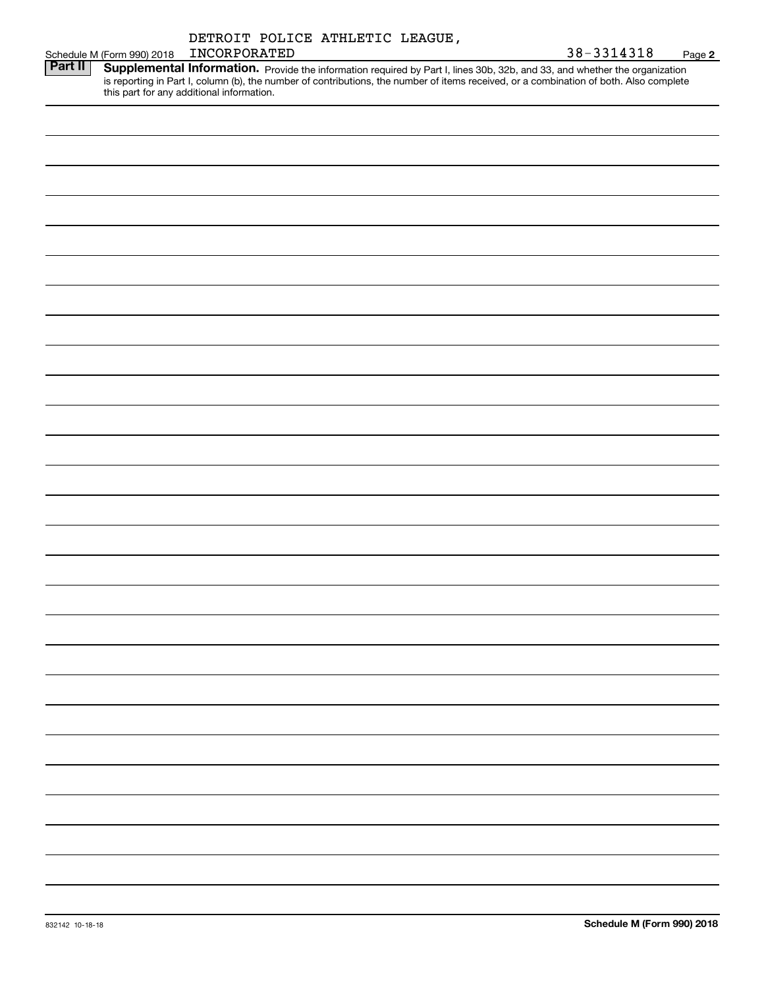|                |                            |              | DETROIT POLICE ATHLETIC LEAGUE, |  |                                                                                                                                                                                                                                     |        |
|----------------|----------------------------|--------------|---------------------------------|--|-------------------------------------------------------------------------------------------------------------------------------------------------------------------------------------------------------------------------------------|--------|
|                | Schedule M (Form 990) 2018 | INCORPORATED |                                 |  | 38-3314318                                                                                                                                                                                                                          | Page 2 |
| <b>Part II</b> |                            |              |                                 |  | <b>Supplemental Information.</b> Provide the information required by Part I, lines 30b, 32b, and 33, and whether the organization is reporting in Part I, column (b), the number of contributions, the number of items received, or |        |
|                |                            |              |                                 |  |                                                                                                                                                                                                                                     |        |
|                |                            |              |                                 |  |                                                                                                                                                                                                                                     |        |
|                |                            |              |                                 |  |                                                                                                                                                                                                                                     |        |
|                |                            |              |                                 |  |                                                                                                                                                                                                                                     |        |
|                |                            |              |                                 |  |                                                                                                                                                                                                                                     |        |
|                |                            |              |                                 |  |                                                                                                                                                                                                                                     |        |
|                |                            |              |                                 |  |                                                                                                                                                                                                                                     |        |
|                |                            |              |                                 |  |                                                                                                                                                                                                                                     |        |
|                |                            |              |                                 |  |                                                                                                                                                                                                                                     |        |
|                |                            |              |                                 |  |                                                                                                                                                                                                                                     |        |
|                |                            |              |                                 |  |                                                                                                                                                                                                                                     |        |
|                |                            |              |                                 |  |                                                                                                                                                                                                                                     |        |
|                |                            |              |                                 |  |                                                                                                                                                                                                                                     |        |
|                |                            |              |                                 |  |                                                                                                                                                                                                                                     |        |
|                |                            |              |                                 |  |                                                                                                                                                                                                                                     |        |
|                |                            |              |                                 |  |                                                                                                                                                                                                                                     |        |
|                |                            |              |                                 |  |                                                                                                                                                                                                                                     |        |
|                |                            |              |                                 |  |                                                                                                                                                                                                                                     |        |
|                |                            |              |                                 |  |                                                                                                                                                                                                                                     |        |
|                |                            |              |                                 |  |                                                                                                                                                                                                                                     |        |
|                |                            |              |                                 |  |                                                                                                                                                                                                                                     |        |
|                |                            |              |                                 |  |                                                                                                                                                                                                                                     |        |
|                |                            |              |                                 |  |                                                                                                                                                                                                                                     |        |
|                |                            |              |                                 |  |                                                                                                                                                                                                                                     |        |
|                |                            |              |                                 |  |                                                                                                                                                                                                                                     |        |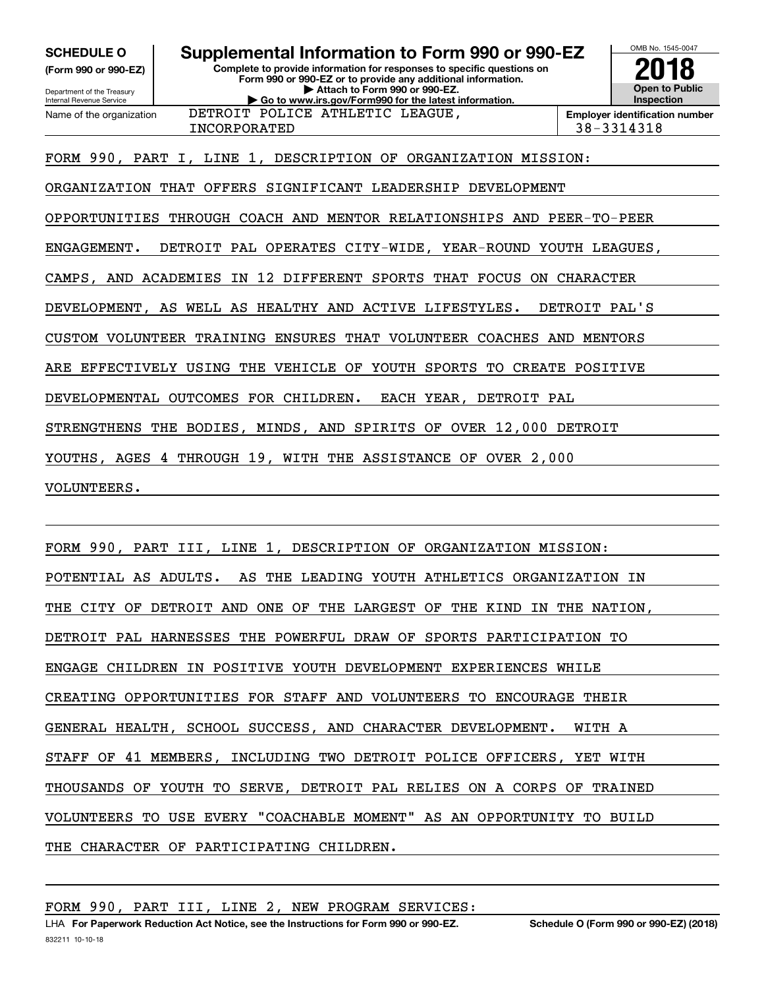**(Form 990 or 990-EZ)**

Department of the Treasury Internal Revenue Service Name of the organization

### **Complete to provide information for responses to specific questions on SCHEDULE O Supplemental Information to Form 990 or 990-EZ**

**Form 990 or 990-EZ or to provide any additional information. | Attach to Form 990 or 990-EZ. | Go to www.irs.gov/Form990 for the latest information.** DETROIT POLICE ATHLETIC LEAGUE,



INCORPORATED 38-3314318

FORM 990, PART I, LINE 1, DESCRIPTION OF ORGANIZATION MISSION:

ORGANIZATION THAT OFFERS SIGNIFICANT LEADERSHIP DEVELOPMENT

OPPORTUNITIES THROUGH COACH AND MENTOR RELATIONSHIPS AND PEER-TO-PEER

ENGAGEMENT. DETROIT PAL OPERATES CITY-WIDE, YEAR-ROUND YOUTH LEAGUES,

CAMPS, AND ACADEMIES IN 12 DIFFERENT SPORTS THAT FOCUS ON CHARACTER

DEVELOPMENT, AS WELL AS HEALTHY AND ACTIVE LIFESTYLES. DETROIT PAL'S

CUSTOM VOLUNTEER TRAINING ENSURES THAT VOLUNTEER COACHES AND MENTORS

ARE EFFECTIVELY USING THE VEHICLE OF YOUTH SPORTS TO CREATE POSITIVE

DEVELOPMENTAL OUTCOMES FOR CHILDREN. EACH YEAR, DETROIT PAL

STRENGTHENS THE BODIES, MINDS, AND SPIRITS OF OVER 12,000 DETROIT

YOUTHS, AGES 4 THROUGH 19, WITH THE ASSISTANCE OF OVER 2,000

VOLUNTEERS.

FORM 990, PART III, LINE 1, DESCRIPTION OF ORGANIZATION MISSION: POTENTIAL AS ADULTS. AS THE LEADING YOUTH ATHLETICS ORGANIZATION IN THE CITY OF DETROIT AND ONE OF THE LARGEST OF THE KIND IN THE NATION, DETROIT PAL HARNESSES THE POWERFUL DRAW OF SPORTS PARTICIPATION TO ENGAGE CHILDREN IN POSITIVE YOUTH DEVELOPMENT EXPERIENCES WHILE CREATING OPPORTUNITIES FOR STAFF AND VOLUNTEERS TO ENCOURAGE THEIR GENERAL HEALTH, SCHOOL SUCCESS, AND CHARACTER DEVELOPMENT. WITH A STAFF OF 41 MEMBERS, INCLUDING TWO DETROIT POLICE OFFICERS, YET WITH THOUSANDS OF YOUTH TO SERVE, DETROIT PAL RELIES ON A CORPS OF TRAINED VOLUNTEERS TO USE EVERY "COACHABLE MOMENT" AS AN OPPORTUNITY TO BUILD THE CHARACTER OF PARTICIPATING CHILDREN.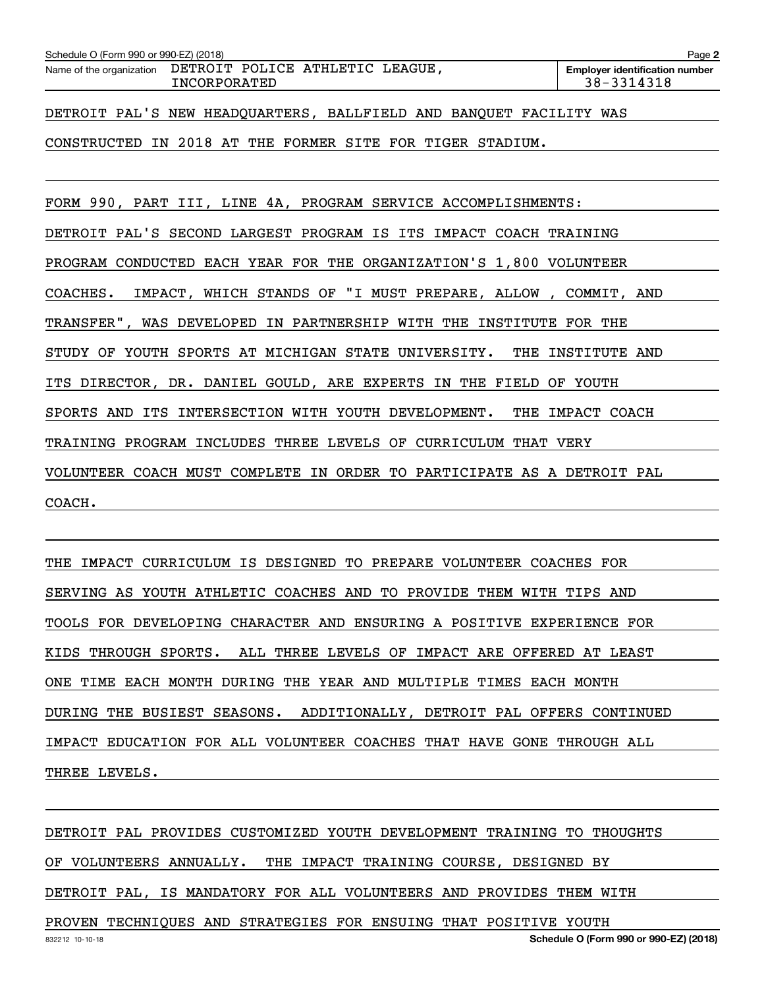| Schedule O (Form 990 or 990-EZ) (2018)                   |                                                                    | Page 2 |
|----------------------------------------------------------|--------------------------------------------------------------------|--------|
| Name of the organization DETROIT POLICE ATHLETIC LEAGUE, | <b>Employer identification number</b><br>38-3314318                |        |
|                                                          | DETROIT PAL'S NEW HEADQUARTERS, BALLFIELD AND BANQUET FACILITY WAS |        |

CONSTRUCTED IN 2018 AT THE FORMER SITE FOR TIGER STADIUM.

FORM 990, PART III, LINE 4A, PROGRAM SERVICE ACCOMPLISHMENTS: DETROIT PAL'S SECOND LARGEST PROGRAM IS ITS IMPACT COACH TRAINING PROGRAM CONDUCTED EACH YEAR FOR THE ORGANIZATION'S 1,800 VOLUNTEER COACHES. IMPACT, WHICH STANDS OF "I MUST PREPARE, ALLOW , COMMIT, AND TRANSFER", WAS DEVELOPED IN PARTNERSHIP WITH THE INSTITUTE FOR THE STUDY OF YOUTH SPORTS AT MICHIGAN STATE UNIVERSITY. THE INSTITUTE AND ITS DIRECTOR, DR. DANIEL GOULD, ARE EXPERTS IN THE FIELD OF YOUTH SPORTS AND ITS INTERSECTION WITH YOUTH DEVELOPMENT. THE IMPACT COACH TRAINING PROGRAM INCLUDES THREE LEVELS OF CURRICULUM THAT VERY VOLUNTEER COACH MUST COMPLETE IN ORDER TO PARTICIPATE AS A DETROIT PAL COACH.

THE IMPACT CURRICULUM IS DESIGNED TO PREPARE VOLUNTEER COACHES FOR SERVING AS YOUTH ATHLETIC COACHES AND TO PROVIDE THEM WITH TIPS AND TOOLS FOR DEVELOPING CHARACTER AND ENSURING A POSITIVE EXPERIENCE FOR KIDS THROUGH SPORTS. ALL THREE LEVELS OF IMPACT ARE OFFERED AT LEAST ONE TIME EACH MONTH DURING THE YEAR AND MULTIPLE TIMES EACH MONTH DURING THE BUSIEST SEASONS. ADDITIONALLY, DETROIT PAL OFFERS CONTINUED IMPACT EDUCATION FOR ALL VOLUNTEER COACHES THAT HAVE GONE THROUGH ALL THREE LEVELS.

DETROIT PAL PROVIDES CUSTOMIZED YOUTH DEVELOPMENT TRAINING TO THOUGHTS OF VOLUNTEERS ANNUALLY. THE IMPACT TRAINING COURSE, DESIGNED BY DETROIT PAL, IS MANDATORY FOR ALL VOLUNTEERS AND PROVIDES THEM WITH PROVEN TECHNIQUES AND STRATEGIES FOR ENSUING THAT POSITIVE YOUTH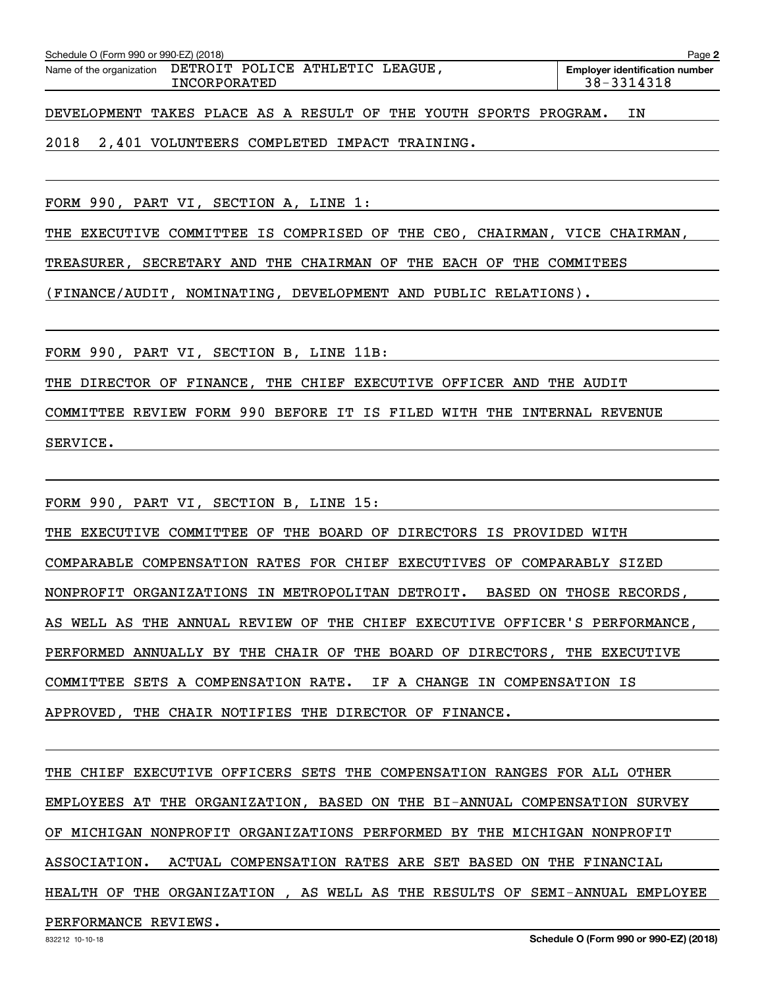| Schedule O (Form 990 or 990-EZ) (2018)                   |              |  |  | Page 2                                              |
|----------------------------------------------------------|--------------|--|--|-----------------------------------------------------|
| Name of the organization DETROIT POLICE ATHLETIC LEAGUE, | INCORPORATED |  |  | <b>Employer identification number</b><br>38-3314318 |

DEVELOPMENT TAKES PLACE AS A RESULT OF THE YOUTH SPORTS PROGRAM. IN

2018 2,401 VOLUNTEERS COMPLETED IMPACT TRAINING.

FORM 990, PART VI, SECTION A, LINE 1:

THE EXECUTIVE COMMITTEE IS COMPRISED OF THE CEO, CHAIRMAN, VICE CHAIRMAN,

TREASURER, SECRETARY AND THE CHAIRMAN OF THE EACH OF THE COMMITEES

(FINANCE/AUDIT, NOMINATING, DEVELOPMENT AND PUBLIC RELATIONS).

FORM 990, PART VI, SECTION B, LINE 11B:

THE DIRECTOR OF FINANCE, THE CHIEF EXECUTIVE OFFICER AND THE AUDIT

COMMITTEE REVIEW FORM 990 BEFORE IT IS FILED WITH THE INTERNAL REVENUE

SERVICE.

FORM 990, PART VI, SECTION B, LINE 15:

THE EXECUTIVE COMMITTEE OF THE BOARD OF DIRECTORS IS PROVIDED WITH COMPARABLE COMPENSATION RATES FOR CHIEF EXECUTIVES OF COMPARABLY SIZED NONPROFIT ORGANIZATIONS IN METROPOLITAN DETROIT. BASED ON THOSE RECORDS, AS WELL AS THE ANNUAL REVIEW OF THE CHIEF EXECUTIVE OFFICER'S PERFORMANCE, PERFORMED ANNUALLY BY THE CHAIR OF THE BOARD OF DIRECTORS, THE EXECUTIVE COMMITTEE SETS A COMPENSATION RATE. IF A CHANGE IN COMPENSATION IS APPROVED, THE CHAIR NOTIFIES THE DIRECTOR OF FINANCE.

THE CHIEF EXECUTIVE OFFICERS SETS THE COMPENSATION RANGES FOR ALL OTHER EMPLOYEES AT THE ORGANIZATION, BASED ON THE BI-ANNUAL COMPENSATION SURVEY OF MICHIGAN NONPROFIT ORGANIZATIONS PERFORMED BY THE MICHIGAN NONPROFIT ASSOCIATION. ACTUAL COMPENSATION RATES ARE SET BASED ON THE FINANCIAL HEALTH OF THE ORGANIZATION , AS WELL AS THE RESULTS OF SEMI-ANNUAL EMPLOYEE

PERFORMANCE REVIEWS.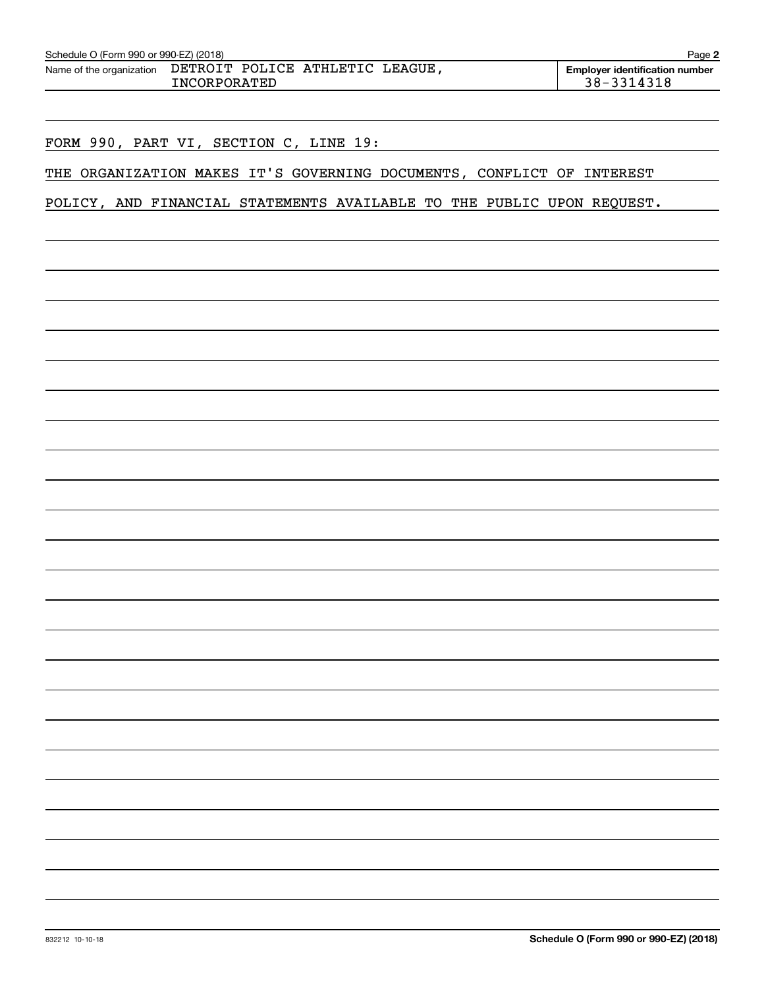| Name of the organization | DETROIT POLICE ATHLETIC LEAGUE,<br><b>INCORPORATED</b> | <b>Employer identification number</b><br>38-3314318                   |
|--------------------------|--------------------------------------------------------|-----------------------------------------------------------------------|
|                          |                                                        |                                                                       |
|                          | FORM 990, PART VI, SECTION C, LINE 19:                 |                                                                       |
|                          |                                                        | THE ORGANIZATION MAKES IT'S GOVERNING DOCUMENTS, CONFLICT OF INTEREST |

## POLICY, AND FINANCIAL STATEMENTS AVAILABLE TO THE PUBLIC UPON REQUEST.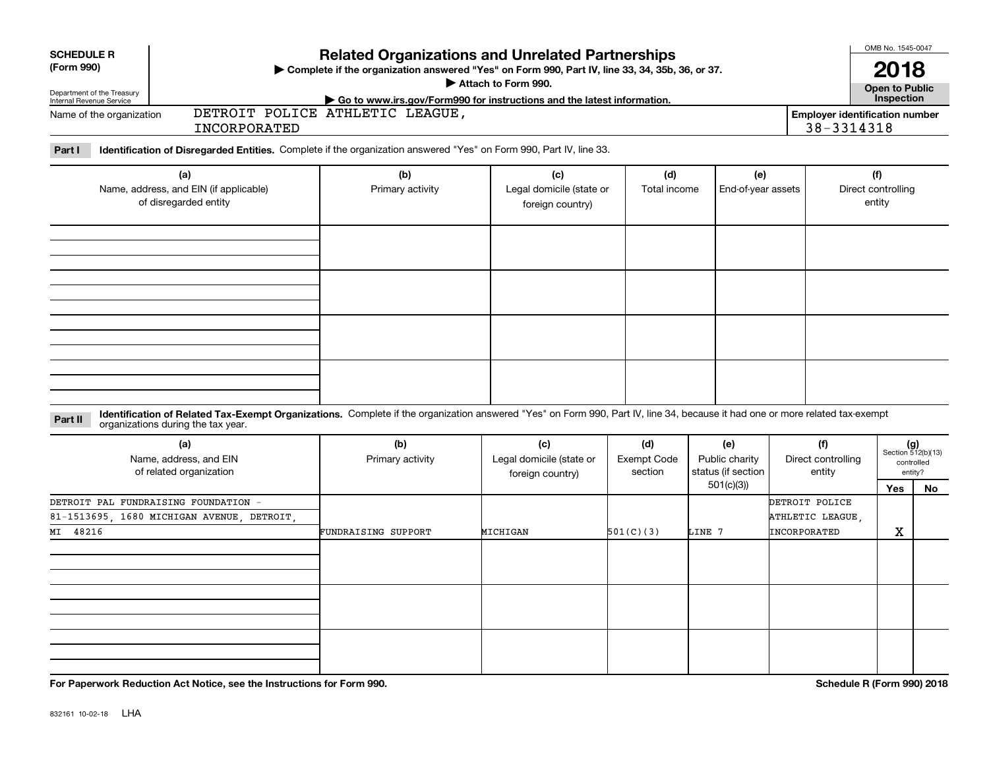| <b>SCHEDULE R</b><br>(Form 990)                                                    |                                                                                                                                                                                                                    | <b>Related Organizations and Unrelated Partnerships</b><br>> Complete if the organization answered "Yes" on Form 990, Part IV, line 33, 34, 35b, 36, or 37. | OMB No. 1545-0047<br>2018                                              |                               |                                      |                              |                                                     |                             |
|------------------------------------------------------------------------------------|--------------------------------------------------------------------------------------------------------------------------------------------------------------------------------------------------------------------|-------------------------------------------------------------------------------------------------------------------------------------------------------------|------------------------------------------------------------------------|-------------------------------|--------------------------------------|------------------------------|-----------------------------------------------------|-----------------------------|
|                                                                                    |                                                                                                                                                                                                                    |                                                                                                                                                             | Attach to Form 990.                                                    |                               |                                      |                              | Open to Public                                      |                             |
| Department of the Treasury<br>Internal Revenue Service<br>Name of the organization |                                                                                                                                                                                                                    | DETROIT POLICE ATHLETIC LEAGUE,                                                                                                                             | Go to www.irs.gov/Form990 for instructions and the latest information. |                               |                                      |                              | Inspection<br><b>Employer identification number</b> |                             |
|                                                                                    | INCORPORATED                                                                                                                                                                                                       |                                                                                                                                                             |                                                                        |                               |                                      |                              | 38-3314318                                          |                             |
| Part I                                                                             | Identification of Disregarded Entities. Complete if the organization answered "Yes" on Form 990, Part IV, line 33.                                                                                                 |                                                                                                                                                             |                                                                        |                               |                                      |                              |                                                     |                             |
|                                                                                    | (a)                                                                                                                                                                                                                | (b)                                                                                                                                                         | (c)                                                                    | (d)                           | (e)                                  |                              | (f)                                                 |                             |
|                                                                                    | Name, address, and EIN (if applicable)<br>of disregarded entity                                                                                                                                                    | Primary activity<br>Legal domicile (state or<br>foreign country)                                                                                            |                                                                        | Total income                  | End-of-year assets                   |                              | Direct controlling<br>entity                        |                             |
|                                                                                    |                                                                                                                                                                                                                    |                                                                                                                                                             |                                                                        |                               |                                      |                              |                                                     |                             |
|                                                                                    |                                                                                                                                                                                                                    |                                                                                                                                                             |                                                                        |                               |                                      |                              |                                                     |                             |
|                                                                                    |                                                                                                                                                                                                                    |                                                                                                                                                             |                                                                        |                               |                                      |                              |                                                     |                             |
|                                                                                    |                                                                                                                                                                                                                    |                                                                                                                                                             |                                                                        |                               |                                      |                              |                                                     |                             |
|                                                                                    |                                                                                                                                                                                                                    |                                                                                                                                                             |                                                                        |                               |                                      |                              |                                                     |                             |
| Part II                                                                            | Identification of Related Tax-Exempt Organizations. Complete if the organization answered "Yes" on Form 990, Part IV, line 34, because it had one or more related tax-exempt<br>organizations during the tax year. |                                                                                                                                                             |                                                                        |                               |                                      |                              |                                                     |                             |
|                                                                                    | (a)                                                                                                                                                                                                                | (b)                                                                                                                                                         | (c)                                                                    | (d)                           | (e)                                  | (f)                          |                                                     | $(g)$<br>Section 512(b)(13) |
|                                                                                    | Name, address, and EIN<br>of related organization                                                                                                                                                                  | Primary activity                                                                                                                                            | Legal domicile (state or                                               | <b>Exempt Code</b><br>section | Public charity<br>status (if section | Direct controlling<br>entity |                                                     | controlled<br>entity?       |
|                                                                                    |                                                                                                                                                                                                                    |                                                                                                                                                             | foreign country)                                                       |                               | 501(c)(3)                            |                              | <b>Yes</b>                                          | No                          |
|                                                                                    | DETROIT PAL FUNDRAISING FOUNDATION -                                                                                                                                                                               |                                                                                                                                                             |                                                                        |                               |                                      | DETROIT POLICE               |                                                     |                             |
|                                                                                    | 81-1513695, 1680 MICHIGAN AVENUE, DETROIT                                                                                                                                                                          |                                                                                                                                                             |                                                                        |                               |                                      | ATHLETIC LEAGUE,             |                                                     |                             |
| MI 48216                                                                           |                                                                                                                                                                                                                    | FUNDRAISING SUPPORT                                                                                                                                         | MICHIGAN                                                               | 501(C)(3)                     | LINE 7                               | INCORPORATED                 | X                                                   |                             |
|                                                                                    |                                                                                                                                                                                                                    |                                                                                                                                                             |                                                                        |                               |                                      |                              |                                                     |                             |
|                                                                                    |                                                                                                                                                                                                                    |                                                                                                                                                             |                                                                        |                               |                                      |                              |                                                     |                             |
|                                                                                    |                                                                                                                                                                                                                    |                                                                                                                                                             |                                                                        |                               |                                      |                              |                                                     |                             |
|                                                                                    |                                                                                                                                                                                                                    |                                                                                                                                                             |                                                                        |                               |                                      |                              |                                                     |                             |
|                                                                                    |                                                                                                                                                                                                                    |                                                                                                                                                             |                                                                        |                               |                                      |                              |                                                     |                             |
|                                                                                    |                                                                                                                                                                                                                    |                                                                                                                                                             |                                                                        |                               |                                      |                              |                                                     |                             |

**For Paperwork Reduction Act Notice, see the Instructions for Form 990. Schedule R (Form 990) 2018**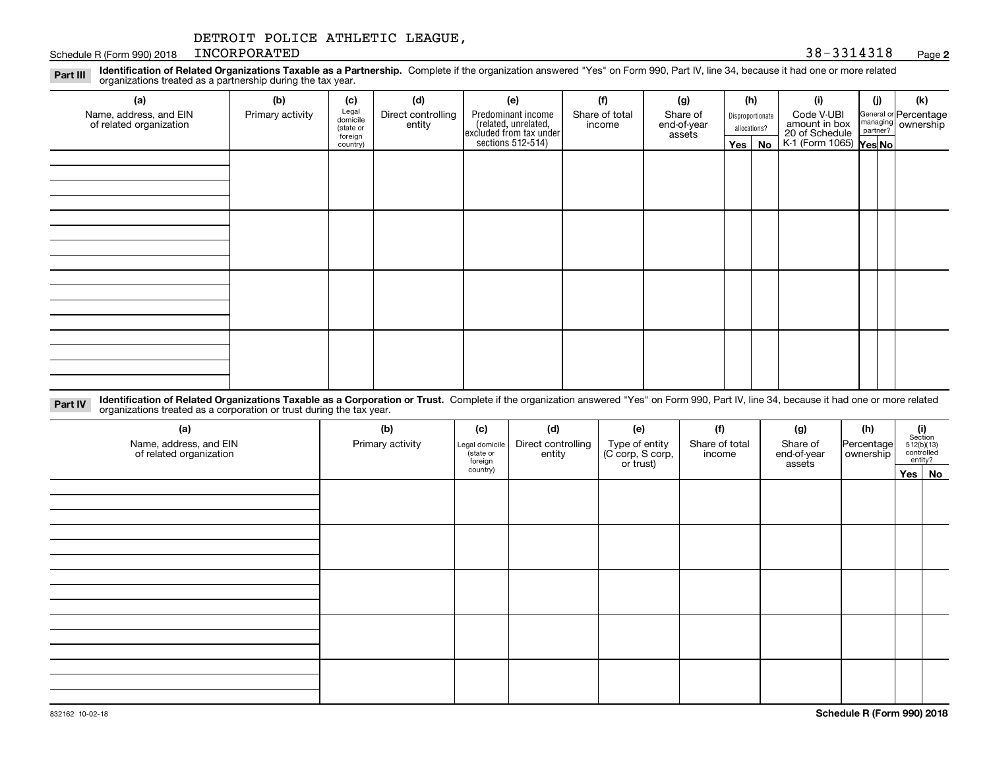Schedule R (Form 990) 2018 INCORPORATED 38 - 3314318 INCORPORATED 38-3314318

#### **2**

**Identification of Related Organizations Taxable as a Partnership.** Complete if the organization answered "Yes" on Form 990, Part IV, line 34, because it had one or more related **Part III** organizations treated as a partnership during the tax year.

| (a)                                               | (b)              | (c)                  | (d)                          | (e)                                                                  | (f)                      | (g)                     |         | (h)              | (i)                                                       | (i) | (k)                                                       |
|---------------------------------------------------|------------------|----------------------|------------------------------|----------------------------------------------------------------------|--------------------------|-------------------------|---------|------------------|-----------------------------------------------------------|-----|-----------------------------------------------------------|
| Name, address, and EIN<br>of related organization | Primary activity | Legal<br>domicile    | Direct controlling<br>entity | Predominant income                                                   | Share of total<br>income | Share of<br>end-of-year |         | Disproportionate | Code V-UBI                                                |     | General or Percentage<br>managing<br>partner?<br>partner? |
|                                                   |                  | (state or<br>foreign |                              |                                                                      |                          | assets                  |         | allocations?     |                                                           |     |                                                           |
|                                                   |                  | country)             |                              | (related, unrelated,<br>excluded from tax under<br>sections 512-514) |                          |                         | Yes $ $ | No               | amount in box<br>20 of Schedule<br>K-1 (Form 1065) Yes No |     |                                                           |
|                                                   |                  |                      |                              |                                                                      |                          |                         |         |                  |                                                           |     |                                                           |
|                                                   |                  |                      |                              |                                                                      |                          |                         |         |                  |                                                           |     |                                                           |
|                                                   |                  |                      |                              |                                                                      |                          |                         |         |                  |                                                           |     |                                                           |
|                                                   |                  |                      |                              |                                                                      |                          |                         |         |                  |                                                           |     |                                                           |
|                                                   |                  |                      |                              |                                                                      |                          |                         |         |                  |                                                           |     |                                                           |
|                                                   |                  |                      |                              |                                                                      |                          |                         |         |                  |                                                           |     |                                                           |
|                                                   |                  |                      |                              |                                                                      |                          |                         |         |                  |                                                           |     |                                                           |
|                                                   |                  |                      |                              |                                                                      |                          |                         |         |                  |                                                           |     |                                                           |
|                                                   |                  |                      |                              |                                                                      |                          |                         |         |                  |                                                           |     |                                                           |
|                                                   |                  |                      |                              |                                                                      |                          |                         |         |                  |                                                           |     |                                                           |
|                                                   |                  |                      |                              |                                                                      |                          |                         |         |                  |                                                           |     |                                                           |
|                                                   |                  |                      |                              |                                                                      |                          |                         |         |                  |                                                           |     |                                                           |
|                                                   |                  |                      |                              |                                                                      |                          |                         |         |                  |                                                           |     |                                                           |
|                                                   |                  |                      |                              |                                                                      |                          |                         |         |                  |                                                           |     |                                                           |
|                                                   |                  |                      |                              |                                                                      |                          |                         |         |                  |                                                           |     |                                                           |
|                                                   |                  |                      |                              |                                                                      |                          |                         |         |                  |                                                           |     |                                                           |
|                                                   |                  |                      |                              |                                                                      |                          |                         |         |                  |                                                           |     |                                                           |

**Identification of Related Organizations Taxable as a Corporation or Trust.** Complete if the organization answered "Yes" on Form 990, Part IV, line 34, because it had one or more related **Part IV** organizations treated as a corporation or trust during the tax year.

| (a)<br>Name, address, and EIN<br>of related organization | (b)<br>Primary activity | (c)<br>Legal domicile<br>state or<br>foreign | (d)<br>Direct controlling<br>entity | (e)<br>Type of entity<br>(C corp, S corp,<br>or trust) | (f)<br>Share of total<br>income | (g)<br>Share of<br>Percentage<br>end-of-year<br>ownership<br>assets |  | $\begin{array}{c} \textbf{(i)}\\ \text{Section}\\ 512 \text{(b)} \text{(13)}\\ \text{controlled}\\ \text{entity?} \end{array}$ |
|----------------------------------------------------------|-------------------------|----------------------------------------------|-------------------------------------|--------------------------------------------------------|---------------------------------|---------------------------------------------------------------------|--|--------------------------------------------------------------------------------------------------------------------------------|
|                                                          |                         | country)                                     |                                     |                                                        |                                 |                                                                     |  | Yes   No                                                                                                                       |
|                                                          |                         |                                              |                                     |                                                        |                                 |                                                                     |  |                                                                                                                                |
|                                                          |                         |                                              |                                     |                                                        |                                 |                                                                     |  |                                                                                                                                |
|                                                          |                         |                                              |                                     |                                                        |                                 |                                                                     |  |                                                                                                                                |
|                                                          |                         |                                              |                                     |                                                        |                                 |                                                                     |  |                                                                                                                                |
|                                                          |                         |                                              |                                     |                                                        |                                 |                                                                     |  |                                                                                                                                |
|                                                          |                         |                                              |                                     |                                                        |                                 |                                                                     |  |                                                                                                                                |
|                                                          |                         |                                              |                                     |                                                        |                                 |                                                                     |  |                                                                                                                                |
|                                                          |                         |                                              |                                     |                                                        |                                 |                                                                     |  |                                                                                                                                |
|                                                          |                         |                                              |                                     |                                                        |                                 |                                                                     |  |                                                                                                                                |
|                                                          |                         |                                              |                                     |                                                        |                                 |                                                                     |  |                                                                                                                                |
|                                                          |                         |                                              |                                     |                                                        |                                 |                                                                     |  |                                                                                                                                |
|                                                          |                         |                                              |                                     |                                                        |                                 |                                                                     |  |                                                                                                                                |
|                                                          |                         |                                              |                                     |                                                        |                                 |                                                                     |  |                                                                                                                                |
|                                                          |                         |                                              |                                     |                                                        |                                 |                                                                     |  |                                                                                                                                |
|                                                          |                         |                                              |                                     |                                                        |                                 |                                                                     |  |                                                                                                                                |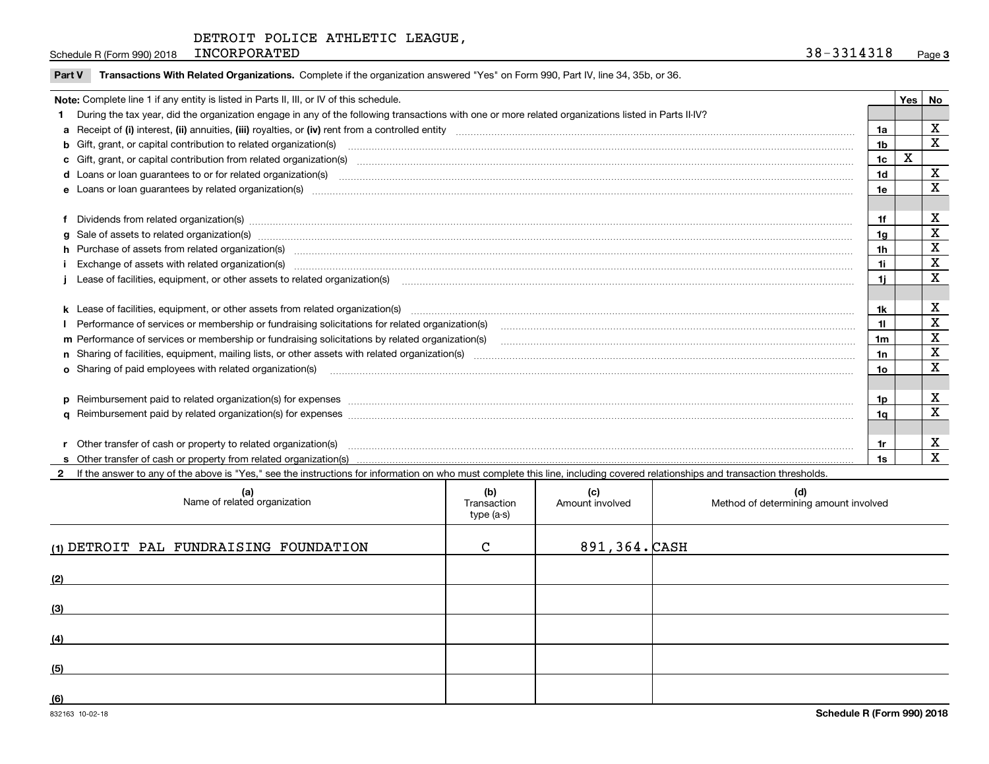Schedule R (Form 990) 2018 INCORPORATED 38 - 3314318 INCORPORATED 38-3314318

| Note: Complete line 1 if any entity is listed in Parts II, III, or IV of this schedule. |                                                                                                                                                                                                                                |     |   |             |  |
|-----------------------------------------------------------------------------------------|--------------------------------------------------------------------------------------------------------------------------------------------------------------------------------------------------------------------------------|-----|---|-------------|--|
|                                                                                         | 1 During the tax year, did the organization engage in any of the following transactions with one or more related organizations listed in Parts II-IV?                                                                          |     |   |             |  |
|                                                                                         |                                                                                                                                                                                                                                | 1a  |   | X           |  |
|                                                                                         | b Gift, grant, or capital contribution to related organization(s) material contracts and contribution to related organization(s)                                                                                               | 1b  |   | $\mathbf x$ |  |
|                                                                                         | c Gift, grant, or capital contribution from related organization(s) manufaction contribution from related organization(s) manufaction contribution from related organization(s) manufaction contribution from related organiza | 1c  | X |             |  |
|                                                                                         | <b>d</b> Loans or loan guarantees to or for related organization(s)                                                                                                                                                            | 1d  |   | X           |  |
|                                                                                         |                                                                                                                                                                                                                                | 1e  |   | x           |  |
|                                                                                         |                                                                                                                                                                                                                                |     |   |             |  |
|                                                                                         | f Dividends from related organization(s) manufactured contains and contained a state of the contact of the contact of the contact of the contact of the contact of the contact of the contact of the contact of the contact of | 1f  |   | X           |  |
|                                                                                         | g Sale of assets to related organization(s) www.assettion.com/www.assettion.com/www.assettion.com/www.assettion.com/www.assettion.com/www.assettion.com/www.assettion.com/www.assettion.com/www.assettion.com/www.assettion.co | 1g  |   | X           |  |
|                                                                                         | h Purchase of assets from related organization(s) manufactured and content to content the content of assets from related organization(s)                                                                                       | 1h  |   | x           |  |
|                                                                                         | Exchange of assets with related organization(s) www.communically.communically contract and a set set of the state organization(s) www.communically.com and a set of the state or set of the state of the state of the state of | 1i. |   | X           |  |
|                                                                                         | Lease of facilities, equipment, or other assets to related organization(s) manufaction content to the content of the state of facilities, equipment, or other assets to related organization(s) manufaction content to the con | 1i. |   | X           |  |
|                                                                                         |                                                                                                                                                                                                                                |     |   |             |  |
|                                                                                         |                                                                                                                                                                                                                                | 1k. |   | х           |  |
|                                                                                         | Performance of services or membership or fundraising solicitations for related organization(s)                                                                                                                                 | 11  |   | X           |  |
|                                                                                         | m Performance of services or membership or fundraising solicitations by related organization(s)                                                                                                                                | 1m  |   | X           |  |
|                                                                                         |                                                                                                                                                                                                                                | 1n  |   | X           |  |
|                                                                                         | <b>o</b> Sharing of paid employees with related organization(s)                                                                                                                                                                | 1o  |   | X           |  |
|                                                                                         |                                                                                                                                                                                                                                |     |   |             |  |
|                                                                                         |                                                                                                                                                                                                                                | 1p. |   | х           |  |
|                                                                                         |                                                                                                                                                                                                                                | 1a  |   | х           |  |
|                                                                                         |                                                                                                                                                                                                                                |     |   |             |  |
|                                                                                         | r Other transfer of cash or property to related organization(s)                                                                                                                                                                | 1r  |   | х           |  |
|                                                                                         |                                                                                                                                                                                                                                | 1s  |   | X           |  |

**2** If the answer to any of the above is "Yes," see the instructions for information on who must complete this line, including covered relationships and transaction thresholds.

| (a)<br>Name of related organization    | (b)<br>Transaction<br>type (a-s) | (c)<br>Amount involved | (d)<br>Method of determining amount involved |
|----------------------------------------|----------------------------------|------------------------|----------------------------------------------|
| (1) DETROIT PAL FUNDRAISING FOUNDATION | $\mathbf{C}$                     | 891,364. CASH          |                                              |
| (2)                                    |                                  |                        |                                              |
| (3)                                    |                                  |                        |                                              |
| (4)                                    |                                  |                        |                                              |
| (5)                                    |                                  |                        |                                              |
| (6)                                    |                                  |                        |                                              |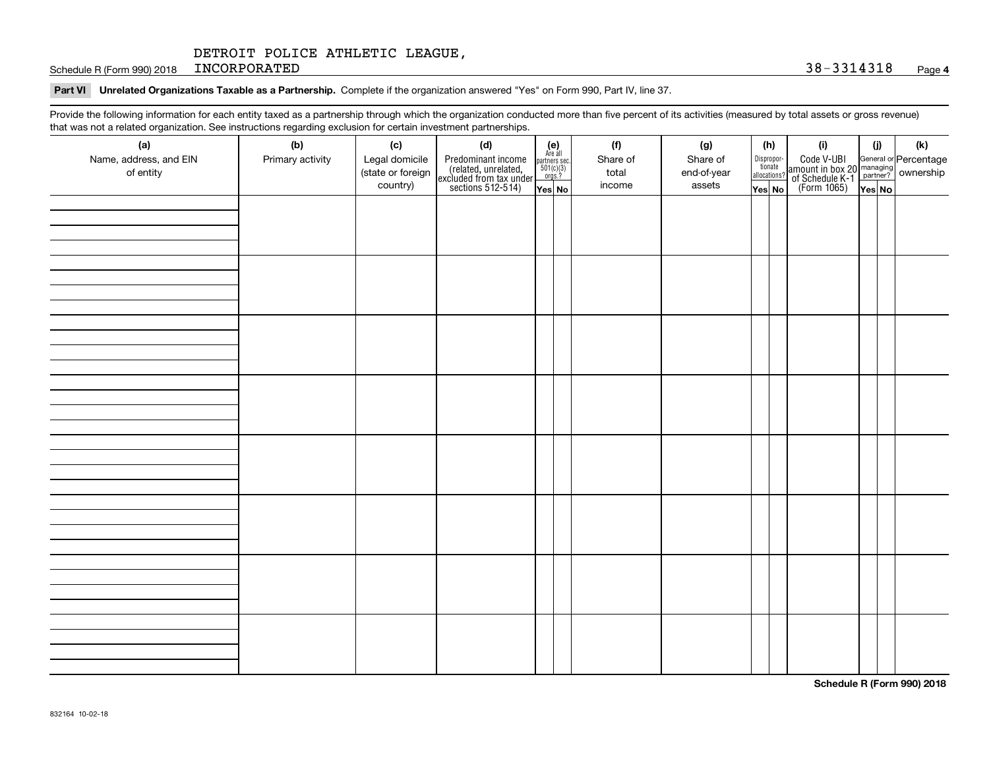Schedule R (Form 990) 2018 INCORPORATED 38 - 3314318 INCORPORATED 38-3314318

#### **Part VI Unrelated Organizations Taxable as a Partnership. Complete if the organization answered "Yes" on Form 990, Part IV, line 37.**

Provide the following information for each entity taxed as a partnership through which the organization conducted more than five percent of its activities (measured by total assets or gross revenue) that was not a related organization. See instructions regarding exclusion for certain investment partnerships.

| ັ                      | ັ<br>ັ           |                   |                                                                                            |                                      |          |  |             |                                       |                                                                                                                                       |        |     |
|------------------------|------------------|-------------------|--------------------------------------------------------------------------------------------|--------------------------------------|----------|--|-------------|---------------------------------------|---------------------------------------------------------------------------------------------------------------------------------------|--------|-----|
| (a)                    | (b)              | (c)               | (d)                                                                                        | (e)<br>Are all                       | (f)      |  | (g)         | (h)                                   | (i)                                                                                                                                   | (i)    | (k) |
| Name, address, and EIN | Primary activity | Legal domicile    | Predominant income<br>(related, unrelated,<br>excluded from tax under<br>sections 512-514) | partners sec.<br>501(c)(3)<br>orgs.? | Share of |  | Share of    | Dispropor-<br>tionate<br>allocations? | Code V-UBI<br>  amount in box 20 managing<br>  of Schedule K-1 partner? ownership<br>  of Schedule K-1 partner? ownership<br>  Yes No |        |     |
| of entity              |                  | (state or foreign |                                                                                            |                                      | total    |  | end-of-year |                                       |                                                                                                                                       |        |     |
|                        |                  | country)          |                                                                                            | Yes No                               | income   |  | assets      | Yes No                                |                                                                                                                                       | Yes No |     |
|                        |                  |                   |                                                                                            |                                      |          |  |             |                                       |                                                                                                                                       |        |     |
|                        |                  |                   |                                                                                            |                                      |          |  |             |                                       |                                                                                                                                       |        |     |
|                        |                  |                   |                                                                                            |                                      |          |  |             |                                       |                                                                                                                                       |        |     |
|                        |                  |                   |                                                                                            |                                      |          |  |             |                                       |                                                                                                                                       |        |     |
|                        |                  |                   |                                                                                            |                                      |          |  |             |                                       |                                                                                                                                       |        |     |
|                        |                  |                   |                                                                                            |                                      |          |  |             |                                       |                                                                                                                                       |        |     |
|                        |                  |                   |                                                                                            |                                      |          |  |             |                                       |                                                                                                                                       |        |     |
|                        |                  |                   |                                                                                            |                                      |          |  |             |                                       |                                                                                                                                       |        |     |
|                        |                  |                   |                                                                                            |                                      |          |  |             |                                       |                                                                                                                                       |        |     |
|                        |                  |                   |                                                                                            |                                      |          |  |             |                                       |                                                                                                                                       |        |     |
|                        |                  |                   |                                                                                            |                                      |          |  |             |                                       |                                                                                                                                       |        |     |
|                        |                  |                   |                                                                                            |                                      |          |  |             |                                       |                                                                                                                                       |        |     |
|                        |                  |                   |                                                                                            |                                      |          |  |             |                                       |                                                                                                                                       |        |     |
|                        |                  |                   |                                                                                            |                                      |          |  |             |                                       |                                                                                                                                       |        |     |
|                        |                  |                   |                                                                                            |                                      |          |  |             |                                       |                                                                                                                                       |        |     |
|                        |                  |                   |                                                                                            |                                      |          |  |             |                                       |                                                                                                                                       |        |     |
|                        |                  |                   |                                                                                            |                                      |          |  |             |                                       |                                                                                                                                       |        |     |
|                        |                  |                   |                                                                                            |                                      |          |  |             |                                       |                                                                                                                                       |        |     |
|                        |                  |                   |                                                                                            |                                      |          |  |             |                                       |                                                                                                                                       |        |     |
|                        |                  |                   |                                                                                            |                                      |          |  |             |                                       |                                                                                                                                       |        |     |
|                        |                  |                   |                                                                                            |                                      |          |  |             |                                       |                                                                                                                                       |        |     |
|                        |                  |                   |                                                                                            |                                      |          |  |             |                                       |                                                                                                                                       |        |     |
|                        |                  |                   |                                                                                            |                                      |          |  |             |                                       |                                                                                                                                       |        |     |
|                        |                  |                   |                                                                                            |                                      |          |  |             |                                       |                                                                                                                                       |        |     |
|                        |                  |                   |                                                                                            |                                      |          |  |             |                                       |                                                                                                                                       |        |     |
|                        |                  |                   |                                                                                            |                                      |          |  |             |                                       |                                                                                                                                       |        |     |
|                        |                  |                   |                                                                                            |                                      |          |  |             |                                       |                                                                                                                                       |        |     |
|                        |                  |                   |                                                                                            |                                      |          |  |             |                                       |                                                                                                                                       |        |     |
|                        |                  |                   |                                                                                            |                                      |          |  |             |                                       |                                                                                                                                       |        |     |
|                        |                  |                   |                                                                                            |                                      |          |  |             |                                       |                                                                                                                                       |        |     |
|                        |                  |                   |                                                                                            |                                      |          |  |             |                                       |                                                                                                                                       |        |     |
|                        |                  |                   |                                                                                            |                                      |          |  |             |                                       |                                                                                                                                       |        |     |
|                        |                  |                   |                                                                                            |                                      |          |  |             |                                       |                                                                                                                                       |        |     |
|                        |                  |                   |                                                                                            |                                      |          |  |             |                                       |                                                                                                                                       |        |     |
|                        |                  |                   |                                                                                            |                                      |          |  |             |                                       |                                                                                                                                       |        |     |

**Schedule R (Form 990) 2018**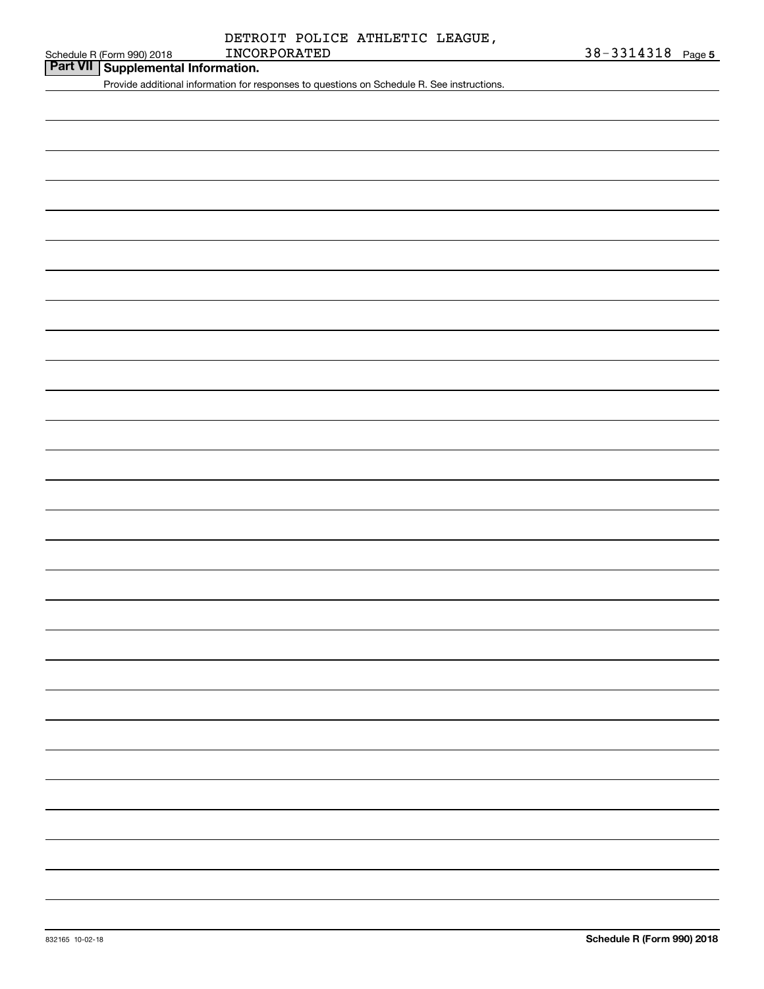|  | Schedule R (Form 990) 2018 |
|--|----------------------------|

## **Part VII Supplemental Information.**

Provide additional information for responses to questions on Schedule R. See instructions.